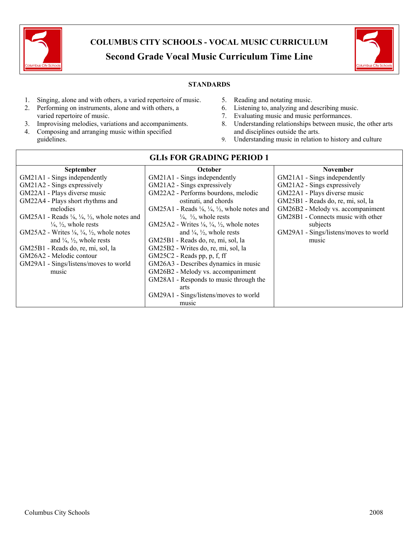

# **COLUMBUS CITY SCHOOLS - VOCAL MUSIC CURRICULUM Second Grade Vocal Music Curriculum Time Line**



#### **STANDARDS**

- 1. Singing, alone and with others, a varied repertoire of music.
- 2. Performing on instruments, alone and with others, a varied repertoire of music.
- 3. Improvising melodies, variations and accompaniments.
- 4. Composing and arranging music within specified guidelines.
- 5. Reading and notating music.
- 6. Listening to, analyzing and describing music.
- 7. Evaluating music and music performances.
- 8. Understanding relationships between music, the other arts and disciplines outside the arts.
- 9. Understanding music in relation to history and culture

| GLIS FOR GRADING I ERIOD I                                                     |                                                                                |                                       |  |  |
|--------------------------------------------------------------------------------|--------------------------------------------------------------------------------|---------------------------------------|--|--|
| <b>September</b>                                                               | <b>October</b>                                                                 | <b>November</b>                       |  |  |
| GM21A1 - Sings independently                                                   | GM21A1 - Sings independently                                                   | GM21A1 - Sings independently          |  |  |
| GM21A2 - Sings expressively                                                    | GM21A2 - Sings expressively                                                    | GM21A2 - Sings expressively           |  |  |
| GM22A1 - Plays diverse music                                                   | GM22A2 - Performs bourdons, melodic                                            | GM22A1 - Plays diverse music          |  |  |
| GM22A4 - Plays short rhythms and                                               | ostinati, and chords                                                           | GM25B1 - Reads do, re, mi, sol, la    |  |  |
| melodies                                                                       | GM25A1 - Reads $\frac{1}{8}$ , $\frac{1}{4}$ , $\frac{1}{2}$ , whole notes and | GM26B2 - Melody vs. accompaniment     |  |  |
| GM25A1 - Reads $\frac{1}{4}$ , $\frac{1}{4}$ , $\frac{1}{2}$ , whole notes and | $\frac{1}{4}$ , $\frac{1}{2}$ , whole rests                                    | GM28B1 - Connects music with other    |  |  |
| $\frac{1}{4}$ , $\frac{1}{2}$ , whole rests                                    | GM25A2 - Writes $\frac{1}{4}$ , $\frac{1}{4}$ , $\frac{1}{2}$ , whole notes    | subjects                              |  |  |
| GM25A2 - Writes $\frac{1}{4}$ , $\frac{1}{4}$ , $\frac{1}{2}$ , whole notes    | and $\frac{1}{4}$ , $\frac{1}{2}$ , whole rests                                | GM29A1 - Sings/listens/moves to world |  |  |
| and $\frac{1}{4}$ , $\frac{1}{2}$ , whole rests                                | GM25B1 - Reads do, re, mi, sol, la                                             | music                                 |  |  |
| GM25B1 - Reads do, re, mi, sol, la                                             | GM25B2 - Writes do, re, mi, sol, la                                            |                                       |  |  |
| GM26A2 - Melodic contour                                                       | GM25C2 - Reads pp, p, f, ff                                                    |                                       |  |  |
| GM29A1 - Sings/listens/moves to world                                          | GM26A3 - Describes dynamics in music                                           |                                       |  |  |
| music                                                                          | GM26B2 - Melody vs. accompaniment                                              |                                       |  |  |
|                                                                                | GM28A1 - Responds to music through the                                         |                                       |  |  |
|                                                                                | arts                                                                           |                                       |  |  |
|                                                                                | GM29A1 - Sings/listens/moves to world                                          |                                       |  |  |
|                                                                                | music                                                                          |                                       |  |  |

# **GLIs FOR GRADING PERIOD 1**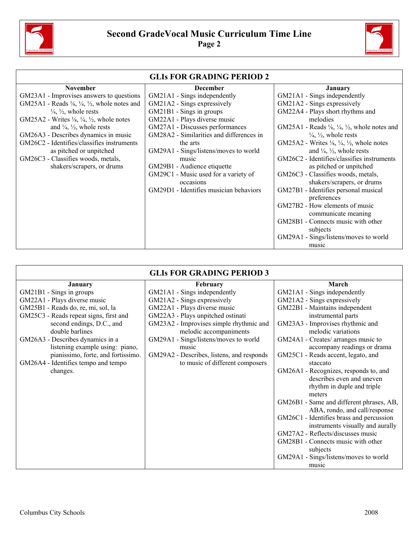



٦

|                                                                                | <b>GLIs FOR GRADING PERIOD 2</b>         |                                                                                |
|--------------------------------------------------------------------------------|------------------------------------------|--------------------------------------------------------------------------------|
| <b>November</b>                                                                | <b>December</b>                          | <b>January</b>                                                                 |
| GM23A1 - Improvises answers to questions                                       | GM21A1 - Sings independently             | GM21A1 - Sings independently                                                   |
| GM25A1 - Reads $\frac{1}{4}$ , $\frac{1}{4}$ , $\frac{1}{2}$ , whole notes and | GM21A2 - Sings expressively              | GM21A2 - Sings expressively                                                    |
| $\frac{1}{4}$ , $\frac{1}{2}$ , whole rests                                    | GM21B1 - Sings in groups                 | GM22A4 - Plays short rhythms and                                               |
| GM25A2 - Writes $\frac{1}{4}$ , $\frac{1}{4}$ , $\frac{1}{2}$ , whole notes    | GM22A1 - Plays diverse music             | melodies                                                                       |
| and $\frac{1}{4}$ , $\frac{1}{2}$ , whole rests                                | GM27A1 - Discusses performances          | GM25A1 - Reads $\frac{1}{4}$ , $\frac{1}{4}$ , $\frac{1}{2}$ , whole notes and |
| GM26A3 - Describes dynamics in music                                           | GM28A2 - Similarities and differences in | $\frac{1}{4}$ , $\frac{1}{2}$ , whole rests                                    |
| GM26C2 - Identifies/classifies instruments                                     | the arts                                 | GM25A2 - Writes $\frac{1}{4}$ , $\frac{1}{4}$ , $\frac{1}{2}$ , whole notes    |
| as pitched or unpitched                                                        | GM29A1 - Sings/listens/moves to world    | and $\frac{1}{4}$ , $\frac{1}{2}$ , whole rests                                |
| GM26C3 - Classifies woods, metals,                                             | music                                    | GM26C2 - Identifies/classifies instruments                                     |
| shakers/scrapers, or drums                                                     | GM29B1 - Audience etiquette              | as pitched or unpitched                                                        |
|                                                                                | GM29C1 - Music used for a variety of     | GM26C3 - Classifies woods, metals,                                             |
|                                                                                | occasions                                | shakers/scrapers, or drums                                                     |
|                                                                                | GM29D1 - Identifies musician behaviors   | GM27B1 - Identifies personal musical                                           |
|                                                                                |                                          | preferences                                                                    |
|                                                                                |                                          | GM27B2 - How elements of music                                                 |
|                                                                                |                                          | communicate meaning                                                            |
|                                                                                |                                          | GM28B1 - Connects music with other                                             |
|                                                                                |                                          | subjects                                                                       |
|                                                                                |                                          | GM29A1 - Sings/listens/moves to world                                          |
|                                                                                |                                          | music                                                                          |

| <b>GLIS FOR GRADING PERIOD 3</b>       |                                           |                                          |  |  |
|----------------------------------------|-------------------------------------------|------------------------------------------|--|--|
| <b>January</b>                         | <b>February</b>                           | March                                    |  |  |
| GM21B1 - Sings in groups               | GM21A1 - Sings independently              | GM21A1 - Sings independently             |  |  |
| GM22A1 - Plays diverse music           | GM21A2 - Sings expressively               | GM21A2 - Sings expressively              |  |  |
| GM25B1 - Reads do, re, mi, sol, la     | GM22A1 - Plays diverse music              | GM22B1 - Maintains independent           |  |  |
| GM25C3 - Reads repeat signs, first and | GM22A3 - Plays unpitched ostinati         | instrumental parts                       |  |  |
| second endings, D.C., and              | GM23A2 - Improvises simple rhythmic and   | GM23A3 - Improvises rhythmic and         |  |  |
| double barlines                        | melodic accompaniments                    | melodic variations                       |  |  |
| GM26A3 - Describes dynamics in a       | GM29A1 - Sings/listens/moves to world     | GM24A1 - Creates/ arranges music to      |  |  |
| listening example using: piano,        | music                                     | accompany readings or drama              |  |  |
| pianissimo, forte, and fortissimo.     | GM29A2 - Describes, listens, and responds | GM25C1 - Reads accent, legato, and       |  |  |
| GM26A4 - Identifies tempo and tempo    | to music of different composers           | staccato                                 |  |  |
| changes.                               |                                           | GM26A1 - Recognizes, responds to, and    |  |  |
|                                        |                                           | describes even and uneven                |  |  |
|                                        |                                           | rhythm in duple and triple               |  |  |
|                                        |                                           | meters                                   |  |  |
|                                        |                                           | GM26B1 - Same and different phrases, AB, |  |  |
|                                        |                                           | ABA, rondo, and call/response            |  |  |
|                                        |                                           | GM26C1 - Identifies brass and percussion |  |  |
|                                        |                                           | instruments visually and aurally         |  |  |
|                                        |                                           | GM27A2 - Reflects/discusses music        |  |  |
|                                        |                                           | GM28B1 - Connects music with other       |  |  |
|                                        |                                           | subjects                                 |  |  |
|                                        |                                           | GM29A1 - Sings/listens/moves to world    |  |  |
|                                        |                                           | music                                    |  |  |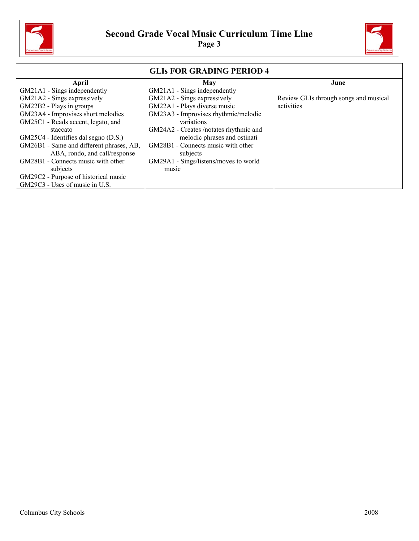



| <b>GLIS FOR GRADING PERIOD 4</b>         |                                        |                                       |  |  |
|------------------------------------------|----------------------------------------|---------------------------------------|--|--|
| April                                    | May                                    | June                                  |  |  |
| GM21A1 - Sings independently             | GM21A1 - Sings independently           |                                       |  |  |
| GM21A2 - Sings expressively              | GM21A2 - Sings expressively            | Review GLIs through songs and musical |  |  |
| GM22B2 - Plays in groups                 | GM22A1 - Plays diverse music           | activities                            |  |  |
| GM23A4 - Improvises short melodies       | GM23A3 - Improvises rhythmic/melodic   |                                       |  |  |
| GM25C1 - Reads accent, legato, and       | variations                             |                                       |  |  |
| staccato                                 | GM24A2 - Creates /notates rhythmic and |                                       |  |  |
| GM25C4 - Identifies dal segno (D.S.)     | melodic phrases and ostinati           |                                       |  |  |
| GM26B1 - Same and different phrases, AB, | GM28B1 - Connects music with other     |                                       |  |  |
| ABA, rondo, and call/response            | subjects                               |                                       |  |  |
| GM28B1 - Connects music with other       | GM29A1 - Sings/listens/moves to world  |                                       |  |  |
| subjects                                 | music                                  |                                       |  |  |
| GM29C2 - Purpose of historical music     |                                        |                                       |  |  |
| GM29C3 - Uses of music in U.S.           |                                        |                                       |  |  |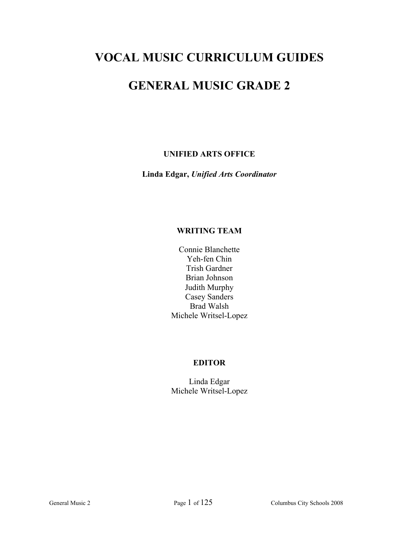# **VOCAL MUSIC CURRICULUM GUIDES**

# **GENERAL MUSIC GRADE 2**

# **UNIFIED ARTS OFFICE**

**Linda Edgar,** *Unified Arts Coordinator* 

# **WRITING TEAM**

Connie Blanchette Yeh-fen Chin Trish Gardner Brian Johnson Judith Murphy Casey Sanders Brad Walsh Michele Writsel-Lopez

# **EDITOR**

Linda Edgar Michele Writsel-Lopez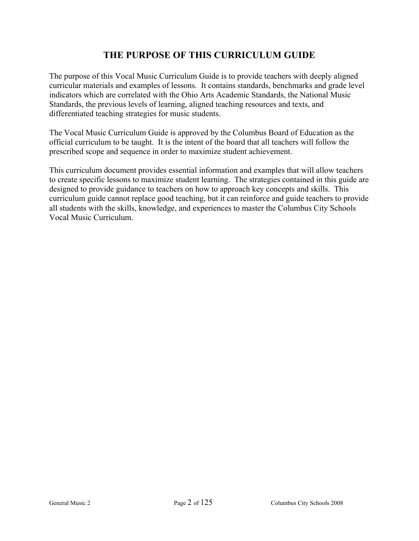# **THE PURPOSE OF THIS CURRICULUM GUIDE**

The purpose of this Vocal Music Curriculum Guide is to provide teachers with deeply aligned curricular materials and examples of lessons. It contains standards, benchmarks and grade level indicators which are correlated with the Ohio Arts Academic Standards, the National Music Standards, the previous levels of learning, aligned teaching resources and texts, and differentiated teaching strategies for music students.

The Vocal Music Curriculum Guide is approved by the Columbus Board of Education as the official curriculum to be taught. It is the intent of the board that all teachers will follow the prescribed scope and sequence in order to maximize student achievement.

This curriculum document provides essential information and examples that will allow teachers to create specific lessons to maximize student learning. The strategies contained in this guide are designed to provide guidance to teachers on how to approach key concepts and skills. This curriculum guide cannot replace good teaching, but it can reinforce and guide teachers to provide all students with the skills, knowledge, and experiences to master the Columbus City Schools Vocal Music Curriculum.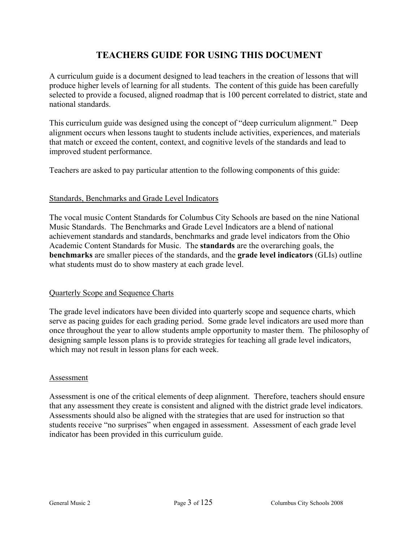# **TEACHERS GUIDE FOR USING THIS DOCUMENT**

A curriculum guide is a document designed to lead teachers in the creation of lessons that will produce higher levels of learning for all students. The content of this guide has been carefully selected to provide a focused, aligned roadmap that is 100 percent correlated to district, state and national standards.

This curriculum guide was designed using the concept of "deep curriculum alignment." Deep alignment occurs when lessons taught to students include activities, experiences, and materials that match or exceed the content, context, and cognitive levels of the standards and lead to improved student performance.

Teachers are asked to pay particular attention to the following components of this guide:

#### Standards, Benchmarks and Grade Level Indicators

The vocal music Content Standards for Columbus City Schools are based on the nine National Music Standards. The Benchmarks and Grade Level Indicators are a blend of national achievement standards and standards, benchmarks and grade level indicators from the Ohio Academic Content Standards for Music. The **standards** are the overarching goals, the **benchmarks** are smaller pieces of the standards, and the **grade level indicators** (GLIs) outline what students must do to show mastery at each grade level.

#### Quarterly Scope and Sequence Charts

The grade level indicators have been divided into quarterly scope and sequence charts, which serve as pacing guides for each grading period. Some grade level indicators are used more than once throughout the year to allow students ample opportunity to master them. The philosophy of designing sample lesson plans is to provide strategies for teaching all grade level indicators, which may not result in lesson plans for each week.

#### Assessment

Assessment is one of the critical elements of deep alignment. Therefore, teachers should ensure that any assessment they create is consistent and aligned with the district grade level indicators. Assessments should also be aligned with the strategies that are used for instruction so that students receive "no surprises" when engaged in assessment. Assessment of each grade level indicator has been provided in this curriculum guide.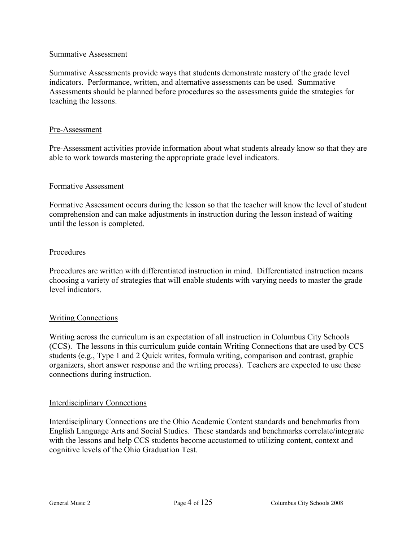#### Summative Assessment

Summative Assessments provide ways that students demonstrate mastery of the grade level indicators. Performance, written, and alternative assessments can be used. Summative Assessments should be planned before procedures so the assessments guide the strategies for teaching the lessons.

#### Pre-Assessment

Pre-Assessment activities provide information about what students already know so that they are able to work towards mastering the appropriate grade level indicators.

#### Formative Assessment

Formative Assessment occurs during the lesson so that the teacher will know the level of student comprehension and can make adjustments in instruction during the lesson instead of waiting until the lesson is completed.

#### Procedures

Procedures are written with differentiated instruction in mind. Differentiated instruction means choosing a variety of strategies that will enable students with varying needs to master the grade level indicators.

#### Writing Connections

Writing across the curriculum is an expectation of all instruction in Columbus City Schools (CCS). The lessons in this curriculum guide contain Writing Connections that are used by CCS students (e.g., Type 1 and 2 Quick writes, formula writing, comparison and contrast, graphic organizers, short answer response and the writing process). Teachers are expected to use these connections during instruction.

#### Interdisciplinary Connections

Interdisciplinary Connections are the Ohio Academic Content standards and benchmarks from English Language Arts and Social Studies. These standards and benchmarks correlate/integrate with the lessons and help CCS students become accustomed to utilizing content, context and cognitive levels of the Ohio Graduation Test.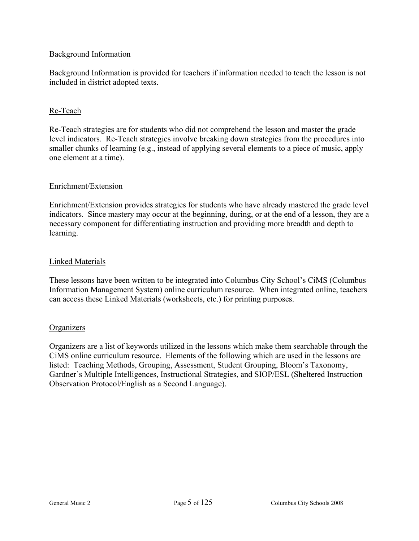### Background Information

Background Information is provided for teachers if information needed to teach the lesson is not included in district adopted texts.

# Re-Teach

Re-Teach strategies are for students who did not comprehend the lesson and master the grade level indicators. Re-Teach strategies involve breaking down strategies from the procedures into smaller chunks of learning (e.g., instead of applying several elements to a piece of music, apply one element at a time).

# Enrichment/Extension

Enrichment/Extension provides strategies for students who have already mastered the grade level indicators. Since mastery may occur at the beginning, during, or at the end of a lesson, they are a necessary component for differentiating instruction and providing more breadth and depth to learning.

#### Linked Materials

These lessons have been written to be integrated into Columbus City School's CiMS (Columbus Information Management System) online curriculum resource. When integrated online, teachers can access these Linked Materials (worksheets, etc.) for printing purposes.

#### **Organizers**

Organizers are a list of keywords utilized in the lessons which make them searchable through the CiMS online curriculum resource. Elements of the following which are used in the lessons are listed: Teaching Methods, Grouping, Assessment, Student Grouping, Bloom's Taxonomy, Gardner's Multiple Intelligences, Instructional Strategies, and SIOP/ESL (Sheltered Instruction Observation Protocol/English as a Second Language).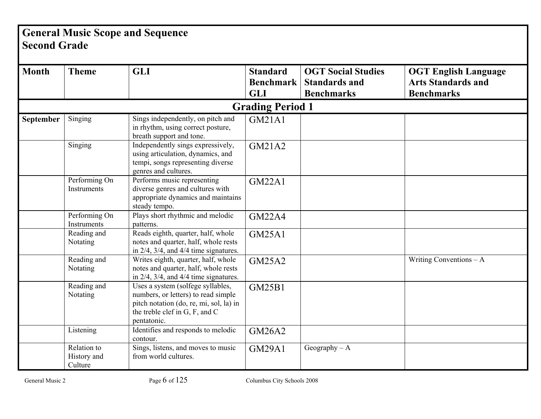# **General Music Scope and Sequence Second Grade**

| <b>Month</b> | <b>Theme</b>                          | <b>GLI</b>                                                                                                                                                           | <b>Standard</b>         | <b>OGT Social Studies</b> | <b>OGT English Language</b> |
|--------------|---------------------------------------|----------------------------------------------------------------------------------------------------------------------------------------------------------------------|-------------------------|---------------------------|-----------------------------|
|              |                                       |                                                                                                                                                                      | <b>Benchmark</b>        | <b>Standards and</b>      | <b>Arts Standards and</b>   |
|              |                                       |                                                                                                                                                                      | <b>GLI</b>              | <b>Benchmarks</b>         | <b>Benchmarks</b>           |
|              |                                       |                                                                                                                                                                      | <b>Grading Period 1</b> |                           |                             |
| September    | Singing                               | Sings independently, on pitch and<br>in rhythm, using correct posture,<br>breath support and tone.                                                                   | <b>GM21A1</b>           |                           |                             |
|              | Singing                               | Independently sings expressively,<br>using articulation, dynamics, and<br>tempi, songs representing diverse<br>genres and cultures.                                  | GM21A2                  |                           |                             |
|              | Performing On<br>Instruments          | Performs music representing<br>diverse genres and cultures with<br>appropriate dynamics and maintains<br>steady tempo.                                               | <b>GM22A1</b>           |                           |                             |
|              | Performing On<br>Instruments          | Plays short rhythmic and melodic<br>patterns.                                                                                                                        | <b>GM22A4</b>           |                           |                             |
|              | Reading and<br>Notating               | Reads eighth, quarter, half, whole<br>notes and quarter, half, whole rests<br>in $2/4$ , $3/4$ , and $4/4$ time signatures.                                          | <b>GM25A1</b>           |                           |                             |
|              | Reading and<br>Notating               | Writes eighth, quarter, half, whole<br>notes and quarter, half, whole rests<br>in $2/4$ , $3/4$ , and $4/4$ time signatures.                                         | <b>GM25A2</b>           |                           | Writing Conventions $-A$    |
|              | Reading and<br>Notating               | Uses a system (solfege syllables,<br>numbers, or letters) to read simple<br>pitch notation (do, re, mi, sol, la) in<br>the treble clef in G, F, and C<br>pentatonic. | <b>GM25B1</b>           |                           |                             |
|              | Listening                             | Identifies and responds to melodic<br>contour.                                                                                                                       | <b>GM26A2</b>           |                           |                             |
|              | Relation to<br>History and<br>Culture | Sings, listens, and moves to music<br>from world cultures.                                                                                                           | <b>GM29A1</b>           | Geography $- A$           |                             |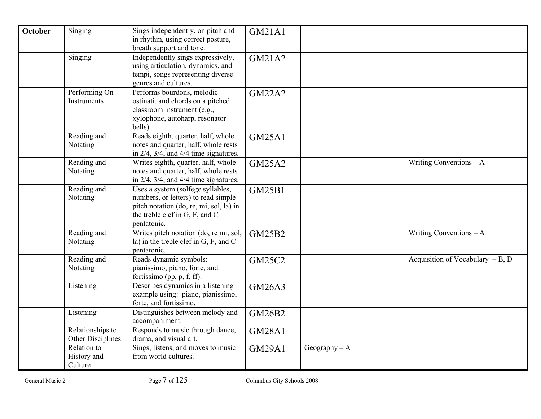| <b>October</b> | Singing                               | Sings independently, on pitch and<br>in rhythm, using correct posture,<br>breath support and tone.                                                                   | <b>GM21A1</b> |                 |                                    |
|----------------|---------------------------------------|----------------------------------------------------------------------------------------------------------------------------------------------------------------------|---------------|-----------------|------------------------------------|
|                | Singing                               | Independently sings expressively,<br>using articulation, dynamics, and<br>tempi, songs representing diverse<br>genres and cultures.                                  | GM21A2        |                 |                                    |
|                | Performing On<br>Instruments          | Performs bourdons, melodic<br>ostinati, and chords on a pitched<br>classroom instrument (e.g.,<br>xylophone, autoharp, resonator<br>bells).                          | <b>GM22A2</b> |                 |                                    |
|                | Reading and<br>Notating               | Reads eighth, quarter, half, whole<br>notes and quarter, half, whole rests<br>in $2/4$ , $3/4$ , and $4/4$ time signatures.                                          | <b>GM25A1</b> |                 |                                    |
|                | Reading and<br>Notating               | Writes eighth, quarter, half, whole<br>notes and quarter, half, whole rests<br>in $2/4$ , $3/4$ , and $4/4$ time signatures.                                         | <b>GM25A2</b> |                 | Writing Conventions $-A$           |
|                | Reading and<br>Notating               | Uses a system (solfege syllables,<br>numbers, or letters) to read simple<br>pitch notation (do, re, mi, sol, la) in<br>the treble clef in G, F, and C<br>pentatonic. | <b>GM25B1</b> |                 |                                    |
|                | Reading and<br>Notating               | Writes pitch notation (do, re mi, sol,<br>la) in the treble clef in $G$ , $F$ , and $C$<br>pentatonic.                                                               | GM25B2        |                 | Writing Conventions $-A$           |
|                | Reading and<br>Notating               | Reads dynamic symbols:<br>pianissimo, piano, forte, and<br>fortissimo (pp, p, f, ff).                                                                                | <b>GM25C2</b> |                 | Acquisition of Vocabulary $-B$ , D |
|                | Listening                             | Describes dynamics in a listening<br>example using: piano, pianissimo,<br>forte, and fortissimo.                                                                     | <b>GM26A3</b> |                 |                                    |
|                | Listening                             | Distinguishes between melody and<br>accompaniment.                                                                                                                   | GM26B2        |                 |                                    |
|                | Relationships to<br>Other Disciplines | Responds to music through dance,<br>drama, and visual art.                                                                                                           | <b>GM28A1</b> |                 |                                    |
|                | Relation to<br>History and<br>Culture | Sings, listens, and moves to music<br>from world cultures.                                                                                                           | <b>GM29A1</b> | Geography $- A$ |                                    |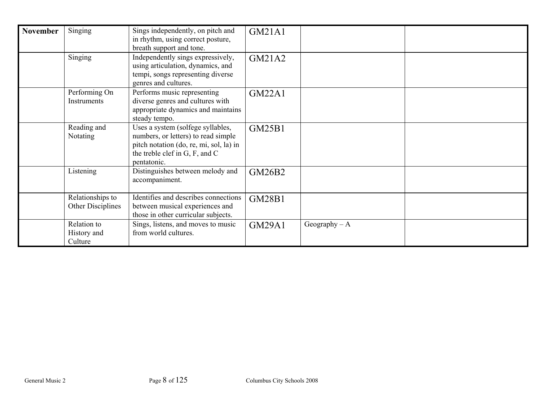| <b>November</b> | Singing                               | Sings independently, on pitch and<br>in rhythm, using correct posture,                                                                                               | <b>GM21A1</b> |                 |  |
|-----------------|---------------------------------------|----------------------------------------------------------------------------------------------------------------------------------------------------------------------|---------------|-----------------|--|
|                 |                                       | breath support and tone.                                                                                                                                             |               |                 |  |
|                 | Singing                               | Independently sings expressively,<br>using articulation, dynamics, and<br>tempi, songs representing diverse<br>genres and cultures.                                  | GM21A2        |                 |  |
|                 | Performing On<br>Instruments          | Performs music representing<br>diverse genres and cultures with<br>appropriate dynamics and maintains<br>steady tempo.                                               | <b>GM22A1</b> |                 |  |
|                 | Reading and<br>Notating               | Uses a system (solfege syllables,<br>numbers, or letters) to read simple<br>pitch notation (do, re, mi, sol, la) in<br>the treble clef in G, F, and C<br>pentatonic. | <b>GM25B1</b> |                 |  |
|                 | Listening                             | Distinguishes between melody and<br>accompaniment.                                                                                                                   | GM26B2        |                 |  |
|                 | Relationships to<br>Other Disciplines | Identifies and describes connections<br>between musical experiences and<br>those in other curricular subjects.                                                       | <b>GM28B1</b> |                 |  |
|                 | Relation to<br>History and<br>Culture | Sings, listens, and moves to music<br>from world cultures.                                                                                                           | <b>GM29A1</b> | Geography $- A$ |  |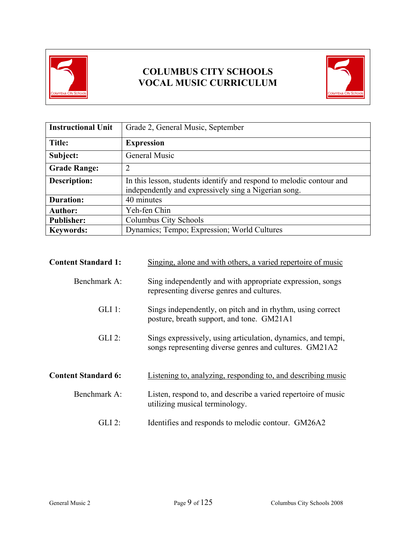

# **COLUMBUS CITY SCHOOLS VOCAL MUSIC CURRICULUM**



| <b>Instructional Unit</b> | Grade 2, General Music, September                                                                                            |
|---------------------------|------------------------------------------------------------------------------------------------------------------------------|
| Title:                    | <b>Expression</b>                                                                                                            |
| Subject:                  | General Music                                                                                                                |
| <b>Grade Range:</b>       | 2                                                                                                                            |
| <b>Description:</b>       | In this lesson, students identify and respond to melodic contour and<br>independently and expressively sing a Nigerian song. |
| <b>Duration:</b>          | 40 minutes                                                                                                                   |
| <b>Author:</b>            | Yeh-fen Chin                                                                                                                 |
| <b>Publisher:</b>         | Columbus City Schools                                                                                                        |
| <b>Keywords:</b>          | Dynamics; Tempo; Expression; World Cultures                                                                                  |

| <b>Content Standard 1:</b> | Singing, alone and with others, a varied repertoire of music                                                           |
|----------------------------|------------------------------------------------------------------------------------------------------------------------|
| Benchmark A:               | Sing independently and with appropriate expression, songs<br>representing diverse genres and cultures.                 |
| $GLI$ 1:                   | Sings independently, on pitch and in rhythm, using correct<br>posture, breath support, and tone. GM21A1                |
| $GLI$ 2:                   | Sings expressively, using articulation, dynamics, and tempi,<br>songs representing diverse genres and cultures. GM21A2 |
| <b>Content Standard 6:</b> | Listening to, analyzing, responding to, and describing music                                                           |
| Benchmark A:               | Listen, respond to, and describe a varied repertoire of music<br>utilizing musical terminology.                        |
| GLI 2:                     | Identifies and responds to melodic contour. GM26A2                                                                     |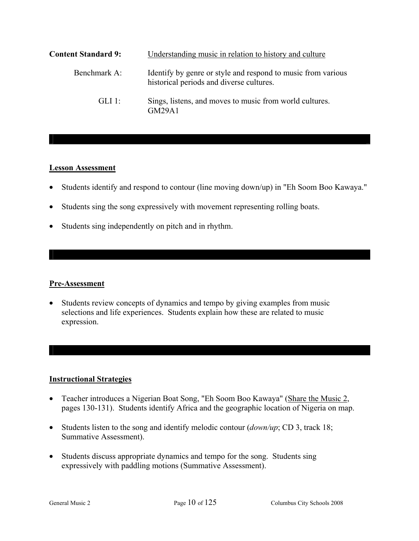| <b>Content Standard 9:</b> | Understanding music in relation to history and culture                                                   |
|----------------------------|----------------------------------------------------------------------------------------------------------|
| Benchmark A:               | Identify by genre or style and respond to music from various<br>historical periods and diverse cultures. |
| $GL1$ 1.                   | Sings, listens, and moves to music from world cultures.<br>GM29A1                                        |

#### **Lesson Assessment**

- Students identify and respond to contour (line moving down/up) in "Eh Soom Boo Kawaya."
- Students sing the song expressively with movement representing rolling boats.
- Students sing independently on pitch and in rhythm.

#### **Pre-Assessment**

• Students review concepts of dynamics and tempo by giving examples from music selections and life experiences. Students explain how these are related to music expression.

# **Instructional Strategies**

- Teacher introduces a Nigerian Boat Song, "Eh Soom Boo Kawaya" (Share the Music 2, pages 130-131). Students identify Africa and the geographic location of Nigeria on map.
- Students listen to the song and identify melodic contour (*down/up*; CD 3, track 18; Summative Assessment).
- Students discuss appropriate dynamics and tempo for the song. Students sing expressively with paddling motions (Summative Assessment).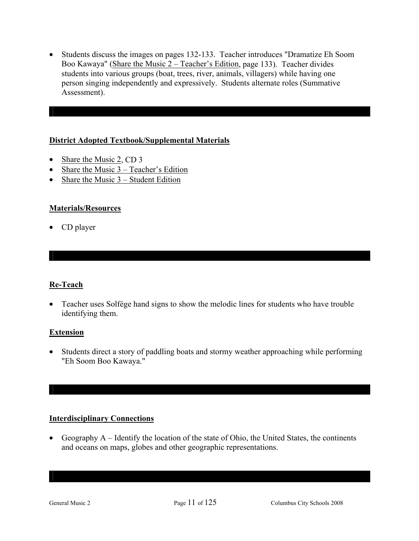• Students discuss the images on pages 132-133. Teacher introduces "Dramatize Eh Soom Boo Kawaya" (Share the Music 2 – Teacher's Edition, page 133). Teacher divides students into various groups (boat, trees, river, animals, villagers) while having one person singing independently and expressively. Students alternate roles (Summative Assessment).

# **District Adopted Textbook/Supplemental Materials**

- Share the Music 2, CD 3
- Share the Music 3 Teacher's Edition
- Share the Music  $3 Student Edition$

# **Materials/Resources**

• CD player

# **Re-Teach**

• Teacher uses Solfége hand signs to show the melodic lines for students who have trouble identifying them.

# **Extension**

• Students direct a story of paddling boats and stormy weather approaching while performing "Eh Soom Boo Kawaya."

# **Interdisciplinary Connections**

• Geography A – Identify the location of the state of Ohio, the United States, the continents and oceans on maps, globes and other geographic representations.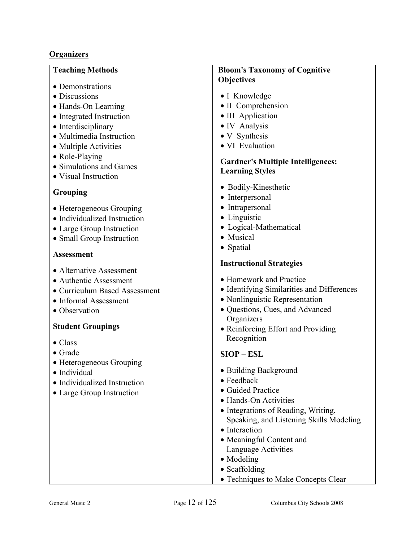# **Organizers**

#### **Teaching Methods**

- Demonstrations
- Discussions
- Hands-On Learning
- Integrated Instruction
- Interdisciplinary
- Multimedia Instruction
- Multiple Activities
- Role-Playing
- Simulations and Games
- Visual Instruction

# **Grouping**

- Heterogeneous Grouping
- Individualized Instruction
- Large Group Instruction
- Small Group Instruction

# **Assessment**

- Alternative Assessment
- Authentic Assessment
- Curriculum Based Assessment
- Informal Assessment
- Observation

# **Student Groupings**

- Class
- Grade
- Heterogeneous Grouping
- Individual
- Individualized Instruction
- Large Group Instruction

# **Bloom's Taxonomy of Cognitive Objectives**

- I Knowledge
- II Comprehension
- III Application
- IV Analysis
- V Synthesis
- VI Evaluation

# **Gardner's Multiple Intelligences: Learning Styles**

- Bodily-Kinesthetic
- Interpersonal
- Intrapersonal
- Linguistic
- Logical-Mathematical
- Musical
- Spatial

# **Instructional Strategies**

- Homework and Practice
- Identifying Similarities and Differences
- Nonlinguistic Representation
- Questions, Cues, and Advanced **Organizers**
- Reinforcing Effort and Providing Recognition

# **SIOP – ESL**

- Building Background
- Feedback
- Guided Practice
- Hands-On Activities
- Integrations of Reading, Writing, Speaking, and Listening Skills Modeling
- Interaction
- Meaningful Content and Language Activities
- Modeling
- Scaffolding
- Techniques to Make Concepts Clear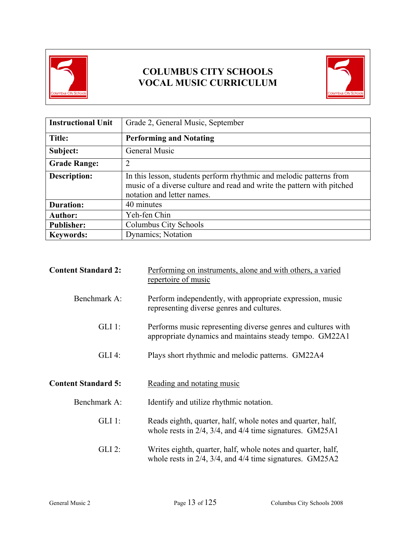

# **COLUMBUS CITY SCHOOLS VOCAL MUSIC CURRICULUM**



| <b>Instructional Unit</b> | Grade 2, General Music, September                                                                                                                                           |
|---------------------------|-----------------------------------------------------------------------------------------------------------------------------------------------------------------------------|
| Title:                    | <b>Performing and Notating</b>                                                                                                                                              |
| Subject:                  | General Music                                                                                                                                                               |
| <b>Grade Range:</b>       | $\overline{2}$                                                                                                                                                              |
| <b>Description:</b>       | In this lesson, students perform rhythmic and melodic patterns from<br>music of a diverse culture and read and write the pattern with pitched<br>notation and letter names. |
| <b>Duration:</b>          | 40 minutes                                                                                                                                                                  |
| <b>Author:</b>            | Yeh-fen Chin                                                                                                                                                                |
| <b>Publisher:</b>         | Columbus City Schools                                                                                                                                                       |
| <b>Keywords:</b>          | <b>Dynamics</b> ; Notation                                                                                                                                                  |

| <b>Content Standard 2:</b> | Performing on instruments, alone and with others, a varied<br>repertoire of music                                                |
|----------------------------|----------------------------------------------------------------------------------------------------------------------------------|
| Benchmark A:               | Perform independently, with appropriate expression, music<br>representing diverse genres and cultures.                           |
| $GLI$ 1:                   | Performs music representing diverse genres and cultures with<br>appropriate dynamics and maintains steady tempo. GM22A1          |
| $GLI$ 4:                   | Plays short rhythmic and melodic patterns. GM22A4                                                                                |
| <b>Content Standard 5:</b> | Reading and notating music                                                                                                       |
| Benchmark A:               | Identify and utilize rhythmic notation.                                                                                          |
| $GLI$ 1:                   | Reads eighth, quarter, half, whole notes and quarter, half,<br>whole rests in $2/4$ , $3/4$ , and $4/4$ time signatures. GM25A1  |
| $GLI$ 2:                   | Writes eighth, quarter, half, whole notes and quarter, half,<br>whole rests in $2/4$ , $3/4$ , and $4/4$ time signatures. GM25A2 |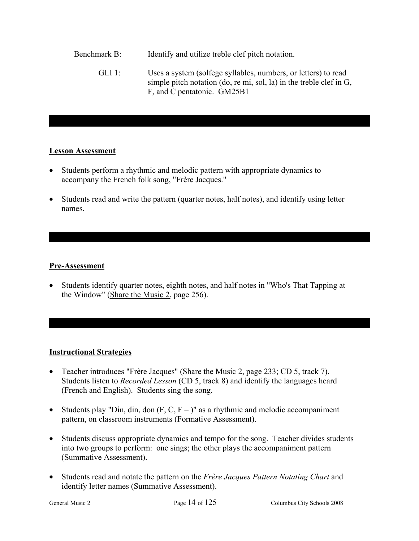Benchmark B: Identify and utilize treble clef pitch notation. GLI 1: Uses a system (solfege syllables, numbers, or letters) to read simple pitch notation (do, re mi, sol, la) in the treble clef in G, F, and C pentatonic. GM25B1

#### **Lesson Assessment**

- Students perform a rhythmic and melodic pattern with appropriate dynamics to accompany the French folk song, "Frère Jacques."
- Students read and write the pattern (quarter notes, half notes), and identify using letter names.

# **Pre-Assessment**

• Students identify quarter notes, eighth notes, and half notes in "Who's That Tapping at the Window" (Share the Music 2, page 256).

# **Instructional Strategies**

- Teacher introduces "Frère Jacques" (Share the Music 2, page 233; CD 5, track 7). Students listen to *Recorded Lesson* (CD 5, track 8) and identify the languages heard (French and English). Students sing the song.
- Students play "Din, din, don  $(F, C, F -)$ " as a rhythmic and melodic accompaniment pattern, on classroom instruments (Formative Assessment).
- Students discuss appropriate dynamics and tempo for the song. Teacher divides students into two groups to perform: one sings; the other plays the accompaniment pattern (Summative Assessment).
- Students read and notate the pattern on the *Frère Jacques Pattern Notating Chart* and identify letter names (Summative Assessment).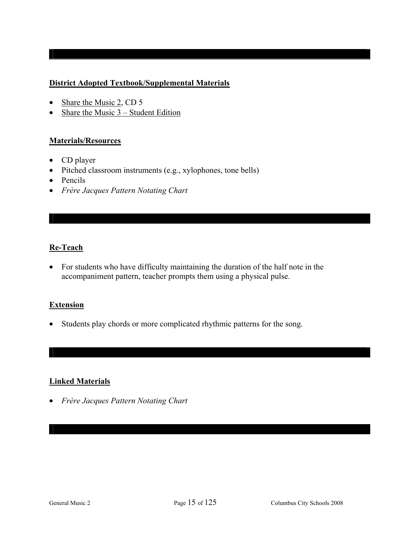# **District Adopted Textbook/Supplemental Materials**

- Share the Music 2, CD 5
- Share the Music  $3 -$  Student Edition

# **Materials/Resources**

- CD player
- Pitched classroom instruments (e.g., xylophones, tone bells)
- Pencils
- *Frère Jacques Pattern Notating Chart*

# **Re-Teach**

• For students who have difficulty maintaining the duration of the half note in the accompaniment pattern, teacher prompts them using a physical pulse.

#### **Extension**

• Students play chords or more complicated rhythmic patterns for the song.

# **Linked Materials**

• *Frère Jacques Pattern Notating Chart*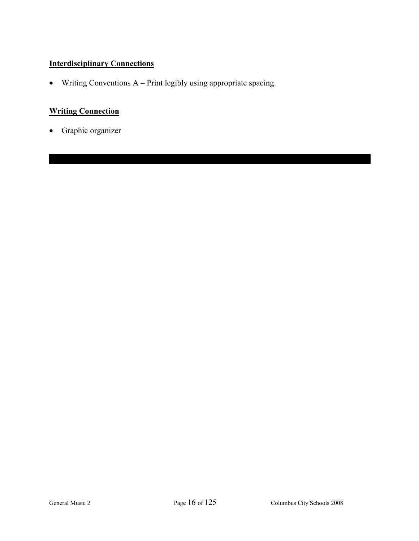# **Interdisciplinary Connections**

• Writing Conventions A – Print legibly using appropriate spacing.

# **Writing Connection**

• Graphic organizer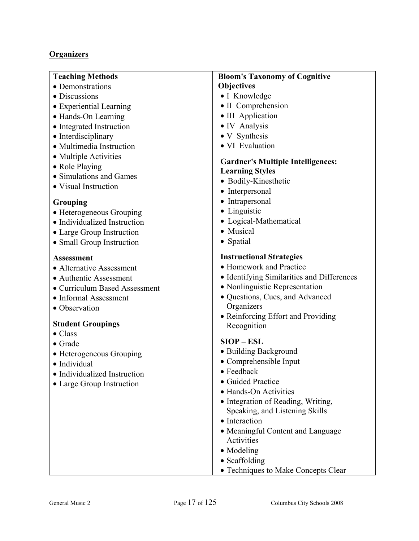# **Organizers**

| <b>Teaching Methods</b>                                  | <b>Bloom's Taxonomy of Cognitive</b>                               |
|----------------------------------------------------------|--------------------------------------------------------------------|
| • Demonstrations                                         | <b>Objectives</b>                                                  |
| • Discussions                                            | • I Knowledge                                                      |
| • Experiential Learning                                  | • II Comprehension                                                 |
| • Hands-On Learning                                      | • III Application                                                  |
| • Integrated Instruction                                 | • IV Analysis                                                      |
| • Interdisciplinary                                      | • V Synthesis                                                      |
| • Multimedia Instruction                                 | · VI Evaluation                                                    |
| • Multiple Activities                                    |                                                                    |
| • Role Playing                                           | <b>Gardner's Multiple Intelligences:</b><br><b>Learning Styles</b> |
| • Simulations and Games                                  | • Bodily-Kinesthetic                                               |
| • Visual Instruction                                     | • Interpersonal                                                    |
|                                                          | • Intrapersonal                                                    |
| <b>Grouping</b>                                          | • Linguistic                                                       |
| • Heterogeneous Grouping<br>• Individualized Instruction | • Logical-Mathematical                                             |
|                                                          | • Musical                                                          |
| • Large Group Instruction<br>• Small Group Instruction   | • Spatial                                                          |
|                                                          |                                                                    |
| <b>Assessment</b>                                        | <b>Instructional Strategies</b>                                    |
| • Alternative Assessment                                 | • Homework and Practice                                            |
| • Authentic Assessment                                   | • Identifying Similarities and Differences                         |
| • Curriculum Based Assessment                            | • Nonlinguistic Representation                                     |
| • Informal Assessment                                    | · Questions, Cues, and Advanced                                    |
| • Observation                                            | Organizers                                                         |
|                                                          | • Reinforcing Effort and Providing                                 |
| <b>Student Groupings</b>                                 | Recognition                                                        |
| $\bullet$ Class                                          | $SIOP - ESL$                                                       |
| $\bullet$ Grade                                          | • Building Background                                              |
| • Heterogeneous Grouping                                 | • Comprehensible Input                                             |
| · Individual                                             | $\bullet$ Feedback                                                 |
| • Individualized Instruction                             | • Guided Practice                                                  |
| • Large Group Instruction                                | • Hands-On Activities                                              |
|                                                          | • Integration of Reading, Writing,                                 |
|                                                          | Speaking, and Listening Skills                                     |
|                                                          | • Interaction                                                      |
|                                                          | • Meaningful Content and Language                                  |
|                                                          | Activities                                                         |
|                                                          | • Modeling                                                         |
|                                                          | • Scaffolding                                                      |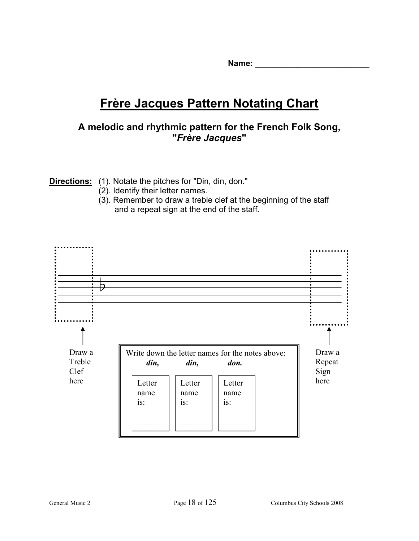Name:

# **Frère Jacques Pattern Notating Chart**

# **A melodic and rhythmic pattern for the French Folk Song, "***Frère Jacques***"**

**Directions:** (1). Notate the pitches for "Din, din, don."

- (2). Identify their letter names.
- (3). Remember to draw a treble clef at the beginning of the staff and a repeat sign at the end of the staff.

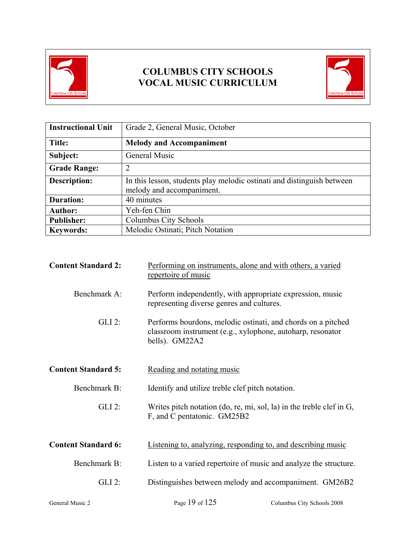

# **COLUMBUS CITY SCHOOLS VOCAL MUSIC CURRICULUM**



| <b>Instructional Unit</b> | Grade 2, General Music, October                                                                     |
|---------------------------|-----------------------------------------------------------------------------------------------------|
| Title:                    | <b>Melody and Accompaniment</b>                                                                     |
| Subject:                  | General Music                                                                                       |
| <b>Grade Range:</b>       | $\overline{2}$                                                                                      |
| <b>Description:</b>       | In this lesson, students play melodic ostinati and distinguish between<br>melody and accompaniment. |
| <b>Duration:</b>          | 40 minutes                                                                                          |
| <b>Author:</b>            | Yeh-fen Chin                                                                                        |
| <b>Publisher:</b>         | Columbus City Schools                                                                               |
| <b>Keywords:</b>          | Melodic Ostinati; Pitch Notation                                                                    |

| <b>Content Standard 2:</b> | Performing on instruments, alone and with others, a varied<br>repertoire of music                                                            |
|----------------------------|----------------------------------------------------------------------------------------------------------------------------------------------|
| Benchmark A:               | Perform independently, with appropriate expression, music<br>representing diverse genres and cultures.                                       |
| $GLI$ 2:                   | Performs bourdons, melodic ostinati, and chords on a pitched<br>classroom instrument (e.g., xylophone, autoharp, resonator<br>bells). GM22A2 |
| <b>Content Standard 5:</b> | Reading and notating music                                                                                                                   |
| Benchmark B:               | Identify and utilize treble clef pitch notation.                                                                                             |
| $GLI$ 2:                   | Writes pitch notation (do, re, mi, sol, la) in the treble clef in $G$ ,<br>F, and C pentatonic. GM25B2                                       |
| <b>Content Standard 6:</b> | Listening to, analyzing, responding to, and describing music                                                                                 |
| Benchmark B:               | Listen to a varied repertoire of music and analyze the structure.                                                                            |
| $GLI$ 2:                   | Distinguishes between melody and accompaniment. GM26B2                                                                                       |
| General Music 2            | Page 19 of 125<br>Columbus City Schools 2008                                                                                                 |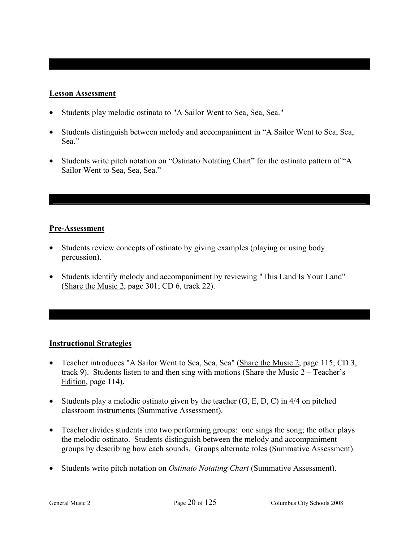### **Lesson Assessment**

- Students play melodic ostinato to "A Sailor Went to Sea, Sea, Sea."
- Students distinguish between melody and accompaniment in "A Sailor Went to Sea, Sea, Sea<sup>"</sup>
- Students write pitch notation on "Ostinato Notating Chart" for the ostinato pattern of "A Sailor Went to Sea, Sea, Sea."

# **Pre-Assessment**

- Students review concepts of ostinato by giving examples (playing or using body percussion).
- Students identify melody and accompaniment by reviewing "This Land Is Your Land" (Share the Music 2, page 301; CD 6, track 22).

# **Instructional Strategies**

- Teacher introduces "A Sailor Went to Sea, Sea, Sea" (Share the Music 2, page 115; CD 3, track 9). Students listen to and then sing with motions (Share the Music 2 – Teacher's Edition, page 114).
- Students play a melodic ostinato given by the teacher  $(G, E, D, C)$  in 4/4 on pitched classroom instruments (Summative Assessment).
- Teacher divides students into two performing groups: one sings the song; the other plays the melodic ostinato. Students distinguish between the melody and accompaniment groups by describing how each sounds. Groups alternate roles (Summative Assessment).
- Students write pitch notation on *Ostinato Notating Chart* (Summative Assessment).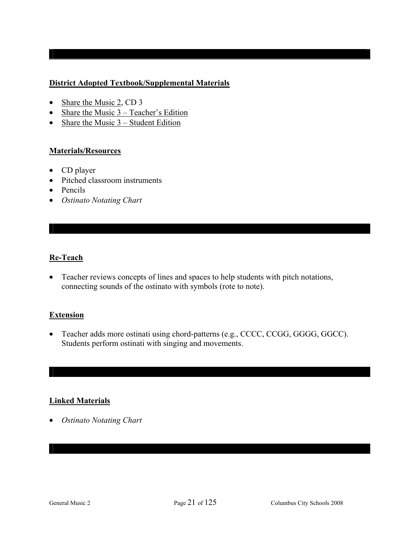# **District Adopted Textbook/Supplemental Materials**

- Share the Music 2, CD 3
- Share the Music 3 Teacher's Edition
- Share the Music  $3 -$  Student Edition

#### **Materials/Resources**

- CD player
- Pitched classroom instruments
- Pencils
- *Ostinato Notating Chart*

# **Re-Teach**

• Teacher reviews concepts of lines and spaces to help students with pitch notations, connecting sounds of the ostinato with symbols (rote to note).

#### **Extension**

• Teacher adds more ostinati using chord-patterns (e.g., CCCC, CCGG, GGGG, GGCC). Students perform ostinati with singing and movements.

# **Linked Materials**

• *Ostinato Notating Chart*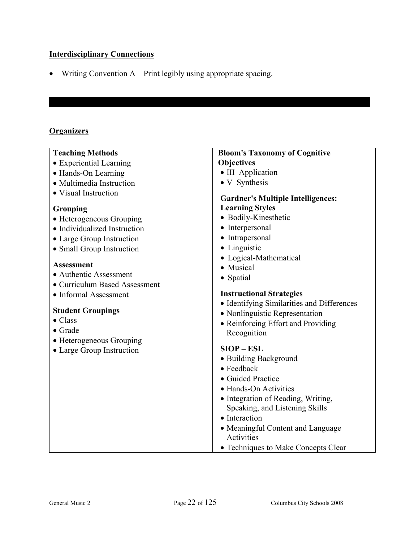# **Interdisciplinary Connections**

• Writing Convention A – Print legibly using appropriate spacing.

# **Organizers**

| <b>Objectives</b><br>• III Application<br>• V Synthesis                                                                                                                                                                                                                                                                                                                                                                                                                                                                                                                                                                                                              |
|----------------------------------------------------------------------------------------------------------------------------------------------------------------------------------------------------------------------------------------------------------------------------------------------------------------------------------------------------------------------------------------------------------------------------------------------------------------------------------------------------------------------------------------------------------------------------------------------------------------------------------------------------------------------|
|                                                                                                                                                                                                                                                                                                                                                                                                                                                                                                                                                                                                                                                                      |
|                                                                                                                                                                                                                                                                                                                                                                                                                                                                                                                                                                                                                                                                      |
|                                                                                                                                                                                                                                                                                                                                                                                                                                                                                                                                                                                                                                                                      |
|                                                                                                                                                                                                                                                                                                                                                                                                                                                                                                                                                                                                                                                                      |
| <b>Gardner's Multiple Intelligences:</b><br><b>Learning Styles</b><br>• Bodily-Kinesthetic<br>• Interpersonal<br>• Intrapersonal<br>• Linguistic<br>• Logical-Mathematical<br>• Musical<br>• Spatial<br><b>Instructional Strategies</b><br>• Identifying Similarities and Differences<br>• Nonlinguistic Representation<br>• Reinforcing Effort and Providing<br>Recognition<br>$SIOP - ESL$<br>• Building Background<br>• Feedback<br>• Guided Practice<br>• Hands-On Activities<br>• Integration of Reading, Writing,<br>Speaking, and Listening Skills<br>• Interaction<br>• Meaningful Content and Language<br>Activities<br>• Techniques to Make Concepts Clear |
|                                                                                                                                                                                                                                                                                                                                                                                                                                                                                                                                                                                                                                                                      |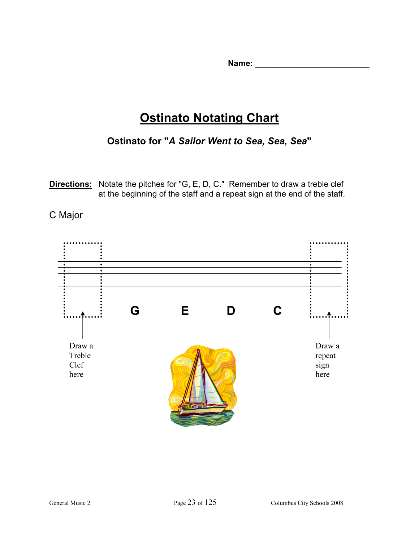**Name:**  $\blacksquare$ 

# **Ostinato Notating Chart**

**Ostinato for "***A Sailor Went to Sea, Sea, Sea***"** 

**Directions:** Notate the pitches for "G, E, D, C." Remember to draw a treble clef at the beginning of the staff and a repeat sign at the end of the staff.

# C Major

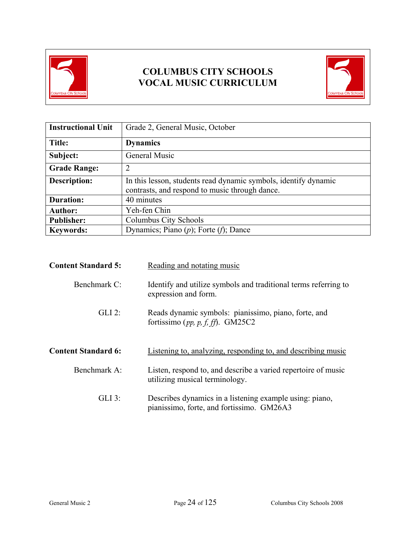

# **COLUMBUS CITY SCHOOLS VOCAL MUSIC CURRICULUM**



| <b>Instructional Unit</b> | Grade 2, General Music, October                                                                                   |
|---------------------------|-------------------------------------------------------------------------------------------------------------------|
| Title:                    | <b>Dynamics</b>                                                                                                   |
| Subject:                  | General Music                                                                                                     |
| <b>Grade Range:</b>       | っ                                                                                                                 |
| <b>Description:</b>       | In this lesson, students read dynamic symbols, identify dynamic<br>contrasts, and respond to music through dance. |
| <b>Duration:</b>          | 40 minutes                                                                                                        |
| <b>Author:</b>            | Yeh-fen Chin                                                                                                      |
| <b>Publisher:</b>         | Columbus City Schools                                                                                             |
| <b>Keywords:</b>          | Dynamics; Piano $(p)$ ; Forte $(f)$ ; Dance                                                                       |

| <b>Content Standard 5:</b> | Reading and notating music                                                                           |
|----------------------------|------------------------------------------------------------------------------------------------------|
| Benchmark C:               | Identify and utilize symbols and traditional terms referring to<br>expression and form.              |
| $GLI$ 2:                   | Reads dynamic symbols: pianissimo, piano, forte, and<br>fortissimo (pp, p, f, ff). GM25C2            |
| <b>Content Standard 6:</b> | Listening to, analyzing, responding to, and describing music                                         |
| Benchmark A:               | Listen, respond to, and describe a varied repertoire of music<br>utilizing musical terminology.      |
| $GLI$ 3:                   | Describes dynamics in a listening example using: piano,<br>pianissimo, forte, and fortissimo. GM26A3 |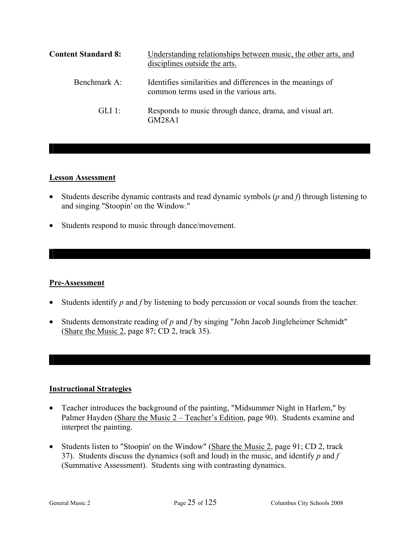| <b>Content Standard 8:</b> | Understanding relationships between music, the other arts, and<br>disciplines outside the arts.      |
|----------------------------|------------------------------------------------------------------------------------------------------|
| Benchmark A:               | Identifies similarities and differences in the meanings of<br>common terms used in the various arts. |
| GLI 1:                     | Responds to music through dance, drama, and visual art.<br>GM28A1                                    |

# **Lesson Assessment**

- Students describe dynamic contrasts and read dynamic symbols (*p* and *f*) through listening to and singing "Stoopin' on the Window."
- Students respond to music through dance/movement.

#### **Pre-Assessment**

- Students identify *p* and *f* by listening to body percussion or vocal sounds from the teacher.
- Students demonstrate reading of *p* and *f* by singing "John Jacob Jingleheimer Schmidt" (Share the Music 2, page 87; CD 2, track 35).

# **Instructional Strategies**

- Teacher introduces the background of the painting, "Midsummer Night in Harlem," by Palmer Hayden (Share the Music 2 – Teacher's Edition, page 90). Students examine and interpret the painting.
- Students listen to "Stoopin' on the Window" (Share the Music 2, page 91; CD 2, track 37). Students discuss the dynamics (soft and loud) in the music, and identify *p* and *f*  (Summative Assessment). Students sing with contrasting dynamics.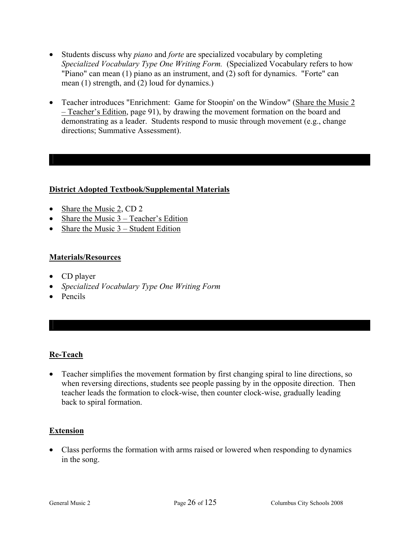- Students discuss why *piano* and *forte* are specialized vocabulary by completing *Specialized Vocabulary Type One Writing Form.* (Specialized Vocabulary refers to how "Piano" can mean (1) piano as an instrument, and (2) soft for dynamics. "Forte" can mean (1) strength, and (2) loud for dynamics.)
- Teacher introduces "Enrichment: Game for Stoopin' on the Window" (Share the Music 2 – Teacher's Edition, page 91), by drawing the movement formation on the board and demonstrating as a leader. Students respond to music through movement (e.g., change directions; Summative Assessment).

# **District Adopted Textbook/Supplemental Materials**

- Share the Music 2, CD 2
- Share the Music 3 Teacher's Edition
- Share the Music 3 Student Edition

# **Materials/Resources**

- CD player
- *Specialized Vocabulary Type One Writing Form*
- Pencils

# **Re-Teach**

• Teacher simplifies the movement formation by first changing spiral to line directions, so when reversing directions, students see people passing by in the opposite direction. Then teacher leads the formation to clock-wise, then counter clock-wise, gradually leading back to spiral formation.

# **Extension**

• Class performs the formation with arms raised or lowered when responding to dynamics in the song.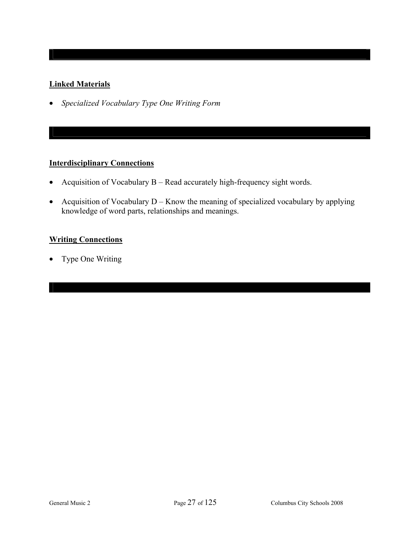# **Linked Materials**

• *Specialized Vocabulary Type One Writing Form* 

# **Interdisciplinary Connections**

- Acquisition of Vocabulary B Read accurately high-frequency sight words.
- Acquisition of Vocabulary  $D -$ Know the meaning of specialized vocabulary by applying knowledge of word parts, relationships and meanings.

# **Writing Connections**

• Type One Writing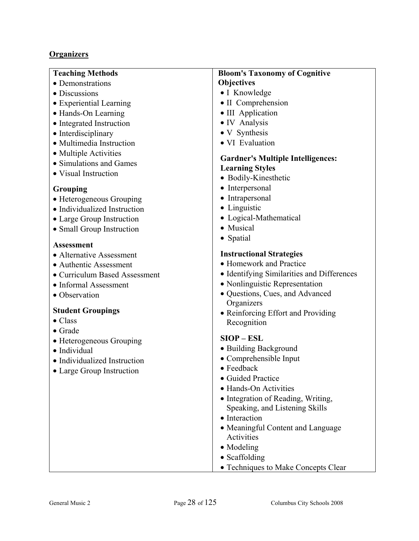# **Organizers**

| <b>Teaching Methods</b>       | <b>Bloom's Taxonomy of Cognitive</b>            |
|-------------------------------|-------------------------------------------------|
| • Demonstrations              | <b>Objectives</b>                               |
| • Discussions                 | • I Knowledge                                   |
| • Experiential Learning       | • II Comprehension                              |
| • Hands-On Learning           | • III Application                               |
| • Integrated Instruction      | • IV Analysis                                   |
| • Interdisciplinary           | • V Synthesis                                   |
| • Multimedia Instruction      | · VI Evaluation                                 |
| • Multiple Activities         |                                                 |
| • Simulations and Games       | <b>Gardner's Multiple Intelligences:</b>        |
| • Visual Instruction          | <b>Learning Styles</b>                          |
|                               | • Bodily-Kinesthetic                            |
| <b>Grouping</b>               | • Interpersonal                                 |
| • Heterogeneous Grouping      | • Intrapersonal<br>• Linguistic                 |
| • Individualized Instruction  |                                                 |
| • Large Group Instruction     | • Logical-Mathematical                          |
| • Small Group Instruction     | • Musical                                       |
| <b>Assessment</b>             | • Spatial                                       |
| • Alternative Assessment      | <b>Instructional Strategies</b>                 |
| · Authentic Assessment        | • Homework and Practice                         |
| • Curriculum Based Assessment | • Identifying Similarities and Differences      |
| • Informal Assessment         | · Nonlinguistic Representation                  |
| • Observation                 | · Questions, Cues, and Advanced                 |
|                               | Organizers                                      |
| <b>Student Groupings</b>      | • Reinforcing Effort and Providing              |
| $\bullet$ Class               | Recognition                                     |
| $\bullet$ Grade               |                                                 |
| • Heterogeneous Grouping      | $SIOP - ESL$                                    |
| · Individual                  | • Building Background                           |
| • Individualized Instruction  | • Comprehensible Input                          |
| • Large Group Instruction     | · Feedback                                      |
|                               | • Guided Practice                               |
|                               | • Hands-On Activities                           |
|                               | • Integration of Reading, Writing,              |
|                               | Speaking, and Listening Skills<br>• Interaction |
|                               |                                                 |
|                               | • Meaningful Content and Language<br>Activities |
|                               | • Modeling                                      |
|                               | • Scaffolding                                   |
|                               |                                                 |
|                               | • Techniques to Make Concepts Clear             |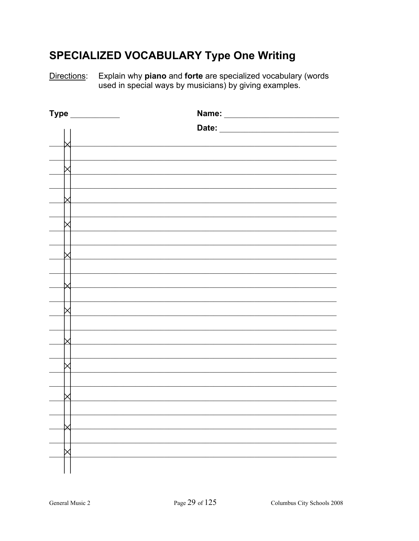# **SPECIALIZED VOCABULARY Type One Writing**

Explain why piano and forte are specialized vocabulary (words used in special ways by musicians) by giving examples. Directions:

| Type |       |
|------|-------|
|      | Date: |
|      |       |
|      |       |
|      |       |
|      |       |
|      |       |
|      |       |
|      |       |
|      |       |
|      |       |
|      |       |
|      |       |
|      |       |
|      |       |
|      |       |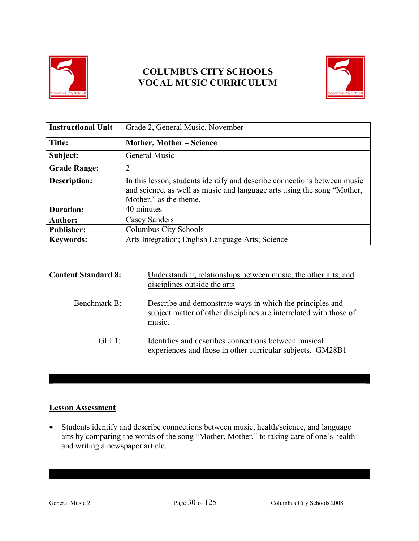

# **COLUMBUS CITY SCHOOLS VOCAL MUSIC CURRICULUM**



| <b>Instructional Unit</b> | Grade 2, General Music, November                                                                                                                                              |
|---------------------------|-------------------------------------------------------------------------------------------------------------------------------------------------------------------------------|
| Title:                    | <b>Mother, Mother – Science</b>                                                                                                                                               |
| Subject:                  | General Music                                                                                                                                                                 |
| <b>Grade Range:</b>       | $\overline{2}$                                                                                                                                                                |
| <b>Description:</b>       | In this lesson, students identify and describe connections between music<br>and science, as well as music and language arts using the song "Mother,<br>Mother," as the theme. |
| <b>Duration:</b>          | 40 minutes                                                                                                                                                                    |
| <b>Author:</b>            | <b>Casey Sanders</b>                                                                                                                                                          |
| <b>Publisher:</b>         | Columbus City Schools                                                                                                                                                         |
| <b>Keywords:</b>          | Arts Integration; English Language Arts; Science                                                                                                                              |

| <b>Content Standard 8:</b> | Understanding relationships between music, the other arts, and<br>disciplines outside the arts                                            |
|----------------------------|-------------------------------------------------------------------------------------------------------------------------------------------|
| Benchmark B:               | Describe and demonstrate ways in which the principles and<br>subject matter of other disciplines are interrelated with those of<br>music. |
| GLI 1:                     | Identifies and describes connections between musical<br>experiences and those in other curricular subjects. GM28B1                        |

# **Lesson Assessment**

• Students identify and describe connections between music, health/science, and language arts by comparing the words of the song "Mother, Mother," to taking care of one's health and writing a newspaper article.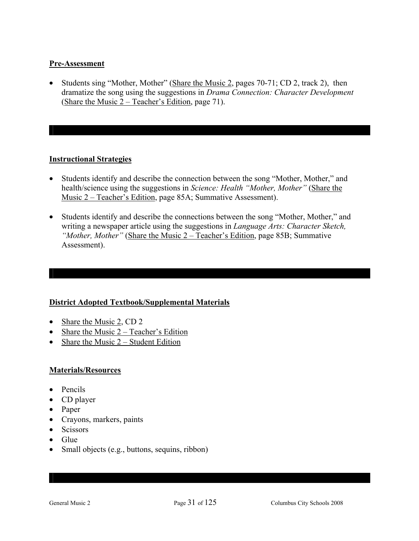### **Pre-Assessment**

• Students sing "Mother, Mother" (Share the Music 2, pages 70-71; CD 2, track 2), then dramatize the song using the suggestions in *Drama Connection: Character Development*  (Share the Music 2 – Teacher's Edition, page 71).

# **Instructional Strategies**

- Students identify and describe the connection between the song "Mother, Mother," and health/science using the suggestions in *Science: Health "Mother, Mother"* (Share the Music 2 – Teacher's Edition, page 85A; Summative Assessment).
- Students identify and describe the connections between the song "Mother, Mother," and writing a newspaper article using the suggestions in *Language Arts: Character Sketch, "Mother, Mother"* (Share the Music 2 – Teacher's Edition, page 85B; Summative Assessment).

# **District Adopted Textbook/Supplemental Materials**

- Share the Music 2, CD 2
- Share the Music 2 Teacher's Edition
- Share the Music  $2 -$  Student Edition

# **Materials/Resources**

- Pencils
- CD player
- Paper
- Crayons, markers, paints
- Scissors
- Glue
- Small objects (e.g., buttons, sequins, ribbon)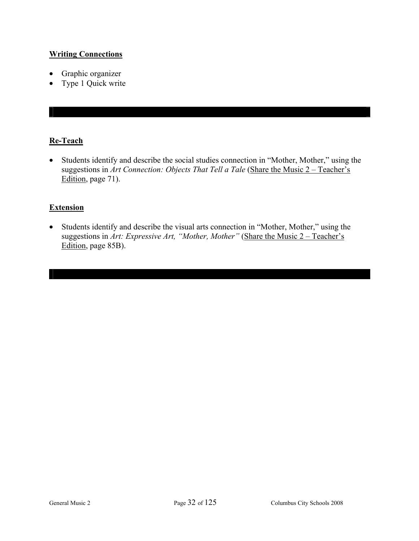# **Writing Connections**

- Graphic organizer
- Type 1 Quick write

# **Re-Teach**

• Students identify and describe the social studies connection in "Mother, Mother," using the suggestions in *Art Connection: Objects That Tell a Tale* (Share the Music 2 – Teacher's Edition, page 71).

# **Extension**

• Students identify and describe the visual arts connection in "Mother, Mother," using the suggestions in *Art: Expressive Art, "Mother, Mother"* (Share the Music 2 – Teacher's Edition, page 85B).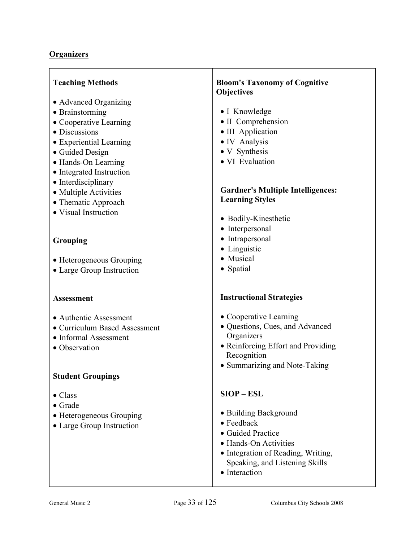| <b>Teaching Methods</b>       | <b>Bloom's Taxonomy of Cognitive</b>     |
|-------------------------------|------------------------------------------|
|                               | Objectives                               |
| • Advanced Organizing         |                                          |
| • Brainstorming               | • I Knowledge                            |
| • Cooperative Learning        | • II Comprehension                       |
| • Discussions                 | • III Application                        |
| · Experiential Learning       | • IV Analysis                            |
| • Guided Design               | • V Synthesis                            |
| • Hands-On Learning           | · VI Evaluation                          |
| • Integrated Instruction      |                                          |
| • Interdisciplinary           |                                          |
| • Multiple Activities         | <b>Gardner's Multiple Intelligences:</b> |
| • Thematic Approach           | <b>Learning Styles</b>                   |
| • Visual Instruction          |                                          |
|                               | • Bodily-Kinesthetic                     |
|                               | • Interpersonal                          |
| Grouping                      | • Intrapersonal                          |
|                               | • Linguistic                             |
| • Heterogeneous Grouping      | • Musical                                |
| • Large Group Instruction     | • Spatial                                |
|                               |                                          |
|                               |                                          |
| <b>Assessment</b>             | <b>Instructional Strategies</b>          |
|                               |                                          |
| • Authentic Assessment        | • Cooperative Learning                   |
| • Curriculum Based Assessment | · Questions, Cues, and Advanced          |
| • Informal Assessment         | Organizers                               |
| • Observation                 | • Reinforcing Effort and Providing       |
|                               | Recognition                              |
|                               | • Summarizing and Note-Taking            |
| <b>Student Groupings</b>      |                                          |
|                               |                                          |
| $\bullet$ Class               | $SIOP - ESL$                             |
| $\bullet$ Grade               |                                          |
| • Heterogeneous Grouping      | • Building Background                    |
| • Large Group Instruction     | $\bullet$ Feedback                       |
|                               | • Guided Practice                        |
|                               | • Hands-On Activities                    |
|                               | • Integration of Reading, Writing,       |
|                               | Speaking, and Listening Skills           |
|                               | • Interaction                            |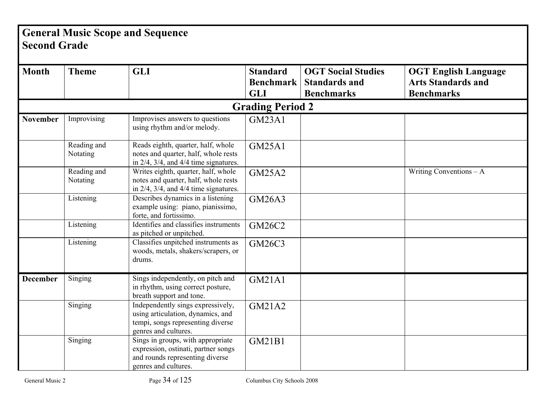# **General Music Scope and Sequence Second Grade**

| <b>Month</b>    | <b>Theme</b>            | <b>GLI</b>                                                                                                                          | <b>Standard</b><br><b>Benchmark</b> | <b>OGT Social Studies</b><br><b>Standards and</b> | <b>OGT English Language</b><br><b>Arts Standards and</b> |
|-----------------|-------------------------|-------------------------------------------------------------------------------------------------------------------------------------|-------------------------------------|---------------------------------------------------|----------------------------------------------------------|
|                 |                         |                                                                                                                                     | <b>GLI</b>                          | <b>Benchmarks</b>                                 | <b>Benchmarks</b>                                        |
|                 |                         |                                                                                                                                     | <b>Grading Period 2</b>             |                                                   |                                                          |
| <b>November</b> | Improvising             | Improvises answers to questions<br>using rhythm and/or melody.                                                                      | GM23A1                              |                                                   |                                                          |
|                 | Reading and<br>Notating | Reads eighth, quarter, half, whole<br>notes and quarter, half, whole rests<br>in $2/4$ , $3/4$ , and $4/4$ time signatures.         | <b>GM25A1</b>                       |                                                   |                                                          |
|                 | Reading and<br>Notating | Writes eighth, quarter, half, whole<br>notes and quarter, half, whole rests<br>in $2/4$ , $3/4$ , and $4/4$ time signatures.        | <b>GM25A2</b>                       |                                                   | Writing Conventions $-A$                                 |
|                 | Listening               | Describes dynamics in a listening<br>example using: piano, pianissimo,<br>forte, and fortissimo.                                    | <b>GM26A3</b>                       |                                                   |                                                          |
|                 | Listening               | Identifies and classifies instruments<br>as pitched or unpitched.                                                                   | <b>GM26C2</b>                       |                                                   |                                                          |
|                 | Listening               | Classifies unpitched instruments as<br>woods, metals, shakers/scrapers, or<br>drums.                                                | <b>GM26C3</b>                       |                                                   |                                                          |
| <b>December</b> | Singing                 | Sings independently, on pitch and<br>in rhythm, using correct posture,<br>breath support and tone.                                  | <b>GM21A1</b>                       |                                                   |                                                          |
|                 | Singing                 | Independently sings expressively,<br>using articulation, dynamics, and<br>tempi, songs representing diverse<br>genres and cultures. | GM21A2                              |                                                   |                                                          |
|                 | Singing                 | Sings in groups, with appropriate<br>expression, ostinati, partner songs<br>and rounds representing diverse<br>genres and cultures. | <b>GM21B1</b>                       |                                                   |                                                          |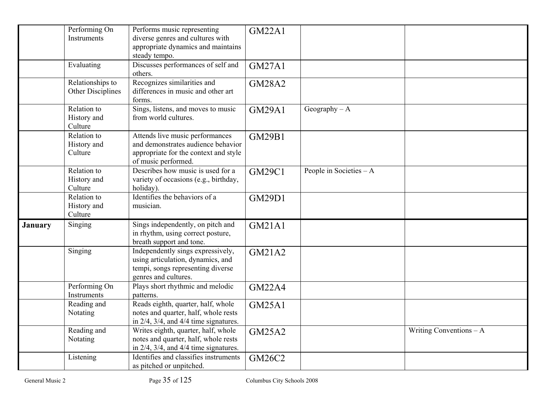|                | Performing On<br>Instruments          | Performs music representing<br>diverse genres and cultures with<br>appropriate dynamics and maintains<br>steady tempo.                | <b>GM22A1</b> |                          |                          |
|----------------|---------------------------------------|---------------------------------------------------------------------------------------------------------------------------------------|---------------|--------------------------|--------------------------|
|                | Evaluating                            | Discusses performances of self and<br>others.                                                                                         | <b>GM27A1</b> |                          |                          |
|                | Relationships to<br>Other Disciplines | Recognizes similarities and<br>differences in music and other art<br>forms.                                                           | <b>GM28A2</b> |                          |                          |
|                | Relation to<br>History and<br>Culture | Sings, listens, and moves to music<br>from world cultures.                                                                            | <b>GM29A1</b> | Geography $- A$          |                          |
|                | Relation to<br>History and<br>Culture | Attends live music performances<br>and demonstrates audience behavior<br>appropriate for the context and style<br>of music performed. | <b>GM29B1</b> |                          |                          |
|                | Relation to<br>History and<br>Culture | Describes how music is used for a<br>variety of occasions (e.g., birthday,<br>holiday).                                               | <b>GM29C1</b> | People in Societies $-A$ |                          |
|                | Relation to<br>History and<br>Culture | Identifies the behaviors of a<br>musician.                                                                                            | <b>GM29D1</b> |                          |                          |
| <b>January</b> | Singing                               | Sings independently, on pitch and<br>in rhythm, using correct posture,<br>breath support and tone.                                    | <b>GM21A1</b> |                          |                          |
|                | Singing                               | Independently sings expressively,<br>using articulation, dynamics, and<br>tempi, songs representing diverse<br>genres and cultures.   | <b>GM21A2</b> |                          |                          |
|                | Performing On<br>Instruments          | Plays short rhythmic and melodic<br>patterns.                                                                                         | <b>GM22A4</b> |                          |                          |
|                | Reading and<br>Notating               | Reads eighth, quarter, half, whole<br>notes and quarter, half, whole rests<br>in $2/4$ , $3/4$ , and $4/4$ time signatures.           | <b>GM25A1</b> |                          |                          |
|                | Reading and<br>Notating               | Writes eighth, quarter, half, whole<br>notes and quarter, half, whole rests<br>in $2/4$ , $3/4$ , and $4/4$ time signatures.          | <b>GM25A2</b> |                          | Writing Conventions $-A$ |
|                | Listening                             | Identifies and classifies instruments<br>as pitched or unpitched.                                                                     | <b>GM26C2</b> |                          |                          |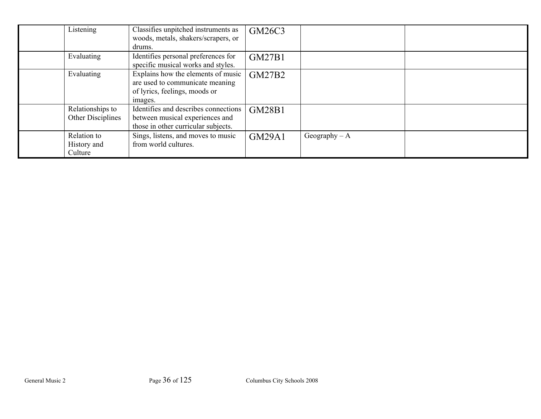| Listening                             | Classifies unpitched instruments as<br>woods, metals, shakers/scrapers, or<br>drums.                              | GM26C3        |                 |  |
|---------------------------------------|-------------------------------------------------------------------------------------------------------------------|---------------|-----------------|--|
| Evaluating                            | Identifies personal preferences for<br>specific musical works and styles.                                         | <b>GM27B1</b> |                 |  |
| Evaluating                            | Explains how the elements of music<br>are used to communicate meaning<br>of lyrics, feelings, moods or<br>images. | <b>GM27B2</b> |                 |  |
| Relationships to<br>Other Disciplines | Identifies and describes connections<br>between musical experiences and<br>those in other curricular subjects.    | GM28B1        |                 |  |
| Relation to<br>History and<br>Culture | Sings, listens, and moves to music<br>from world cultures.                                                        | <b>GM29A1</b> | Geography $- A$ |  |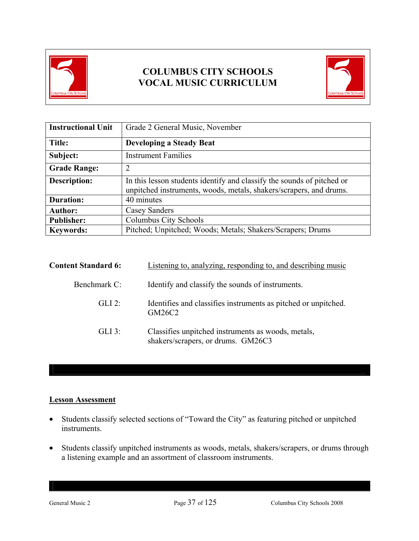



| <b>Instructional Unit</b> | Grade 2 General Music, November                                                                                                              |
|---------------------------|----------------------------------------------------------------------------------------------------------------------------------------------|
| Title:                    | <b>Developing a Steady Beat</b>                                                                                                              |
| Subject:                  | <b>Instrument Families</b>                                                                                                                   |
| <b>Grade Range:</b>       | 2                                                                                                                                            |
| <b>Description:</b>       | In this lesson students identify and classify the sounds of pitched or<br>unpitched instruments, woods, metals, shakers/scrapers, and drums. |
| <b>Duration:</b>          | 40 minutes                                                                                                                                   |
| <b>Author:</b>            | Casey Sanders                                                                                                                                |
| <b>Publisher:</b>         | Columbus City Schools                                                                                                                        |
| <b>Keywords:</b>          | Pitched; Unpitched; Woods; Metals; Shakers/Scrapers; Drums                                                                                   |

| <b>Content Standard 6:</b> | Listening to, analyzing, responding to, and describing music                             |
|----------------------------|------------------------------------------------------------------------------------------|
| Benchmark C:               | Identify and classify the sounds of instruments.                                         |
| $GLI$ 2:                   | Identifies and classifies instruments as pitched or unpitched.<br>GM26C2                 |
| $GLI$ 3:                   | Classifies unpitched instruments as woods, metals,<br>shakers/scrapers, or drums. GM26C3 |

### **Lesson Assessment**

- Students classify selected sections of "Toward the City" as featuring pitched or unpitched instruments.
- Students classify unpitched instruments as woods, metals, shakers/scrapers, or drums through a listening example and an assortment of classroom instruments.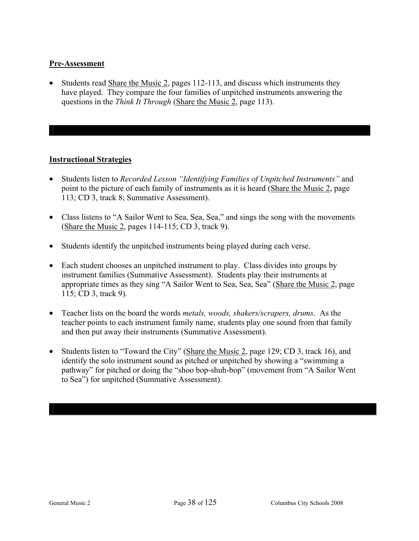#### **Pre-Assessment**

• Students read Share the Music 2, pages 112-113, and discuss which instruments they have played. They compare the four families of unpitched instruments answering the questions in the *Think It Through* (Share the Music 2, page 113).

- Students listen to *Recorded Lesson "Identifying Families of Unpitched Instruments"* and point to the picture of each family of instruments as it is heard (Share the Music 2, page 113; CD 3, track 8; Summative Assessment).
- Class listens to "A Sailor Went to Sea, Sea, Sea," and sings the song with the movements (Share the Music 2, pages 114-115; CD 3, track 9).
- Students identify the unpitched instruments being played during each verse.
- Each student chooses an unpitched instrument to play. Class divides into groups by instrument families (Summative Assessment). Students play their instruments at appropriate times as they sing "A Sailor Went to Sea, Sea, Sea" (Share the Music 2, page 115; CD 3, track 9).
- Teacher lists on the board the words *metals, woods, shakers/scrapers, drums*. As the teacher points to each instrument family name, students play one sound from that family and then put away their instruments (Summative Assessment).
- Students listen to "Toward the City" (Share the Music 2, page 129; CD 3, track 16), and identify the solo instrument sound as pitched or unpitched by showing a "swimming a pathway" for pitched or doing the "shoo bop-shuh-bop" (movement from "A Sailor Went to Sea") for unpitched (Summative Assessment).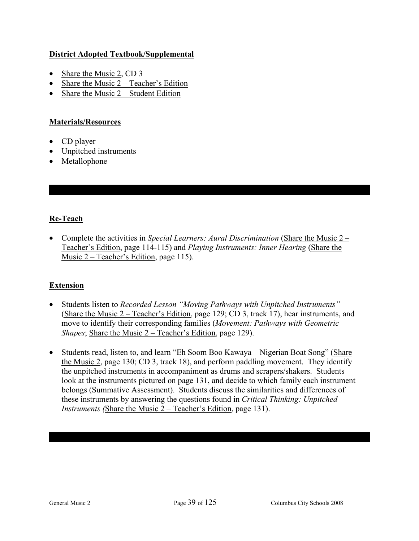### **District Adopted Textbook/Supplemental**

- Share the Music 2, CD 3
- Share the Music 2 Teacher's Edition
- Share the Music  $2 -$  Student Edition

#### **Materials/Resources**

- CD player
- Unpitched instruments
- Metallophone

## **Re-Teach**

• Complete the activities in *Special Learners: Aural Discrimination* (Share the Music 2 – Teacher's Edition, page 114-115) and *Playing Instruments: Inner Hearing* (Share the Music 2 – Teacher's Edition, page 115).

## **Extension**

- Students listen to *Recorded Lesson "Moving Pathways with Unpitched Instruments"* (Share the Music 2 – Teacher's Edition, page 129; CD 3, track 17), hear instruments, and move to identify their corresponding families (*Movement: Pathways with Geometric Shapes*; Share the Music 2 – Teacher's Edition, page 129).
- Students read, listen to, and learn "Eh Soom Boo Kawaya Nigerian Boat Song" (Share the Music 2, page 130; CD 3, track 18), and perform paddling movement. They identify the unpitched instruments in accompaniment as drums and scrapers/shakers. Students look at the instruments pictured on page 131, and decide to which family each instrument belongs (Summative Assessment). Students discuss the similarities and differences of these instruments by answering the questions found in *Critical Thinking: Unpitched Instruments (*Share the Music 2 – Teacher's Edition, page 131).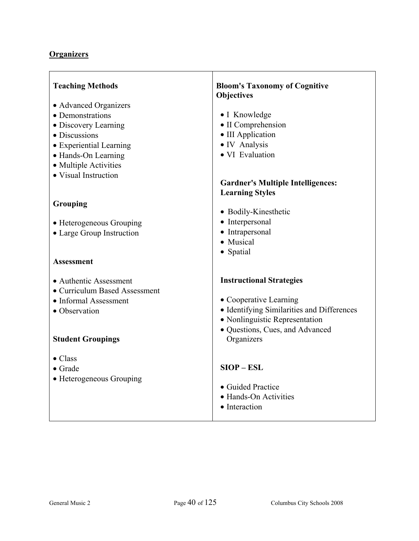| <b>Teaching Methods</b><br>• Advanced Organizers<br>• Demonstrations<br>• Discovery Learning<br>· Discussions<br>• Experiential Learning<br>• Hands-On Learning<br>• Multiple Activities<br>• Visual Instruction | <b>Bloom's Taxonomy of Cognitive</b><br><b>Objectives</b><br>• I Knowledge<br>• II Comprehension<br>• III Application<br>• IV Analysis<br>• VI Evaluation<br><b>Gardner's Multiple Intelligences:</b><br><b>Learning Styles</b> |
|------------------------------------------------------------------------------------------------------------------------------------------------------------------------------------------------------------------|---------------------------------------------------------------------------------------------------------------------------------------------------------------------------------------------------------------------------------|
| Grouping<br>• Heterogeneous Grouping<br>• Large Group Instruction<br><b>Assessment</b>                                                                                                                           | • Bodily-Kinesthetic<br>• Interpersonal<br>• Intrapersonal<br>• Musical<br>• Spatial                                                                                                                                            |
| • Authentic Assessment<br>• Curriculum Based Assessment<br>• Informal Assessment<br>• Observation<br><b>Student Groupings</b>                                                                                    | <b>Instructional Strategies</b><br>• Cooperative Learning<br>• Identifying Similarities and Differences<br>• Nonlinguistic Representation<br>· Questions, Cues, and Advanced<br>Organizers                                      |
| $\bullet$ Class<br>$\bullet$ Grade<br>• Heterogeneous Grouping                                                                                                                                                   | $SIOP - ESL$<br>• Guided Practice<br>• Hands-On Activities<br>• Interaction                                                                                                                                                     |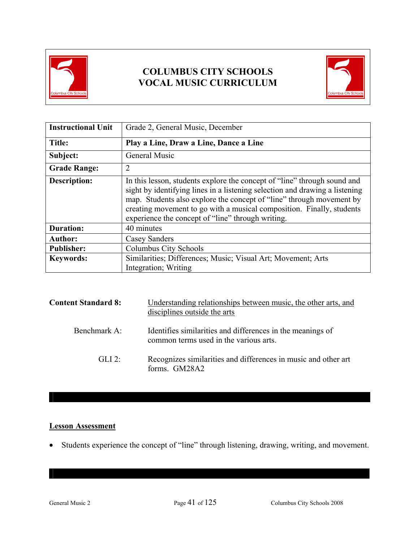



| <b>Instructional Unit</b> | Grade 2, General Music, December                                                                                                                                                                                                                                                                                                                              |
|---------------------------|---------------------------------------------------------------------------------------------------------------------------------------------------------------------------------------------------------------------------------------------------------------------------------------------------------------------------------------------------------------|
| Title:                    | Play a Line, Draw a Line, Dance a Line                                                                                                                                                                                                                                                                                                                        |
| Subject:                  | <b>General Music</b>                                                                                                                                                                                                                                                                                                                                          |
| <b>Grade Range:</b>       | 2                                                                                                                                                                                                                                                                                                                                                             |
| <b>Description:</b>       | In this lesson, students explore the concept of "line" through sound and<br>sight by identifying lines in a listening selection and drawing a listening<br>map. Students also explore the concept of "line" through movement by<br>creating movement to go with a musical composition. Finally, students<br>experience the concept of "line" through writing. |
| <b>Duration:</b>          | 40 minutes                                                                                                                                                                                                                                                                                                                                                    |
| <b>Author:</b>            | Casey Sanders                                                                                                                                                                                                                                                                                                                                                 |
| <b>Publisher:</b>         | Columbus City Schools                                                                                                                                                                                                                                                                                                                                         |
| <b>Keywords:</b>          | Similarities; Differences; Music; Visual Art; Movement; Arts<br>Integration; Writing                                                                                                                                                                                                                                                                          |

| <b>Content Standard 8:</b> | Understanding relationships between music, the other arts, and<br>disciplines outside the arts       |
|----------------------------|------------------------------------------------------------------------------------------------------|
| Benchmark A:               | Identifies similarities and differences in the meanings of<br>common terms used in the various arts. |
| $GLI$ 2:                   | Recognizes similarities and differences in music and other art<br>forms. GM28A2                      |

## **Lesson Assessment**

• Students experience the concept of "line" through listening, drawing, writing, and movement.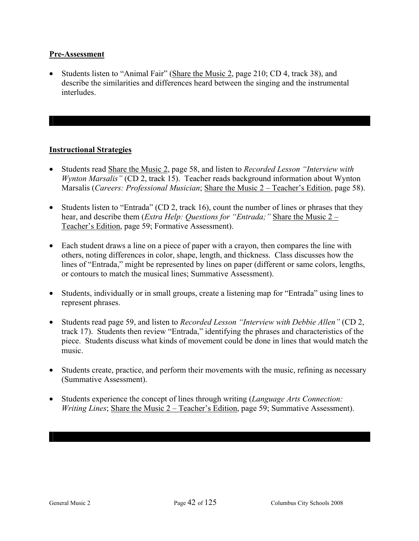#### **Pre-Assessment**

• Students listen to "Animal Fair" (Share the Music 2, page 210; CD 4, track 38), and describe the similarities and differences heard between the singing and the instrumental **interludes** 

- Students read Share the Music 2, page 58, and listen to *Recorded Lesson "Interview with Wynton Marsalis"* (CD 2, track 15). Teacher reads background information about Wynton Marsalis (*Careers: Professional Musician*; Share the Music 2 – Teacher's Edition, page 58).
- Students listen to "Entrada" (CD 2, track 16), count the number of lines or phrases that they hear, and describe them (*Extra Help: Questions for "Entrada;"* Share the Music 2 – Teacher's Edition, page 59; Formative Assessment).
- Each student draws a line on a piece of paper with a crayon, then compares the line with others, noting differences in color, shape, length, and thickness. Class discusses how the lines of "Entrada," might be represented by lines on paper (different or same colors, lengths, or contours to match the musical lines; Summative Assessment).
- Students, individually or in small groups, create a listening map for "Entrada" using lines to represent phrases.
- Students read page 59, and listen to *Recorded Lesson "Interview with Debbie Allen"* (CD 2, track 17). Students then review "Entrada," identifying the phrases and characteristics of the piece. Students discuss what kinds of movement could be done in lines that would match the music.
- Students create, practice, and perform their movements with the music, refining as necessary (Summative Assessment).
- Students experience the concept of lines through writing (*Language Arts Connection: Writing Lines*; Share the Music 2 – Teacher's Edition, page 59; Summative Assessment).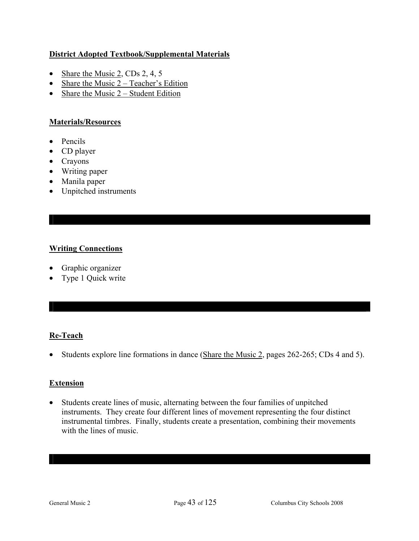### **District Adopted Textbook/Supplemental Materials**

- Share the Music 2, CDs 2, 4, 5
- Share the Music  $2 Teacher's Edition$
- Share the Music  $2 -$  Student Edition

#### **Materials/Resources**

- Pencils
- CD player
- Crayons
- Writing paper
- Manila paper
- Unpitched instruments

### **Writing Connections**

- Graphic organizer
- Type 1 Quick write

## **Re-Teach**

• Students explore line formations in dance (Share the Music 2, pages 262-265; CDs 4 and 5).

#### **Extension**

• Students create lines of music, alternating between the four families of unpitched instruments. They create four different lines of movement representing the four distinct instrumental timbres. Finally, students create a presentation, combining their movements with the lines of music.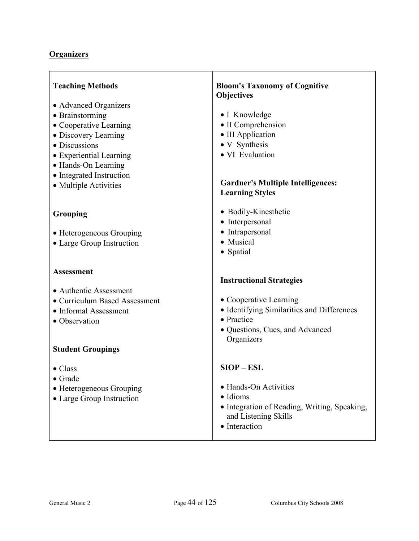| <b>Teaching Methods</b><br>• Advanced Organizers<br>• Brainstorming<br>• Cooperative Learning<br>• Discovery Learning<br>• Discussions<br>• Experiential Learning<br>• Hands-On Learning<br>• Integrated Instruction<br>• Multiple Activities | <b>Bloom's Taxonomy of Cognitive</b><br>Objectives<br>• I Knowledge<br>• II Comprehension<br>• III Application<br>• V Synthesis<br>· VI Evaluation<br><b>Gardner's Multiple Intelligences:</b><br><b>Learning Styles</b> |
|-----------------------------------------------------------------------------------------------------------------------------------------------------------------------------------------------------------------------------------------------|--------------------------------------------------------------------------------------------------------------------------------------------------------------------------------------------------------------------------|
| Grouping<br>• Heterogeneous Grouping<br>• Large Group Instruction                                                                                                                                                                             | • Bodily-Kinesthetic<br>• Interpersonal<br>• Intrapersonal<br>• Musical<br>• Spatial                                                                                                                                     |
| <b>Assessment</b><br>• Authentic Assessment<br>• Curriculum Based Assessment<br>• Informal Assessment<br>• Observation<br><b>Student Groupings</b>                                                                                            | <b>Instructional Strategies</b><br>• Cooperative Learning<br>• Identifying Similarities and Differences<br>• Practice<br>· Questions, Cues, and Advanced<br>Organizers                                                   |
| $\bullet$ Class<br>• Grade<br>• Heterogeneous Grouping<br>• Large Group Instruction                                                                                                                                                           | $SIOP - ESL$<br>• Hands-On Activities<br>· Idioms<br>• Integration of Reading, Writing, Speaking,<br>and Listening Skills<br>• Interaction                                                                               |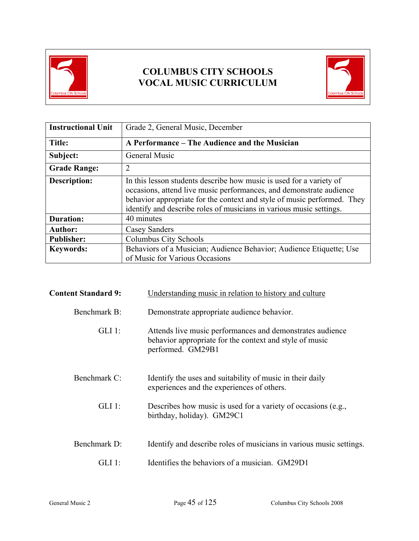



| <b>Instructional Unit</b> | Grade 2, General Music, December                                                                                                                                                                                                                                                             |
|---------------------------|----------------------------------------------------------------------------------------------------------------------------------------------------------------------------------------------------------------------------------------------------------------------------------------------|
| Title:                    | A Performance – The Audience and the Musician                                                                                                                                                                                                                                                |
| Subject:                  | <b>General Music</b>                                                                                                                                                                                                                                                                         |
| <b>Grade Range:</b>       | $\overline{2}$                                                                                                                                                                                                                                                                               |
| Description:              | In this lesson students describe how music is used for a variety of<br>occasions, attend live music performances, and demonstrate audience<br>behavior appropriate for the context and style of music performed. They<br>identify and describe roles of musicians in various music settings. |
| <b>Duration:</b>          | 40 minutes                                                                                                                                                                                                                                                                                   |
| <b>Author:</b>            | Casey Sanders                                                                                                                                                                                                                                                                                |
| <b>Publisher:</b>         | Columbus City Schools                                                                                                                                                                                                                                                                        |
| <b>Keywords:</b>          | Behaviors of a Musician; Audience Behavior; Audience Etiquette; Use<br>of Music for Various Occasions                                                                                                                                                                                        |

| <b>Content Standard 9:</b> | Understanding music in relation to history and culture                                                                                    |
|----------------------------|-------------------------------------------------------------------------------------------------------------------------------------------|
| Benchmark B:               | Demonstrate appropriate audience behavior.                                                                                                |
| $GLI$ 1:                   | Attends live music performances and demonstrates audience<br>behavior appropriate for the context and style of music<br>performed. GM29B1 |
| Benchmark C:               | Identify the uses and suitability of music in their daily<br>experiences and the experiences of others.                                   |
| $GLI$ 1:                   | Describes how music is used for a variety of occasions (e.g.,<br>birthday, holiday). GM29C1                                               |
| Benchmark D:               | Identify and describe roles of musicians in various music settings.                                                                       |
| GLI 1+                     | Identifies the behaviors of a musician. GM29D1                                                                                            |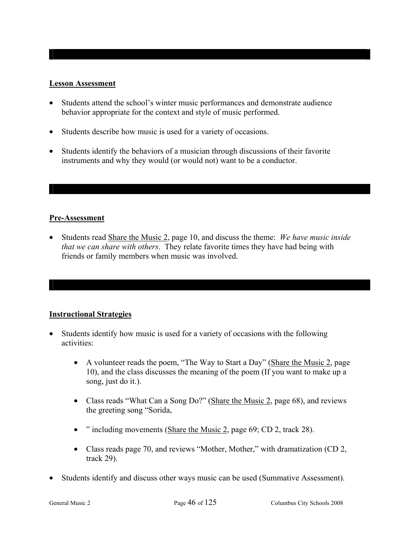#### **Lesson Assessment**

- Students attend the school's winter music performances and demonstrate audience behavior appropriate for the context and style of music performed.
- Students describe how music is used for a variety of occasions.
- Students identify the behaviors of a musician through discussions of their favorite instruments and why they would (or would not) want to be a conductor.

#### **Pre-Assessment**

• Students read Share the Music 2, page 10, and discuss the theme: *We have music inside that we can share with others*. They relate favorite times they have had being with friends or family members when music was involved.

- Students identify how music is used for a variety of occasions with the following activities:
	- A volunteer reads the poem, "The Way to Start a Day" (Share the Music 2, page 10), and the class discusses the meaning of the poem (If you want to make up a song, just do it.).
	- Class reads "What Can a Song Do?" (Share the Music 2, page 68), and reviews the greeting song "Sorida,
	- " including movements (Share the Music 2, page 69; CD 2, track 28).
	- Class reads page 70, and reviews "Mother, Mother," with dramatization (CD 2, track 29).
- Students identify and discuss other ways music can be used (Summative Assessment).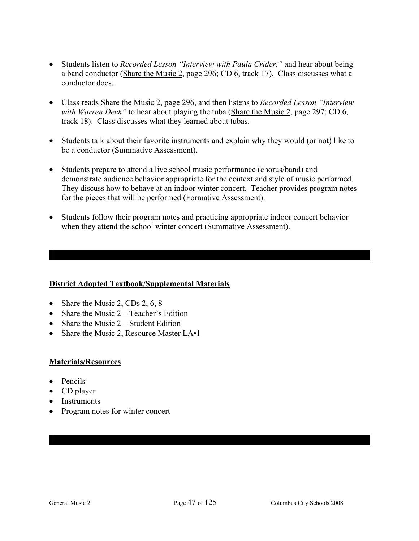- Students listen to *Recorded Lesson "Interview with Paula Crider,"* and hear about being a band conductor (Share the Music 2, page 296; CD 6, track 17). Class discusses what a conductor does.
- Class reads Share the Music 2, page 296, and then listens to *Recorded Lesson "Interview with Warren Deck*" to hear about playing the tuba (Share the Music 2, page 297; CD 6, track 18). Class discusses what they learned about tubas.
- Students talk about their favorite instruments and explain why they would (or not) like to be a conductor (Summative Assessment).
- Students prepare to attend a live school music performance (chorus/band) and demonstrate audience behavior appropriate for the context and style of music performed. They discuss how to behave at an indoor winter concert. Teacher provides program notes for the pieces that will be performed (Formative Assessment).
- Students follow their program notes and practicing appropriate indoor concert behavior when they attend the school winter concert (Summative Assessment).

#### **District Adopted Textbook/Supplemental Materials**

- Share the Music 2, CDs 2,  $6, 8$
- Share the Music  $2 Teacher's Edition$
- Share the Music  $2 -$  Student Edition
- Share the Music 2, Resource Master LA•1

#### **Materials/Resources**

- Pencils
- CD player
- Instruments
- Program notes for winter concert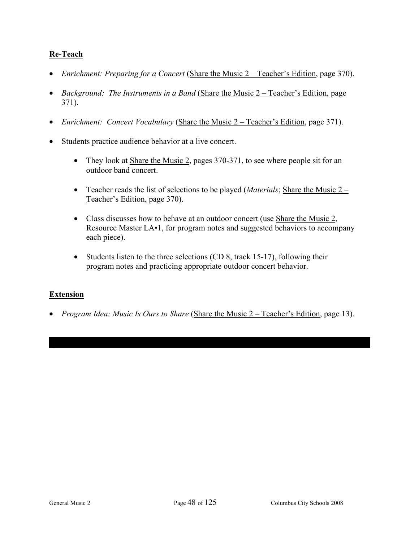### **Re-Teach**

- *Enrichment: Preparing for a Concert* (Share the Music 2 Teacher's Edition, page 370).
- *Background: The Instruments in a Band* (Share the Music 2 Teacher's Edition, page 371).
- *Enrichment: Concert Vocabulary* (Share the Music 2 Teacher's Edition, page 371).
- Students practice audience behavior at a live concert.
	- They look at Share the Music 2, pages 370-371, to see where people sit for an outdoor band concert.
	- Teacher reads the list of selections to be played (*Materials*; Share the Music 2 Teacher's Edition, page 370).
	- Class discusses how to behave at an outdoor concert (use Share the Music 2, Resource Master LA•1, for program notes and suggested behaviors to accompany each piece).
	- Students listen to the three selections (CD 8, track 15-17), following their program notes and practicing appropriate outdoor concert behavior.

#### **Extension**

• *Program Idea: Music Is Ours to Share* (Share the Music 2 – Teacher's Edition, page 13).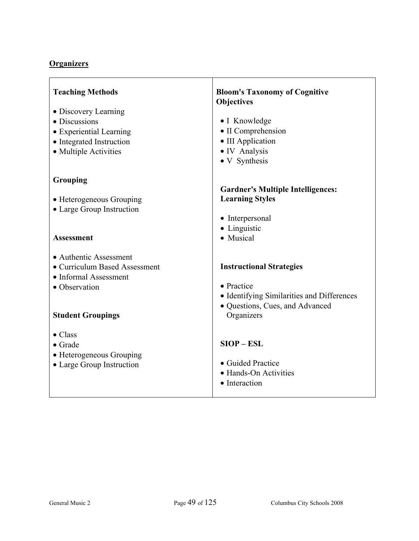| <b>Teaching Methods</b><br>• Discovery Learning<br>• Discussions<br>• Experiential Learning<br>• Integrated Instruction<br>• Multiple Activities | <b>Bloom's Taxonomy of Cognitive</b><br><b>Objectives</b><br>• I Knowledge<br>• II Comprehension<br>• III Application<br>• IV Analysis<br>• V Synthesis |
|--------------------------------------------------------------------------------------------------------------------------------------------------|---------------------------------------------------------------------------------------------------------------------------------------------------------|
| Grouping                                                                                                                                         |                                                                                                                                                         |
| • Heterogeneous Grouping<br>• Large Group Instruction<br><b>Assessment</b>                                                                       | <b>Gardner's Multiple Intelligences:</b><br><b>Learning Styles</b><br>• Interpersonal<br>• Linguistic<br>• Musical                                      |
|                                                                                                                                                  |                                                                                                                                                         |
| • Authentic Assessment<br>• Curriculum Based Assessment<br>• Informal Assessment<br>• Observation<br><b>Student Groupings</b>                    | <b>Instructional Strategies</b><br>• Practice<br>• Identifying Similarities and Differences<br>· Questions, Cues, and Advanced<br>Organizers            |
| $\bullet$ Class<br>$\bullet$ Grade<br>• Heterogeneous Grouping<br>• Large Group Instruction                                                      | $SIOP - ESL$<br>• Guided Practice<br>• Hands-On Activities<br>• Interaction                                                                             |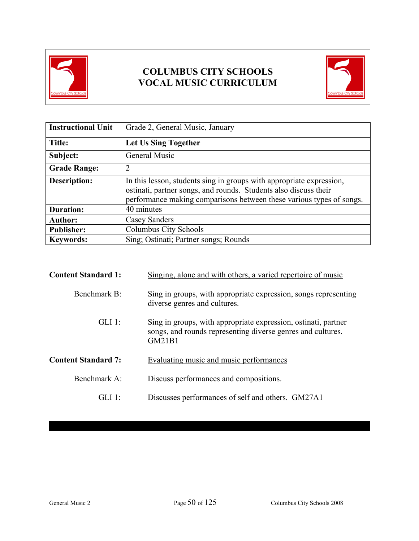



| <b>Instructional Unit</b> | Grade 2, General Music, January                                                                                                                                                                                  |
|---------------------------|------------------------------------------------------------------------------------------------------------------------------------------------------------------------------------------------------------------|
| <b>Title:</b>             | Let Us Sing Together                                                                                                                                                                                             |
| Subject:                  | <b>General Music</b>                                                                                                                                                                                             |
| <b>Grade Range:</b>       | 2                                                                                                                                                                                                                |
| <b>Description:</b>       | In this lesson, students sing in groups with appropriate expression,<br>ostinati, partner songs, and rounds. Students also discuss their<br>performance making comparisons between these various types of songs. |
| <b>Duration:</b>          | 40 minutes                                                                                                                                                                                                       |
| <b>Author:</b>            | Casey Sanders                                                                                                                                                                                                    |
| <b>Publisher:</b>         | Columbus City Schools                                                                                                                                                                                            |
| <b>Keywords:</b>          | Sing; Ostinati; Partner songs; Rounds                                                                                                                                                                            |

| <b>Content Standard 1:</b> | Singing, alone and with others, a varied repertoire of music                                                                                   |
|----------------------------|------------------------------------------------------------------------------------------------------------------------------------------------|
| Benchmark B:               | Sing in groups, with appropriate expression, songs representing<br>diverse genres and cultures.                                                |
| $GLI$ 1:                   | Sing in groups, with appropriate expression, ostinati, partner<br>songs, and rounds representing diverse genres and cultures.<br><b>GM21B1</b> |
| <b>Content Standard 7:</b> | Evaluating music and music performances                                                                                                        |
| Benchmark A:               | Discuss performances and compositions.                                                                                                         |
| GL11                       | Discusses performances of self and others. GM27A1                                                                                              |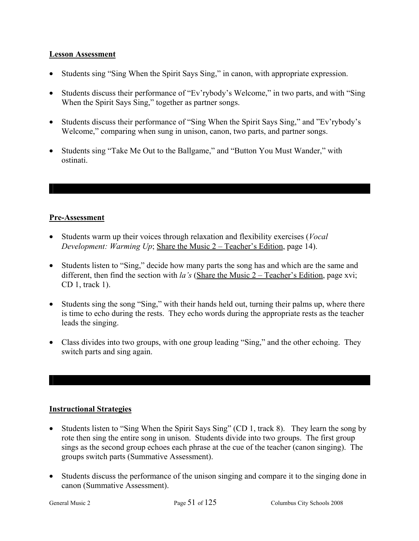#### **Lesson Assessment**

- Students sing "Sing When the Spirit Says Sing," in canon, with appropriate expression.
- Students discuss their performance of "Ev'rybody's Welcome," in two parts, and with "Sing When the Spirit Says Sing," together as partner songs.
- Students discuss their performance of "Sing When the Spirit Says Sing," and "Ev'rybody's Welcome," comparing when sung in unison, canon, two parts, and partner songs.
- Students sing "Take Me Out to the Ballgame," and "Button You Must Wander," with ostinati.

### **Pre-Assessment**

- Students warm up their voices through relaxation and flexibility exercises (*Vocal Development: Warming Up*; Share the Music 2 – Teacher's Edition, page 14).
- Students listen to "Sing," decide how many parts the song has and which are the same and different, then find the section with *la's* (Share the Music 2 – Teacher's Edition, page xvi; CD 1, track 1).
- Students sing the song "Sing," with their hands held out, turning their palms up, where there is time to echo during the rests. They echo words during the appropriate rests as the teacher leads the singing.
- Class divides into two groups, with one group leading "Sing," and the other echoing. They switch parts and sing again.

- Students listen to "Sing When the Spirit Says Sing" (CD 1, track 8). They learn the song by rote then sing the entire song in unison. Students divide into two groups. The first group sings as the second group echoes each phrase at the cue of the teacher (canon singing). The groups switch parts (Summative Assessment).
- Students discuss the performance of the unison singing and compare it to the singing done in canon (Summative Assessment).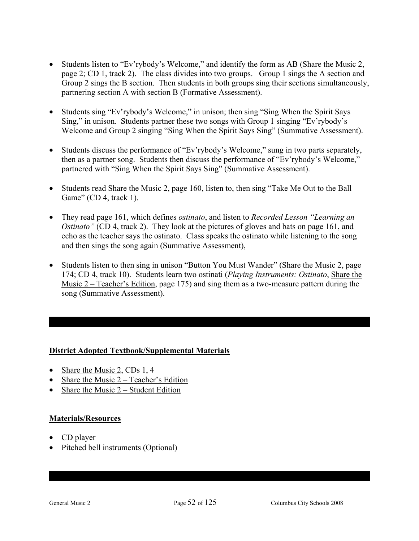- Students listen to "Ev'rybody's Welcome," and identify the form as AB (Share the Music 2, page 2; CD 1, track 2). The class divides into two groups. Group 1 sings the A section and Group 2 sings the B section. Then students in both groups sing their sections simultaneously, partnering section A with section B (Formative Assessment).
- Students sing "Ev'rybody's Welcome," in unison; then sing "Sing When the Spirit Says Sing," in unison. Students partner these two songs with Group 1 singing "Ev'rybody's Welcome and Group 2 singing "Sing When the Spirit Says Sing" (Summative Assessment).
- Students discuss the performance of "Ev'rybody's Welcome," sung in two parts separately, then as a partner song. Students then discuss the performance of "Ev'rybody's Welcome," partnered with "Sing When the Spirit Says Sing" (Summative Assessment).
- Students read Share the Music 2, page 160, listen to, then sing "Take Me Out to the Ball Game" (CD 4, track 1).
- They read page 161, which defines *ostinato*, and listen to *Recorded Lesson "Learning an Ostinato*" (CD 4, track 2). They look at the pictures of gloves and bats on page 161, and echo as the teacher says the ostinato. Class speaks the ostinato while listening to the song and then sings the song again (Summative Assessment),
- Students listen to then sing in unison "Button You Must Wander" (Share the Music 2, page 174; CD 4, track 10). Students learn two ostinati (*Playing Instruments: Ostinato*, Share the Music 2 – Teacher's Edition, page 175) and sing them as a two-measure pattern during the song (Summative Assessment).

#### **District Adopted Textbook/Supplemental Materials**

- Share the Music 2, CDs 1, 4
- Share the Music 2 Teacher's Edition
- Share the Music  $2 -$  Student Edition

#### **Materials/Resources**

- CD player
- Pitched bell instruments (Optional)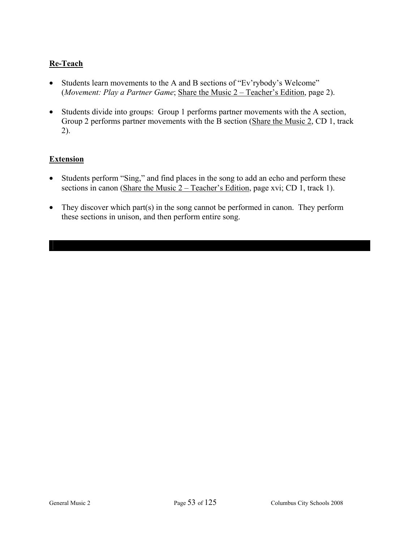## **Re-Teach**

- Students learn movements to the A and B sections of "Ev'rybody's Welcome" (*Movement: Play a Partner Game*; Share the Music 2 – Teacher's Edition, page 2).
- Students divide into groups: Group 1 performs partner movements with the A section, Group 2 performs partner movements with the B section (Share the Music 2, CD 1, track 2).

## **Extension**

- Students perform "Sing," and find places in the song to add an echo and perform these sections in canon (Share the Music 2 – Teacher's Edition, page xvi; CD 1, track 1).
- They discover which part(s) in the song cannot be performed in canon. They perform these sections in unison, and then perform entire song.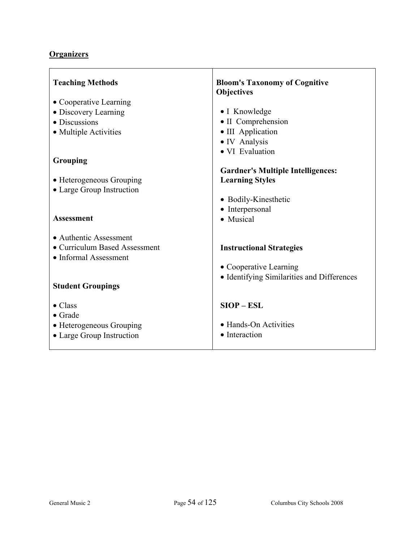| <b>Teaching Methods</b>       | <b>Bloom's Taxonomy of Cognitive</b><br><b>Objectives</b> |
|-------------------------------|-----------------------------------------------------------|
| • Cooperative Learning        |                                                           |
| • Discovery Learning          | • I Knowledge                                             |
| • Discussions                 | • II Comprehension                                        |
| • Multiple Activities         | • III Application                                         |
|                               | • IV Analysis                                             |
|                               | · VI Evaluation                                           |
| Grouping                      |                                                           |
|                               | <b>Gardner's Multiple Intelligences:</b>                  |
| • Heterogeneous Grouping      | <b>Learning Styles</b>                                    |
| • Large Group Instruction     |                                                           |
|                               | • Bodily-Kinesthetic                                      |
|                               | • Interpersonal                                           |
| <b>Assessment</b>             | • Musical                                                 |
|                               |                                                           |
| • Authentic Assessment        |                                                           |
| • Curriculum Based Assessment | <b>Instructional Strategies</b>                           |
| • Informal Assessment         |                                                           |
|                               | • Cooperative Learning                                    |
|                               | • Identifying Similarities and Differences                |
| <b>Student Groupings</b>      |                                                           |
|                               |                                                           |
| $\bullet$ Class               | $SIOP - ESL$                                              |
| $\bullet$ Grade               | • Hands-On Activities                                     |
| • Heterogeneous Grouping      |                                                           |
| • Large Group Instruction     | • Interaction                                             |
|                               |                                                           |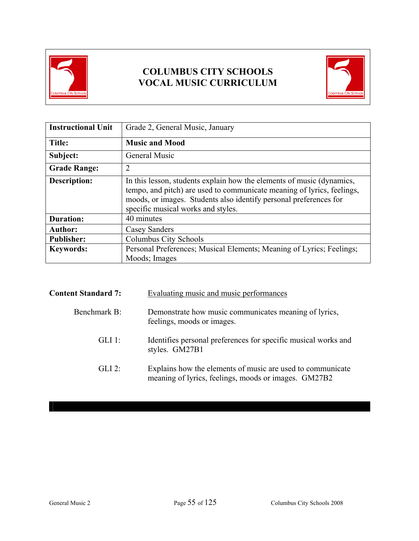



| <b>Instructional Unit</b> | Grade 2, General Music, January                                                                                                                                                                                                                            |
|---------------------------|------------------------------------------------------------------------------------------------------------------------------------------------------------------------------------------------------------------------------------------------------------|
| Title:                    | <b>Music and Mood</b>                                                                                                                                                                                                                                      |
| Subject:                  | <b>General Music</b>                                                                                                                                                                                                                                       |
| <b>Grade Range:</b>       | $\overline{2}$                                                                                                                                                                                                                                             |
| <b>Description:</b>       | In this lesson, students explain how the elements of music (dynamics,<br>tempo, and pitch) are used to communicate meaning of lyrics, feelings,<br>moods, or images. Students also identify personal preferences for<br>specific musical works and styles. |
| <b>Duration:</b>          | 40 minutes                                                                                                                                                                                                                                                 |
| <b>Author:</b>            | <b>Casey Sanders</b>                                                                                                                                                                                                                                       |
| <b>Publisher:</b>         | Columbus City Schools                                                                                                                                                                                                                                      |
| <b>Keywords:</b>          | Personal Preferences; Musical Elements; Meaning of Lyrics; Feelings;<br>Moods; Images                                                                                                                                                                      |

| <b>Content Standard 7:</b> | Evaluating music and music performances                                                                            |
|----------------------------|--------------------------------------------------------------------------------------------------------------------|
| Benchmark B:               | Demonstrate how music communicates meaning of lyrics,<br>feelings, moods or images.                                |
| $GLI$ 1:                   | Identifies personal preferences for specific musical works and<br>styles. GM27B1                                   |
| $GLI$ 2:                   | Explains how the elements of music are used to communicate<br>meaning of lyrics, feelings, moods or images. GM27B2 |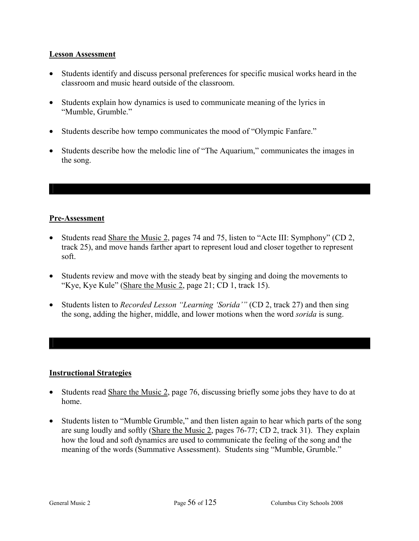#### **Lesson Assessment**

- Students identify and discuss personal preferences for specific musical works heard in the classroom and music heard outside of the classroom.
- Students explain how dynamics is used to communicate meaning of the lyrics in "Mumble, Grumble."
- Students describe how tempo communicates the mood of "Olympic Fanfare."
- Students describe how the melodic line of "The Aquarium," communicates the images in the song.

### **Pre-Assessment**

- Students read Share the Music 2, pages 74 and 75, listen to "Acte III: Symphony" (CD 2, track 25), and move hands farther apart to represent loud and closer together to represent soft.
- Students review and move with the steady beat by singing and doing the movements to "Kye, Kye Kule" (Share the Music 2, page 21; CD 1, track 15).
- Students listen to *Recorded Lesson "Learning 'Sorida'"* (CD 2, track 27) and then sing the song, adding the higher, middle, and lower motions when the word *sorida* is sung.

- Students read Share the Music 2, page 76, discussing briefly some jobs they have to do at home.
- Students listen to "Mumble Grumble," and then listen again to hear which parts of the song are sung loudly and softly (Share the Music 2, pages 76-77; CD 2, track 31). They explain how the loud and soft dynamics are used to communicate the feeling of the song and the meaning of the words (Summative Assessment). Students sing "Mumble, Grumble."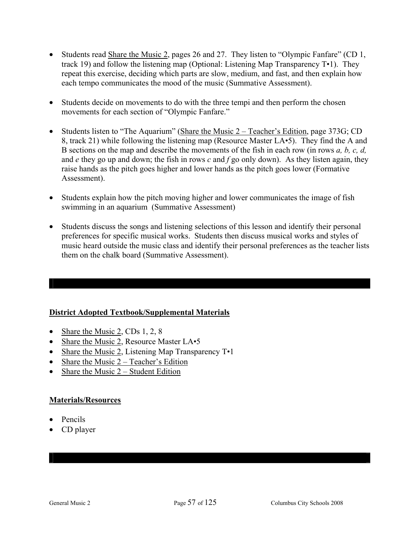- Students read Share the Music 2, pages 26 and 27. They listen to "Olympic Fanfare" (CD 1, track 19) and follow the listening map (Optional: Listening Map Transparency T•1). They repeat this exercise, deciding which parts are slow, medium, and fast, and then explain how each tempo communicates the mood of the music (Summative Assessment).
- Students decide on movements to do with the three tempi and then perform the chosen movements for each section of "Olympic Fanfare."
- Students listen to "The Aquarium" (Share the Music 2 Teacher's Edition, page 373G; CD 8, track 21) while following the listening map (Resource Master LA•5). They find the A and B sections on the map and describe the movements of the fish in each row (in rows *a, b, c, d,* and *e* they go up and down; the fish in rows *c* and *f* go only down). As they listen again, they raise hands as the pitch goes higher and lower hands as the pitch goes lower (Formative Assessment).
- Students explain how the pitch moving higher and lower communicates the image of fish swimming in an aquarium (Summative Assessment)
- Students discuss the songs and listening selections of this lesson and identify their personal preferences for specific musical works. Students then discuss musical works and styles of music heard outside the music class and identify their personal preferences as the teacher lists them on the chalk board (Summative Assessment).

#### **District Adopted Textbook/Supplemental Materials**

- Share the Music 2, CDs 1, 2, 8
- Share the Music 2, Resource Master LA•5
- Share the Music 2, Listening Map Transparency T•1
- Share the Music  $2 Teacher's Edition$
- Share the Music  $2 -$  Student Edition

#### **Materials/Resources**

- Pencils
- CD player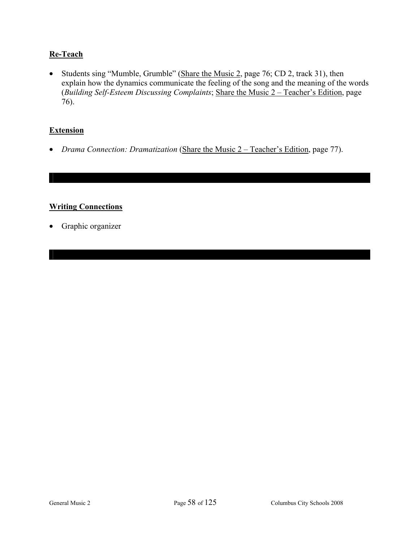## **Re-Teach**

• Students sing "Mumble, Grumble" (Share the Music 2, page 76; CD 2, track 31), then explain how the dynamics communicate the feeling of the song and the meaning of the words (*Building Self-Esteem Discussing Complaints*; Share the Music 2 – Teacher's Edition, page 76).

#### **Extension**

• *Drama Connection: Dramatization* (Share the Music 2 – Teacher's Edition, page 77).

#### **Writing Connections**

• Graphic organizer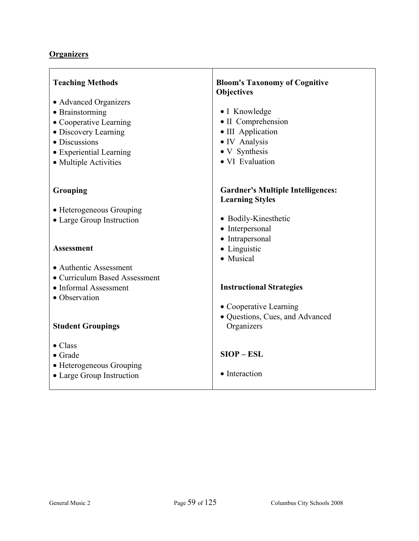| <b>Teaching Methods</b>            | <b>Bloom's Taxonomy of Cognitive</b><br>Objectives                 |
|------------------------------------|--------------------------------------------------------------------|
| • Advanced Organizers              |                                                                    |
| • Brainstorming                    | • I Knowledge                                                      |
| • Cooperative Learning             | • II Comprehension                                                 |
| • Discovery Learning               | • III Application                                                  |
| • Discussions                      | • IV Analysis                                                      |
| • Experiential Learning            | • V Synthesis<br>• VI Evaluation                                   |
| • Multiple Activities              |                                                                    |
|                                    |                                                                    |
| Grouping                           | <b>Gardner's Multiple Intelligences:</b><br><b>Learning Styles</b> |
| • Heterogeneous Grouping           |                                                                    |
| • Large Group Instruction          | • Bodily-Kinesthetic                                               |
|                                    | • Interpersonal                                                    |
|                                    | • Intrapersonal                                                    |
| <b>Assessment</b>                  | • Linguistic                                                       |
| • Authentic Assessment             | • Musical                                                          |
| • Curriculum Based Assessment      |                                                                    |
| • Informal Assessment              | <b>Instructional Strategies</b>                                    |
| • Observation                      |                                                                    |
|                                    | • Cooperative Learning                                             |
|                                    | · Questions, Cues, and Advanced                                    |
| <b>Student Groupings</b>           | Organizers                                                         |
|                                    |                                                                    |
| $\bullet$ Class<br>$\bullet$ Grade | $SIOP - ESL$                                                       |
| • Heterogeneous Grouping           |                                                                    |
| • Large Group Instruction          | • Interaction                                                      |
|                                    |                                                                    |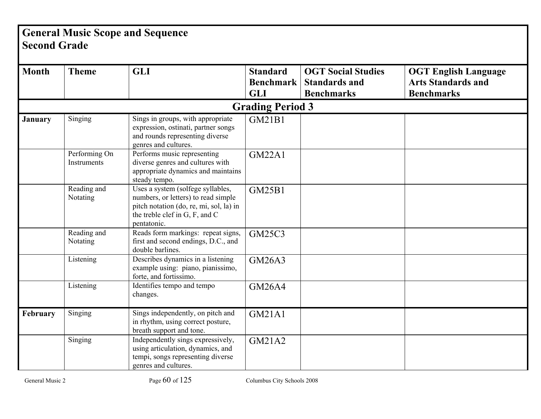# **General Music Scope and Sequence Second Grade**

| <b>Month</b>   | <b>Theme</b>                 | <b>GLI</b>                                                                                                                                                           | <b>Standard</b><br><b>Benchmark</b> | <b>OGT Social Studies</b><br><b>Standards and</b> | <b>OGT English Language</b><br><b>Arts Standards and</b> |
|----------------|------------------------------|----------------------------------------------------------------------------------------------------------------------------------------------------------------------|-------------------------------------|---------------------------------------------------|----------------------------------------------------------|
|                |                              |                                                                                                                                                                      | <b>GLI</b>                          | <b>Benchmarks</b>                                 | <b>Benchmarks</b>                                        |
|                |                              |                                                                                                                                                                      | <b>Grading Period 3</b>             |                                                   |                                                          |
| <b>January</b> | Singing                      | Sings in groups, with appropriate<br>expression, ostinati, partner songs<br>and rounds representing diverse<br>genres and cultures.                                  | GM21B1                              |                                                   |                                                          |
|                | Performing On<br>Instruments | Performs music representing<br>diverse genres and cultures with<br>appropriate dynamics and maintains<br>steady tempo.                                               | <b>GM22A1</b>                       |                                                   |                                                          |
|                | Reading and<br>Notating      | Uses a system (solfege syllables,<br>numbers, or letters) to read simple<br>pitch notation (do, re, mi, sol, la) in<br>the treble clef in G, F, and C<br>pentatonic. | <b>GM25B1</b>                       |                                                   |                                                          |
|                | Reading and<br>Notating      | Reads form markings: repeat signs,<br>first and second endings, D.C., and<br>double barlines.                                                                        | <b>GM25C3</b>                       |                                                   |                                                          |
|                | Listening                    | Describes dynamics in a listening<br>example using: piano, pianissimo,<br>forte, and fortissimo.                                                                     | <b>GM26A3</b>                       |                                                   |                                                          |
|                | Listening                    | Identifies tempo and tempo<br>changes.                                                                                                                               | <b>GM26A4</b>                       |                                                   |                                                          |
| February       | Singing                      | Sings independently, on pitch and<br>in rhythm, using correct posture,<br>breath support and tone.                                                                   | <b>GM21A1</b>                       |                                                   |                                                          |
|                | Singing                      | Independently sings expressively,<br>using articulation, dynamics, and<br>tempi, songs representing diverse<br>genres and cultures.                                  | GM21A2                              |                                                   |                                                          |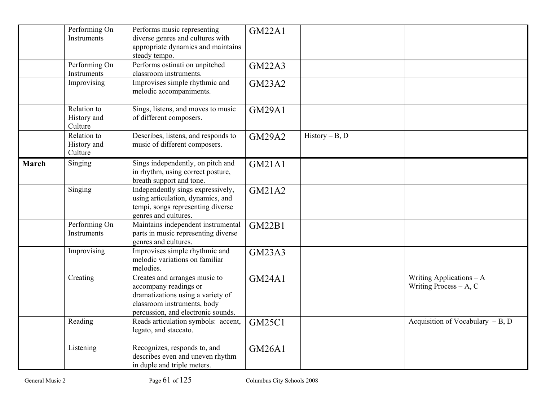|              | Performing On<br>Instruments          | Performs music representing<br>diverse genres and cultures with<br>appropriate dynamics and maintains<br>steady tempo.                                           | <b>GM22A1</b> |                  |                                                        |
|--------------|---------------------------------------|------------------------------------------------------------------------------------------------------------------------------------------------------------------|---------------|------------------|--------------------------------------------------------|
|              | Performing On<br>Instruments          | Performs ostinati on unpitched<br>classroom instruments.                                                                                                         | <b>GM22A3</b> |                  |                                                        |
|              | Improvising                           | Improvises simple rhythmic and<br>melodic accompaniments.                                                                                                        | <b>GM23A2</b> |                  |                                                        |
|              | Relation to<br>History and<br>Culture | Sings, listens, and moves to music<br>of different composers.                                                                                                    | <b>GM29A1</b> |                  |                                                        |
|              | Relation to<br>History and<br>Culture | Describes, listens, and responds to<br>music of different composers.                                                                                             | <b>GM29A2</b> | $History - B, D$ |                                                        |
| <b>March</b> | Singing                               | Sings independently, on pitch and<br>in rhythm, using correct posture,<br>breath support and tone.                                                               | <b>GM21A1</b> |                  |                                                        |
|              | Singing                               | Independently sings expressively,<br>using articulation, dynamics, and<br>tempi, songs representing diverse<br>genres and cultures.                              | <b>GM21A2</b> |                  |                                                        |
|              | Performing On<br>Instruments          | Maintains independent instrumental<br>parts in music representing diverse<br>genres and cultures.                                                                | <b>GM22B1</b> |                  |                                                        |
|              | Improvising                           | Improvises simple rhythmic and<br>melodic variations on familiar<br>melodies.                                                                                    | <b>GM23A3</b> |                  |                                                        |
|              | Creating                              | Creates and arranges music to<br>accompany readings or<br>dramatizations using a variety of<br>classroom instruments, body<br>percussion, and electronic sounds. | <b>GM24A1</b> |                  | Writing Applications $- A$<br>Writing Process $- A, C$ |
|              | Reading                               | Reads articulation symbols: accent,<br>legato, and staccato.                                                                                                     | <b>GM25C1</b> |                  | Acquisition of Vocabulary $-B$ , D                     |
|              | Listening                             | Recognizes, responds to, and<br>describes even and uneven rhythm<br>in duple and triple meters.                                                                  | <b>GM26A1</b> |                  |                                                        |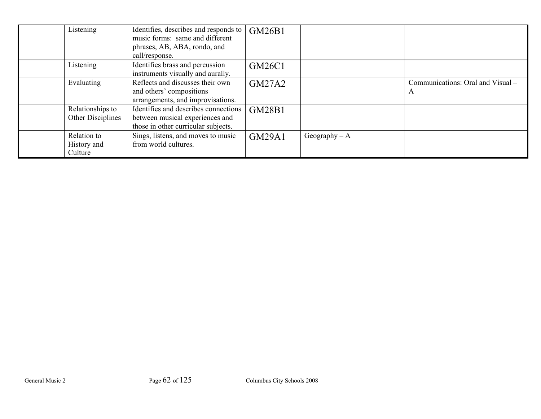| Listening                             | Identifies, describes and responds to<br>music forms: same and different<br>phrases, AB, ABA, rondo, and<br>call/response. | GM26B1        |                 |                                        |
|---------------------------------------|----------------------------------------------------------------------------------------------------------------------------|---------------|-----------------|----------------------------------------|
| Listening                             | Identifies brass and percussion<br>instruments visually and aurally.                                                       | <b>GM26C1</b> |                 |                                        |
| Evaluating                            | Reflects and discusses their own<br>and others' compositions<br>arrangements, and improvisations.                          | <b>GM27A2</b> |                 | Communications: Oral and Visual -<br>A |
| Relationships to<br>Other Disciplines | Identifies and describes connections<br>between musical experiences and<br>those in other curricular subjects.             | <b>GM28B1</b> |                 |                                        |
| Relation to<br>History and<br>Culture | Sings, listens, and moves to music<br>from world cultures.                                                                 | <b>GM29A1</b> | Geography $- A$ |                                        |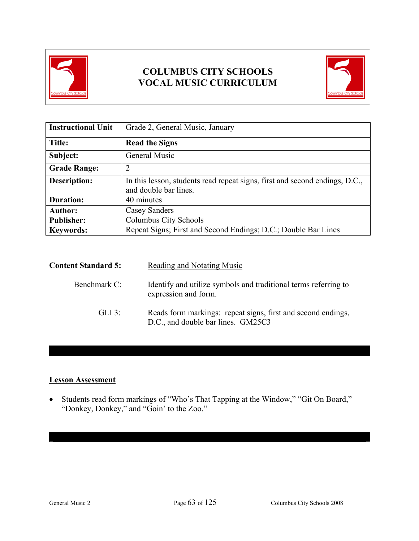



| <b>Instructional Unit</b> | Grade 2, General Music, January                                                                      |
|---------------------------|------------------------------------------------------------------------------------------------------|
| Title:                    | <b>Read the Signs</b>                                                                                |
| Subject:                  | General Music                                                                                        |
| <b>Grade Range:</b>       | 2                                                                                                    |
| <b>Description:</b>       | In this lesson, students read repeat signs, first and second endings, D.C.,<br>and double bar lines. |
| <b>Duration:</b>          | 40 minutes                                                                                           |
| <b>Author:</b>            | <b>Casey Sanders</b>                                                                                 |
| <b>Publisher:</b>         | Columbus City Schools                                                                                |
| <b>Keywords:</b>          | Repeat Signs; First and Second Endings; D.C.; Double Bar Lines                                       |

| <b>Content Standard 5:</b> | Reading and Notating Music                                                                         |
|----------------------------|----------------------------------------------------------------------------------------------------|
| Benchmark C:               | Identify and utilize symbols and traditional terms referring to<br>expression and form.            |
| $GLI$ 3:                   | Reads form markings: repeat signs, first and second endings,<br>D.C., and double bar lines. GM25C3 |

#### **Lesson Assessment**

• Students read form markings of "Who's That Tapping at the Window," "Git On Board," "Donkey, Donkey," and "Goin' to the Zoo."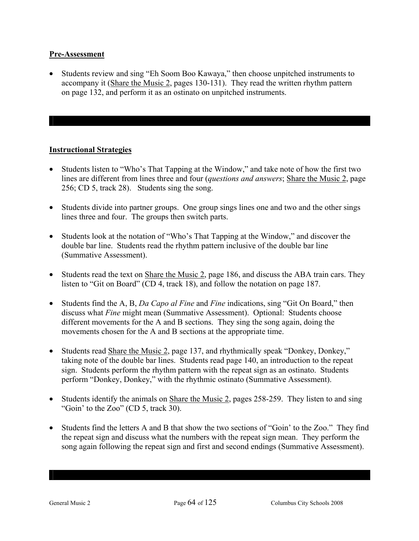#### **Pre-Assessment**

• Students review and sing "Eh Soom Boo Kawaya," then choose unpitched instruments to accompany it (Share the Music 2, pages 130-131). They read the written rhythm pattern on page 132, and perform it as an ostinato on unpitched instruments.

- Students listen to "Who's That Tapping at the Window," and take note of how the first two lines are different from lines three and four (*questions and answers*; Share the Music 2, page 256; CD 5, track 28). Students sing the song.
- Students divide into partner groups. One group sings lines one and two and the other sings lines three and four. The groups then switch parts.
- Students look at the notation of "Who's That Tapping at the Window," and discover the double bar line. Students read the rhythm pattern inclusive of the double bar line (Summative Assessment).
- Students read the text on Share the Music 2, page 186, and discuss the ABA train cars. They listen to "Git on Board" (CD 4, track 18), and follow the notation on page 187.
- Students find the A, B, *Da Capo al Fine* and *Fine* indications, sing "Git On Board," then discuss what *Fine* might mean (Summative Assessment). Optional: Students choose different movements for the A and B sections. They sing the song again, doing the movements chosen for the A and B sections at the appropriate time.
- Students read Share the Music 2, page 137, and rhythmically speak "Donkey, Donkey," taking note of the double bar lines. Students read page 140, an introduction to the repeat sign. Students perform the rhythm pattern with the repeat sign as an ostinato. Students perform "Donkey, Donkey," with the rhythmic ostinato (Summative Assessment).
- Students identify the animals on Share the Music 2, pages 258-259. They listen to and sing "Goin' to the Zoo" (CD 5, track 30).
- Students find the letters A and B that show the two sections of "Goin' to the Zoo." They find the repeat sign and discuss what the numbers with the repeat sign mean. They perform the song again following the repeat sign and first and second endings (Summative Assessment).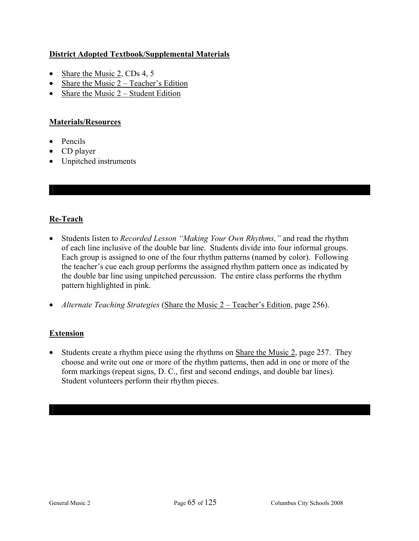### **District Adopted Textbook/Supplemental Materials**

- Share the Music 2, CDs 4, 5
- Share the Music  $2 Teacher's Edition$
- Share the Music  $2 -$  Student Edition

#### **Materials/Resources**

- Pencils
- CD player
- Unpitched instruments

## **Re-Teach**

- Students listen to *Recorded Lesson "Making Your Own Rhythms,"* and read the rhythm of each line inclusive of the double bar line. Students divide into four informal groups. Each group is assigned to one of the four rhythm patterns (named by color). Following the teacher's cue each group performs the assigned rhythm pattern once as indicated by the double bar line using unpitched percussion. The entire class performs the rhythm pattern highlighted in pink.
- *Alternate Teaching Strategies* (Share the Music 2 Teacher's Edition, page 256).

#### **Extension**

• Students create a rhythm piece using the rhythms on Share the Music 2, page 257. They choose and write out one or more of the rhythm patterns, then add in one or more of the form markings (repeat signs, D. C., first and second endings, and double bar lines). Student volunteers perform their rhythm pieces.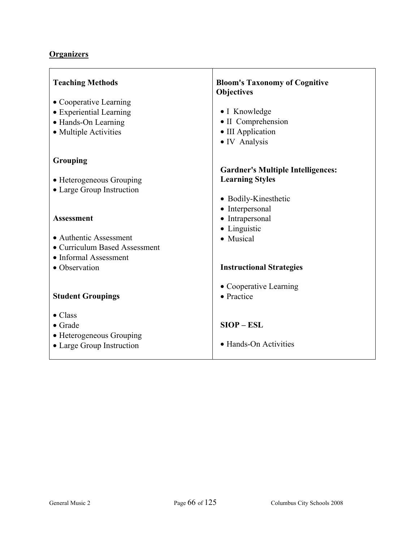| <b>Teaching Methods</b>       | <b>Bloom's Taxonomy of Cognitive</b><br><b>Objectives</b> |
|-------------------------------|-----------------------------------------------------------|
| • Cooperative Learning        |                                                           |
| • Experiential Learning       | • I Knowledge                                             |
| • Hands-On Learning           | • II Comprehension                                        |
| • Multiple Activities         | • III Application                                         |
|                               | • IV Analysis                                             |
| Grouping                      |                                                           |
|                               | <b>Gardner's Multiple Intelligences:</b>                  |
| • Heterogeneous Grouping      | <b>Learning Styles</b>                                    |
| • Large Group Instruction     |                                                           |
|                               | • Bodily-Kinesthetic                                      |
|                               | • Interpersonal                                           |
| <b>Assessment</b>             | • Intrapersonal                                           |
| • Authentic Assessment        | • Linguistic                                              |
| • Curriculum Based Assessment | • Musical                                                 |
| • Informal Assessment         |                                                           |
| • Observation                 | <b>Instructional Strategies</b>                           |
|                               | • Cooperative Learning                                    |
| <b>Student Groupings</b>      | • Practice                                                |
| $\bullet$ Class               |                                                           |
| $\bullet$ Grade               | $SIOP - ESL$                                              |
| • Heterogeneous Grouping      |                                                           |
| • Large Group Instruction     | • Hands-On Activities                                     |
|                               |                                                           |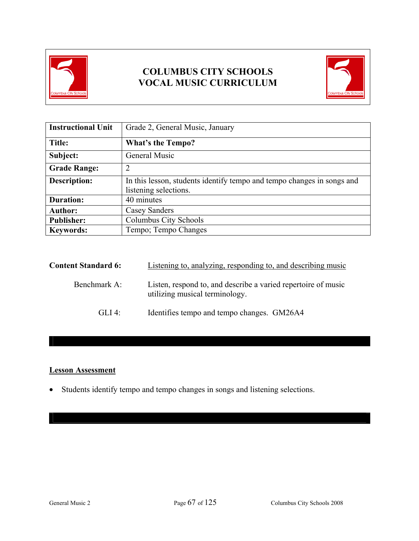



| <b>Instructional Unit</b> | Grade 2, General Music, January                                                                 |
|---------------------------|-------------------------------------------------------------------------------------------------|
| Title:                    | <b>What's the Tempo?</b>                                                                        |
| Subject:                  | General Music                                                                                   |
| <b>Grade Range:</b>       | $\overline{2}$                                                                                  |
| <b>Description:</b>       | In this lesson, students identify tempo and tempo changes in songs and<br>listening selections. |
| <b>Duration:</b>          | 40 minutes                                                                                      |
| <b>Author:</b>            | <b>Casey Sanders</b>                                                                            |
| <b>Publisher:</b>         | Columbus City Schools                                                                           |
| <b>Keywords:</b>          | Tempo; Tempo Changes                                                                            |

| <b>Content Standard 6:</b> | Listening to, analyzing, responding to, and describing music                                    |
|----------------------------|-------------------------------------------------------------------------------------------------|
| Benchmark A:               | Listen, respond to, and describe a varied repertoire of music<br>utilizing musical terminology. |
| GLI 4:                     | Identifies tempo and tempo changes. GM26A4                                                      |

## **Lesson Assessment**

• Students identify tempo and tempo changes in songs and listening selections.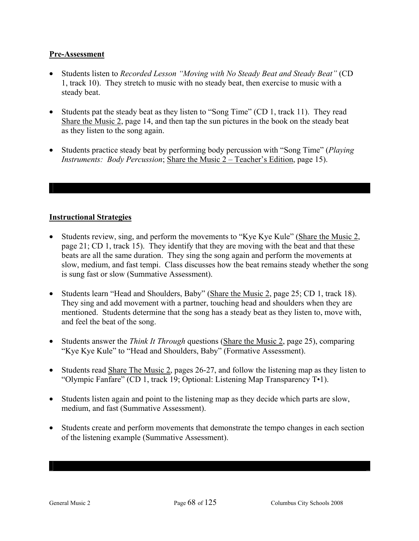#### **Pre-Assessment**

- Students listen to *Recorded Lesson "Moving with No Steady Beat and Steady Beat"* (CD 1, track 10). They stretch to music with no steady beat, then exercise to music with a steady beat.
- Students pat the steady beat as they listen to "Song Time" (CD 1, track 11). They read Share the Music 2, page 14, and then tap the sun pictures in the book on the steady beat as they listen to the song again.
- Students practice steady beat by performing body percussion with "Song Time" (*Playing Instruments: Body Percussion*; Share the Music 2 – Teacher's Edition, page 15).

- Students review, sing, and perform the movements to "Kye Kye Kule" (Share the Music 2, page 21; CD 1, track 15). They identify that they are moving with the beat and that these beats are all the same duration. They sing the song again and perform the movements at slow, medium, and fast tempi. Class discusses how the beat remains steady whether the song is sung fast or slow (Summative Assessment).
- Students learn "Head and Shoulders, Baby" (Share the Music 2, page 25; CD 1, track 18). They sing and add movement with a partner, touching head and shoulders when they are mentioned.Students determine that the song has a steady beat as they listen to, move with, and feel the beat of the song.
- Students answer the *Think It Through* questions (Share the Music 2, page 25), comparing "Kye Kye Kule" to "Head and Shoulders, Baby" (Formative Assessment).
- Students read Share The Music 2, pages 26-27, and follow the listening map as they listen to "Olympic Fanfare" (CD 1, track 19; Optional: Listening Map Transparency T•1).
- Students listen again and point to the listening map as they decide which parts are slow, medium, and fast (Summative Assessment).
- Students create and perform movements that demonstrate the tempo changes in each section of the listening example (Summative Assessment).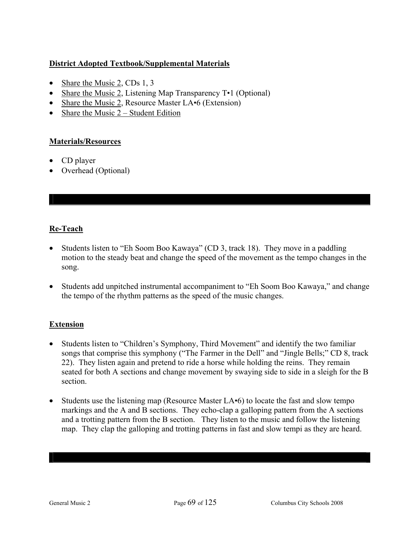## **District Adopted Textbook/Supplemental Materials**

- Share the Music 2, CDs 1, 3
- Share the Music 2, Listening Map Transparency T•1 (Optional)
- Share the Music 2, Resource Master LA•6 (Extension)
- Share the Music  $2 Student Edition$

## **Materials/Resources**

- CD player
- Overhead (Optional)

## **Re-Teach**

- Students listen to "Eh Soom Boo Kawaya" (CD 3, track 18). They move in a paddling motion to the steady beat and change the speed of the movement as the tempo changes in the song.
- Students add unpitched instrumental accompaniment to "Eh Soom Boo Kawaya," and change the tempo of the rhythm patterns as the speed of the music changes.

## **Extension**

- Students listen to "Children's Symphony, Third Movement" and identify the two familiar songs that comprise this symphony ("The Farmer in the Dell" and "Jingle Bells;" CD 8, track 22). They listen again and pretend to ride a horse while holding the reins. They remain seated for both A sections and change movement by swaying side to side in a sleigh for the B section.
- Students use the listening map (Resource Master LA $\cdot$ 6) to locate the fast and slow tempo markings and the A and B sections. They echo-clap a galloping pattern from the A sections and a trotting pattern from the B section. They listen to the music and follow the listening map. They clap the galloping and trotting patterns in fast and slow tempi as they are heard.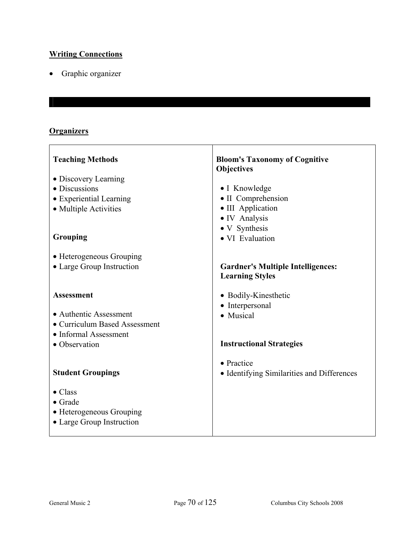## **Writing Connections**

• Graphic organizer

## **Organizers**

 $\Gamma$ 

| <b>Teaching Methods</b>       | <b>Bloom's Taxonomy of Cognitive</b><br><b>Objectives</b> |
|-------------------------------|-----------------------------------------------------------|
| • Discovery Learning          |                                                           |
| • Discussions                 | • I Knowledge                                             |
| • Experiential Learning       | • II Comprehension                                        |
| • Multiple Activities         | • III Application                                         |
|                               | • IV Analysis                                             |
|                               | • V Synthesis                                             |
| Grouping                      | • VI Evaluation                                           |
| • Heterogeneous Grouping      |                                                           |
| • Large Group Instruction     | <b>Gardner's Multiple Intelligences:</b>                  |
|                               | <b>Learning Styles</b>                                    |
| <b>Assessment</b>             | • Bodily-Kinesthetic                                      |
|                               | • Interpersonal                                           |
| • Authentic Assessment        | • Musical                                                 |
| • Curriculum Based Assessment |                                                           |
| • Informal Assessment         |                                                           |
| • Observation                 | <b>Instructional Strategies</b>                           |
|                               | • Practice                                                |
| <b>Student Groupings</b>      | • Identifying Similarities and Differences                |
|                               |                                                           |
| $\bullet$ Class               |                                                           |
| $\bullet$ Grade               |                                                           |
| • Heterogeneous Grouping      |                                                           |
| • Large Group Instruction     |                                                           |
|                               |                                                           |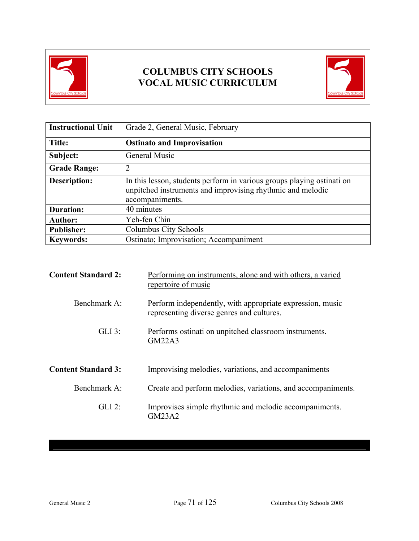



| <b>Instructional Unit</b> | Grade 2, General Music, February                                                                                                                        |
|---------------------------|---------------------------------------------------------------------------------------------------------------------------------------------------------|
| Title:                    | <b>Ostinato and Improvisation</b>                                                                                                                       |
| Subject:                  | General Music                                                                                                                                           |
| <b>Grade Range:</b>       | $\overline{2}$                                                                                                                                          |
| <b>Description:</b>       | In this lesson, students perform in various groups playing ostinati on<br>unpitched instruments and improvising rhythmic and melodic<br>accompaniments. |
| <b>Duration:</b>          | 40 minutes                                                                                                                                              |
| <b>Author:</b>            | Yeh-fen Chin                                                                                                                                            |
| <b>Publisher:</b>         | Columbus City Schools                                                                                                                                   |
| <b>Keywords:</b>          | Ostinato; Improvisation; Accompaniment                                                                                                                  |

| <b>Content Standard 2:</b> | Performing on instruments, alone and with others, a varied<br>repertoire of music                      |
|----------------------------|--------------------------------------------------------------------------------------------------------|
| Benchmark A:               | Perform independently, with appropriate expression, music<br>representing diverse genres and cultures. |
| $GLI$ 3:                   | Performs ostinati on unpitched classroom instruments.<br>GM22A3                                        |
| <b>Content Standard 3:</b> | Improvising melodies, variations, and accompaniments                                                   |
| Benchmark A:               | Create and perform melodies, variations, and accompaniments.                                           |
| $GLI$ 2:                   | Improvises simple rhythmic and melodic accompaniments.<br>GM23A2                                       |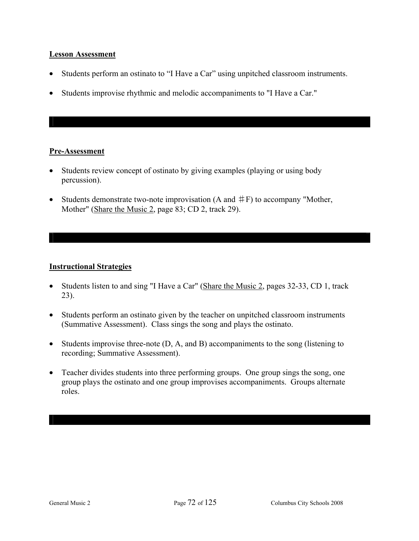### **Lesson Assessment**

- Students perform an ostinato to "I Have a Car" using unpitched classroom instruments.
- Students improvise rhythmic and melodic accompaniments to "I Have a Car."

### **Pre-Assessment**

- Students review concept of ostinato by giving examples (playing or using body percussion).
- Students demonstrate two-note improvisation (A and  $#F$ ) to accompany "Mother, Mother" (Share the Music 2, page 83; CD 2, track 29).

### **Instructional Strategies**

- Students listen to and sing "I Have a Car" (Share the Music 2, pages 32-33, CD 1, track 23).
- Students perform an ostinato given by the teacher on unpitched classroom instruments (Summative Assessment). Class sings the song and plays the ostinato.
- Students improvise three-note (D, A, and B) accompaniments to the song (listening to recording; Summative Assessment).
- Teacher divides students into three performing groups. One group sings the song, one group plays the ostinato and one group improvises accompaniments. Groups alternate roles.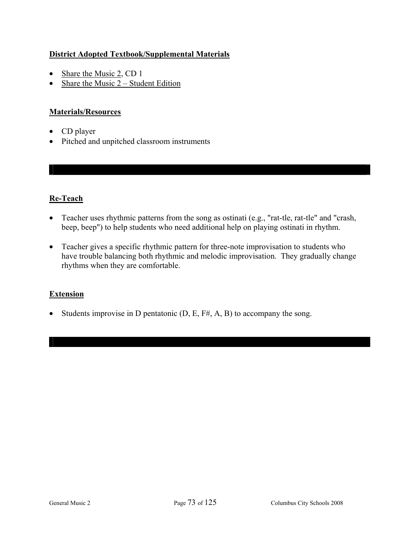## **District Adopted Textbook/Supplemental Materials**

- Share the Music 2, CD 1
- Share the Music  $2 Student Edition$

## **Materials/Resources**

- CD player
- Pitched and unpitched classroom instruments

## **Re-Teach**

- Teacher uses rhythmic patterns from the song as ostinati (e.g., "rat-tle, rat-tle" and "crash, beep, beep") to help students who need additional help on playing ostinati in rhythm.
- Teacher gives a specific rhythmic pattern for three-note improvisation to students who have trouble balancing both rhythmic and melodic improvisation. They gradually change rhythms when they are comfortable.

### **Extension**

• Students improvise in D pentatonic  $(D, E, F#, A, B)$  to accompany the song.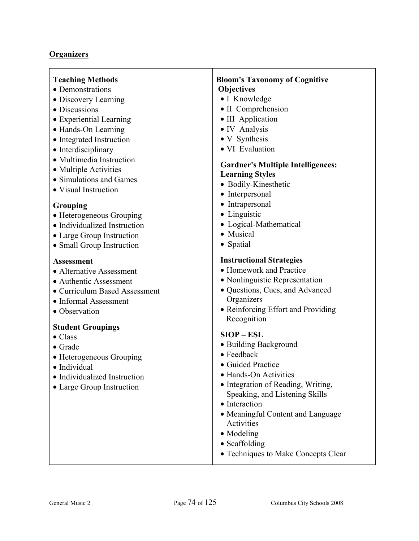### **Organizers**

#### **Teaching Methods**

- Demonstrations
- Discovery Learning
- Discussions
- Experiential Learning
- Hands-On Learning
- Integrated Instruction
- Interdisciplinary
- Multimedia Instruction
- Multiple Activities
- Simulations and Games
- Visual Instruction

### **Grouping**

- Heterogeneous Grouping
- Individualized Instruction
- Large Group Instruction
- Small Group Instruction

#### **Assessment**

- Alternative Assessment
- Authentic Assessment
- Curriculum Based Assessment
- Informal Assessment
- Observation

### **Student Groupings**

- Class
- Grade
- Heterogeneous Grouping
- Individual
- Individualized Instruction
- Large Group Instruction

### **Bloom's Taxonomy of Cognitive Objectives**

- I Knowledge
- II Comprehension
- III Application
- IV Analysis
- V Synthesis
- VI Evaluation

### **Gardner's Multiple Intelligences: Learning Styles**

- Bodily-Kinesthetic
- Interpersonal
- Intrapersonal
- Linguistic
- Logical-Mathematical
- Musical
- Spatial

#### **Instructional Strategies**

- Homework and Practice
- Nonlinguistic Representation
- Questions, Cues, and Advanced **Organizers**
- Reinforcing Effort and Providing Recognition

#### **SIOP – ESL**

- Building Background
- Feedback
- Guided Practice
- Hands-On Activities
- Integration of Reading, Writing, Speaking, and Listening Skills
- Interaction
- Meaningful Content and Language Activities
- Modeling
- Scaffolding
- Techniques to Make Concepts Clear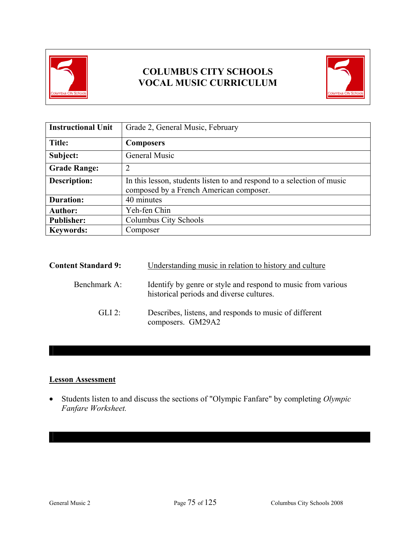



| <b>Instructional Unit</b> | Grade 2, General Music, February                                                                                  |
|---------------------------|-------------------------------------------------------------------------------------------------------------------|
| Title:                    | <b>Composers</b>                                                                                                  |
| Subject:                  | General Music                                                                                                     |
| <b>Grade Range:</b>       | っ                                                                                                                 |
| <b>Description:</b>       | In this lesson, students listen to and respond to a selection of music<br>composed by a French American composer. |
| <b>Duration:</b>          | 40 minutes                                                                                                        |
| <b>Author:</b>            | Yeh-fen Chin                                                                                                      |
| <b>Publisher:</b>         | Columbus City Schools                                                                                             |
| <b>Keywords:</b>          | Composer                                                                                                          |

| <b>Content Standard 9:</b> | Understanding music in relation to history and culture                                                   |  |
|----------------------------|----------------------------------------------------------------------------------------------------------|--|
| Benchmark A:               | Identify by genre or style and respond to music from various<br>historical periods and diverse cultures. |  |
| $GLI$ 2:                   | Describes, listens, and responds to music of different<br>composers. GM29A2                              |  |

### **Lesson Assessment**

• Students listen to and discuss the sections of "Olympic Fanfare" by completing *Olympic Fanfare Worksheet.*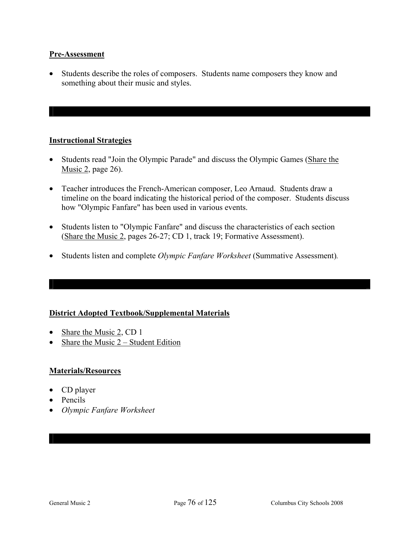### **Pre-Assessment**

• Students describe the roles of composers. Students name composers they know and something about their music and styles.

### **Instructional Strategies**

- Students read "Join the Olympic Parade" and discuss the Olympic Games (Share the Music 2, page 26).
- Teacher introduces the French-American composer, Leo Arnaud. Students draw a timeline on the board indicating the historical period of the composer. Students discuss how "Olympic Fanfare" has been used in various events.
- Students listen to "Olympic Fanfare" and discuss the characteristics of each section (Share the Music 2, pages 26-27; CD 1, track 19; Formative Assessment).
- Students listen and complete *Olympic Fanfare Worksheet* (Summative Assessment)*.*

## **District Adopted Textbook/Supplemental Materials**

- Share the Music 2, CD 1
- Share the Music  $2 -$  Student Edition

### **Materials/Resources**

- CD player
- Pencils
- *Olympic Fanfare Worksheet*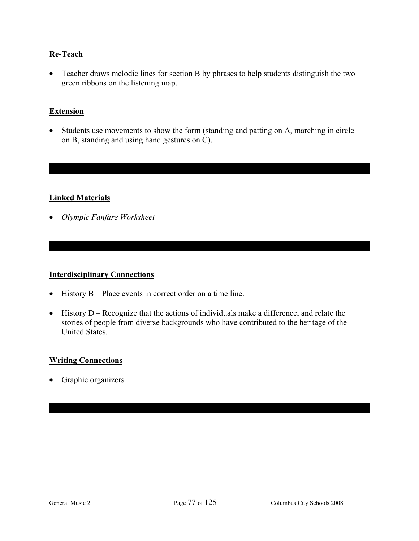### **Re-Teach**

• Teacher draws melodic lines for section B by phrases to help students distinguish the two green ribbons on the listening map.

### **Extension**

• Students use movements to show the form (standing and patting on A, marching in circle on B, standing and using hand gestures on C).

### **Linked Materials**

• *Olympic Fanfare Worksheet* 

#### **Interdisciplinary Connections**

- History B Place events in correct order on a time line.
- History D Recognize that the actions of individuals make a difference, and relate the stories of people from diverse backgrounds who have contributed to the heritage of the United States.

#### **Writing Connections**

• Graphic organizers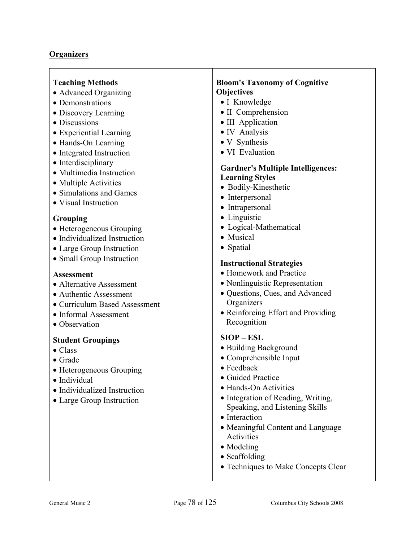### **Organizers**

### **Teaching Methods**

- Advanced Organizing
- Demonstrations
- Discovery Learning
- Discussions
- Experiential Learning
- Hands-On Learning
- Integrated Instruction
- Interdisciplinary
- Multimedia Instruction
- Multiple Activities
- Simulations and Games
- Visual Instruction

#### **Grouping**

- Heterogeneous Grouping
- Individualized Instruction
- Large Group Instruction
- Small Group Instruction

#### **Assessment**

- Alternative Assessment
- Authentic Assessment
- Curriculum Based Assessment
- Informal Assessment
- Observation

#### **Student Groupings**

- Class
- Grade
- Heterogeneous Grouping
- Individual
- Individualized Instruction
- Large Group Instruction

### **Bloom's Taxonomy of Cognitive Objectives**

- I Knowledge
- II Comprehension
- III Application
- IV Analysis
- V Synthesis
- VI Evaluation

### **Gardner's Multiple Intelligences: Learning Styles**

- Bodily-Kinesthetic
- Interpersonal
- Intrapersonal
- Linguistic
- Logical-Mathematical
- Musical
- Spatial

#### **Instructional Strategies**

- Homework and Practice
- Nonlinguistic Representation
- Questions, Cues, and Advanced **Organizers**
- Reinforcing Effort and Providing Recognition

### **SIOP – ESL**

- Building Background
- Comprehensible Input
- Feedback
- Guided Practice
- Hands-On Activities
- Integration of Reading, Writing, Speaking, and Listening Skills
- Interaction
- Meaningful Content and Language Activities
- Modeling
- Scaffolding
- Techniques to Make Concepts Clear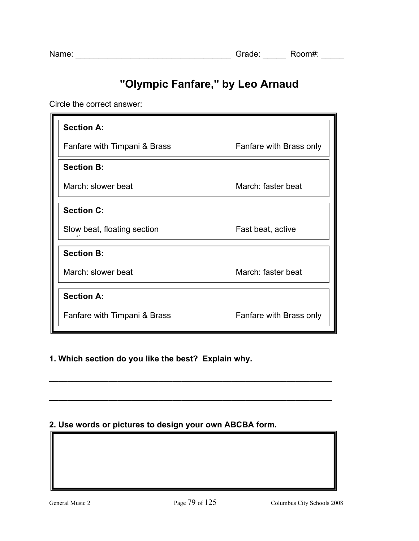# **"Olympic Fanfare," by Leo Arnaud**

Circle the correct answer:

| <b>Section A:</b>            |                         |
|------------------------------|-------------------------|
| Fanfare with Timpani & Brass | Fanfare with Brass only |
| <b>Section B:</b>            |                         |
| March: slower beat           | March: faster beat      |
| <b>Section C:</b>            |                         |
| Slow beat, floating section  | Fast beat, active       |
| <b>Section B:</b>            |                         |
| March: slower beat           | March: faster beat      |
| <b>Section A:</b>            |                         |
| Fanfare with Timpani & Brass | Fanfare with Brass only |

## **1. Which section do you like the best? Explain why.**

## **2. Use words or pictures to design your own ABCBA form.**

**\_\_\_\_\_\_\_\_\_\_\_\_\_\_\_\_\_\_\_\_\_\_\_\_\_\_\_\_\_\_\_\_\_\_\_\_\_\_\_\_\_\_\_\_\_\_\_\_\_\_\_\_\_\_\_\_\_\_\_\_\_\_** 

**\_\_\_\_\_\_\_\_\_\_\_\_\_\_\_\_\_\_\_\_\_\_\_\_\_\_\_\_\_\_\_\_\_\_\_\_\_\_\_\_\_\_\_\_\_\_\_\_\_\_\_\_\_\_\_\_\_\_\_\_\_\_**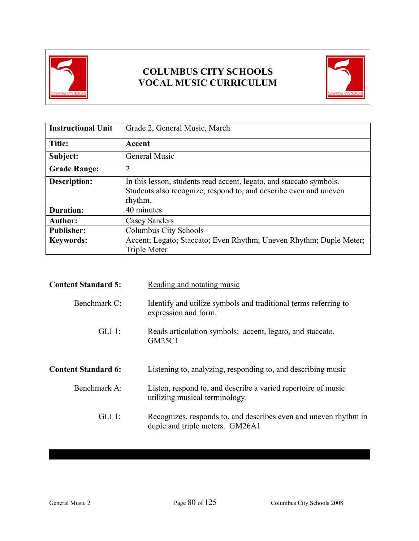



| <b>Instructional Unit</b> | Grade 2, General Music, March                                                                                                                       |
|---------------------------|-----------------------------------------------------------------------------------------------------------------------------------------------------|
| Title:                    | Accent                                                                                                                                              |
| Subject:                  | <b>General Music</b>                                                                                                                                |
| <b>Grade Range:</b>       | $\overline{2}$                                                                                                                                      |
| Description:              | In this lesson, students read accent, legato, and staccato symbols.<br>Students also recognize, respond to, and describe even and uneven<br>rhythm. |
| <b>Duration:</b>          | 40 minutes                                                                                                                                          |
| <b>Author:</b>            | Casey Sanders                                                                                                                                       |
| <b>Publisher:</b>         | Columbus City Schools                                                                                                                               |
| <b>Keywords:</b>          | Accent; Legato; Staccato; Even Rhythm; Uneven Rhythm; Duple Meter;<br><b>Triple Meter</b>                                                           |

| <b>Content Standard 5:</b> | Reading and notating music                                                                          |
|----------------------------|-----------------------------------------------------------------------------------------------------|
| Benchmark C:               | Identify and utilize symbols and traditional terms referring to<br>expression and form.             |
| $GLI$ 1:                   | Reads articulation symbols: accent, legato, and staccato.<br><b>GM25C1</b>                          |
| <b>Content Standard 6:</b> | Listening to, analyzing, responding to, and describing music                                        |
| Benchmark A:               | Listen, respond to, and describe a varied repertoire of music<br>utilizing musical terminology.     |
| $GLI$ 1:                   | Recognizes, responds to, and describes even and uneven rhythm in<br>duple and triple meters. GM26A1 |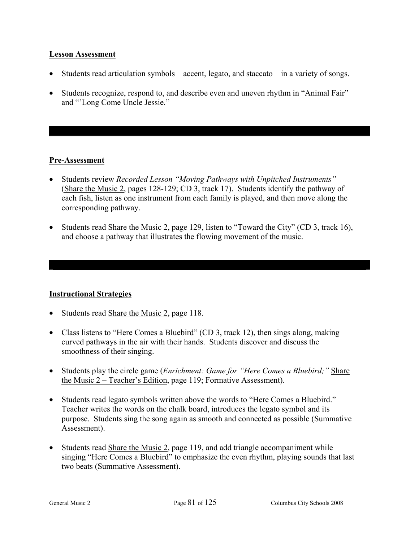### **Lesson Assessment**

- Students read articulation symbols—accent, legato, and staccato—in a variety of songs.
- Students recognize, respond to, and describe even and uneven rhythm in "Animal Fair" and "'Long Come Uncle Jessie."

### **Pre-Assessment**

- Students review *Recorded Lesson "Moving Pathways with Unpitched Instruments"* (Share the Music 2, pages 128-129; CD 3, track 17). Students identify the pathway of each fish, listen as one instrument from each family is played, and then move along the corresponding pathway.
- Students read Share the Music 2, page 129, listen to "Toward the City" (CD 3, track 16), and choose a pathway that illustrates the flowing movement of the music.

### **Instructional Strategies**

- Students read Share the Music 2, page 118.
- Class listens to "Here Comes a Bluebird" (CD 3, track 12), then sings along, making curved pathways in the air with their hands. Students discover and discuss the smoothness of their singing.
- Students play the circle game (*Enrichment: Game for "Here Comes a Bluebird;"* Share the Music 2 – Teacher's Edition, page 119; Formative Assessment).
- Students read legato symbols written above the words to "Here Comes a Bluebird." Teacher writes the words on the chalk board, introduces the legato symbol and its purpose. Students sing the song again as smooth and connected as possible (Summative Assessment).
- Students read Share the Music 2, page 119, and add triangle accompaniment while singing "Here Comes a Bluebird" to emphasize the even rhythm, playing sounds that last two beats (Summative Assessment).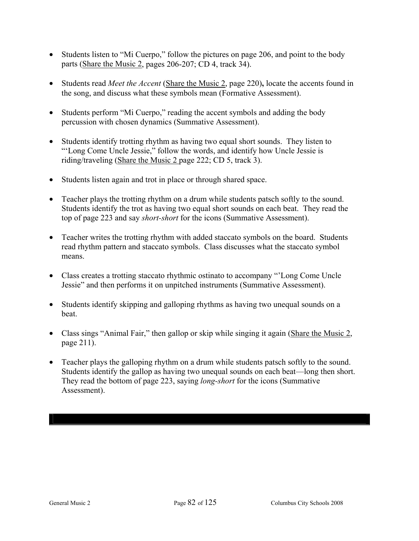- Students listen to "Mi Cuerpo," follow the pictures on page 206, and point to the body parts (Share the Music 2, pages 206-207; CD 4, track 34).
- Students read *Meet the Accent* (Share the Music 2, page 220)**,** locate the accents found in the song, and discuss what these symbols mean (Formative Assessment).
- Students perform "Mi Cuerpo," reading the accent symbols and adding the body percussion with chosen dynamics (Summative Assessment).
- Students identify trotting rhythm as having two equal short sounds. They listen to "'Long Come Uncle Jessie," follow the words, and identify how Uncle Jessie is riding/traveling (Share the Music 2 page 222; CD 5, track 3).
- Students listen again and trot in place or through shared space.
- Teacher plays the trotting rhythm on a drum while students patsch softly to the sound. Students identify the trot as having two equal short sounds on each beat. They read the top of page 223 and say *short-short* for the icons (Summative Assessment).
- Teacher writes the trotting rhythm with added staccato symbols on the board. Students read rhythm pattern and staccato symbols. Class discusses what the staccato symbol means.
- Class creates a trotting staccato rhythmic ostinato to accompany "'Long Come Uncle Jessie" and then performs it on unpitched instruments (Summative Assessment).
- Students identify skipping and galloping rhythms as having two unequal sounds on a beat.
- Class sings "Animal Fair," then gallop or skip while singing it again (Share the Music 2, page 211).
- Teacher plays the galloping rhythm on a drum while students patsch softly to the sound. Students identify the gallop as having two unequal sounds on each beat—long then short. They read the bottom of page 223, saying *long-short* for the icons (Summative Assessment).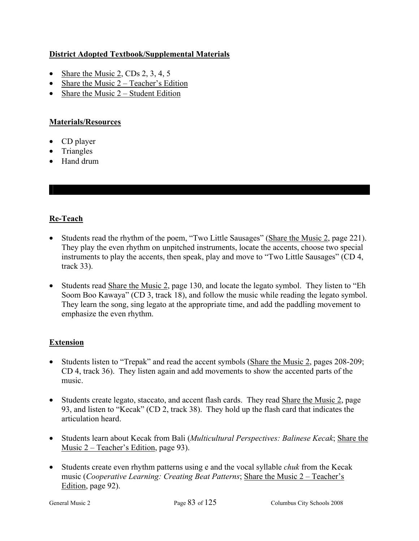## **District Adopted Textbook/Supplemental Materials**

- Share the Music 2, CDs 2, 3, 4, 5
- Share the Music  $2 Teacher's Edition$
- Share the Music  $2 -$  Student Edition

## **Materials/Resources**

- CD player
- Triangles
- Hand drum

## **Re-Teach**

- Students read the rhythm of the poem, "Two Little Sausages" (Share the Music 2, page 221). They play the even rhythm on unpitched instruments, locate the accents, choose two special instruments to play the accents, then speak, play and move to "Two Little Sausages" (CD 4, track 33).
- Students read Share the Music 2, page 130, and locate the legato symbol. They listen to "Eh" Soom Boo Kawaya" (CD 3, track 18), and follow the music while reading the legato symbol. They learn the song, sing legato at the appropriate time, and add the paddling movement to emphasize the even rhythm.

## **Extension**

- Students listen to "Trepak" and read the accent symbols (Share the Music 2, pages 208-209; CD 4, track 36). They listen again and add movements to show the accented parts of the music.
- Students create legato, staccato, and accent flash cards. They read Share the Music 2, page 93, and listen to "Kecak" (CD 2, track 38). They hold up the flash card that indicates the articulation heard.
- Students learn about Kecak from Bali (*Multicultural Perspectives: Balinese Kecak*; Share the Music 2 – Teacher's Edition, page 93).
- Students create even rhythm patterns using e and the vocal syllable *chuk* from the Kecak music (*Cooperative Learning: Creating Beat Patterns*; Share the Music 2 – Teacher's Edition, page 92).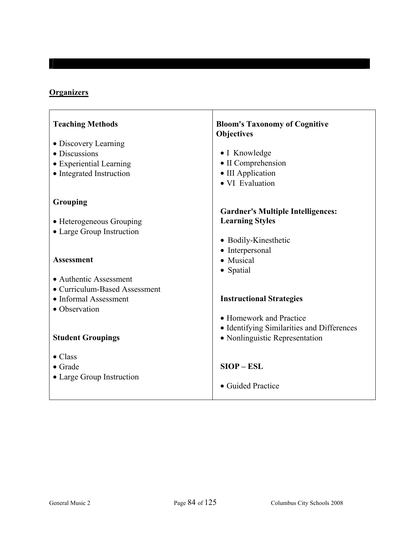## **Organizers**

| <b>Teaching Methods</b><br>• Discovery Learning         | <b>Bloom's Taxonomy of Cognitive</b><br><b>Objectives</b> |
|---------------------------------------------------------|-----------------------------------------------------------|
| • Discussions                                           | • I Knowledge                                             |
| • Experiential Learning                                 | • II Comprehension                                        |
| • Integrated Instruction                                | • III Application                                         |
|                                                         | · VI Evaluation                                           |
| Grouping                                                |                                                           |
|                                                         | <b>Gardner's Multiple Intelligences:</b>                  |
| • Heterogeneous Grouping                                | <b>Learning Styles</b>                                    |
| • Large Group Instruction                               |                                                           |
|                                                         | • Bodily-Kinesthetic                                      |
|                                                         | • Interpersonal                                           |
| <b>Assessment</b>                                       | • Musical                                                 |
|                                                         | • Spatial                                                 |
| • Authentic Assessment<br>• Curriculum-Based Assessment |                                                           |
| • Informal Assessment                                   | <b>Instructional Strategies</b>                           |
| • Observation                                           |                                                           |
|                                                         | • Homework and Practice                                   |
|                                                         | • Identifying Similarities and Differences                |
| <b>Student Groupings</b>                                | • Nonlinguistic Representation                            |
|                                                         |                                                           |
| $\bullet$ Class                                         |                                                           |
| $\bullet$ Grade                                         | $SIOP - ESL$                                              |
| • Large Group Instruction                               |                                                           |
|                                                         | • Guided Practice                                         |
|                                                         |                                                           |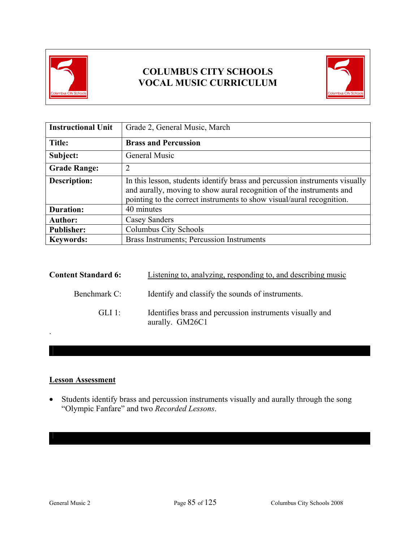



| <b>Instructional Unit</b> | Grade 2, General Music, March                                                                                                                                                                                                |
|---------------------------|------------------------------------------------------------------------------------------------------------------------------------------------------------------------------------------------------------------------------|
| Title:                    | <b>Brass and Percussion</b>                                                                                                                                                                                                  |
| Subject:                  | <b>General Music</b>                                                                                                                                                                                                         |
| <b>Grade Range:</b>       | 2                                                                                                                                                                                                                            |
| <b>Description:</b>       | In this lesson, students identify brass and percussion instruments visually<br>and aurally, moving to show aural recognition of the instruments and<br>pointing to the correct instruments to show visual/aural recognition. |
| <b>Duration:</b>          | 40 minutes                                                                                                                                                                                                                   |
| <b>Author:</b>            | Casey Sanders                                                                                                                                                                                                                |
| <b>Publisher:</b>         | Columbus City Schools                                                                                                                                                                                                        |
| <b>Keywords:</b>          | Brass Instruments; Percussion Instruments                                                                                                                                                                                    |

| <b>Content Standard 6:</b> | Listening to, analyzing, responding to, and describing music                |
|----------------------------|-----------------------------------------------------------------------------|
| Benchmark C:               | Identify and classify the sounds of instruments.                            |
| GLI 1:                     | Identifies brass and percussion instruments visually and<br>aurally. GM26C1 |

### **Lesson Assessment**

• Students identify brass and percussion instruments visually and aurally through the song "Olympic Fanfare" and two *Recorded Lessons*.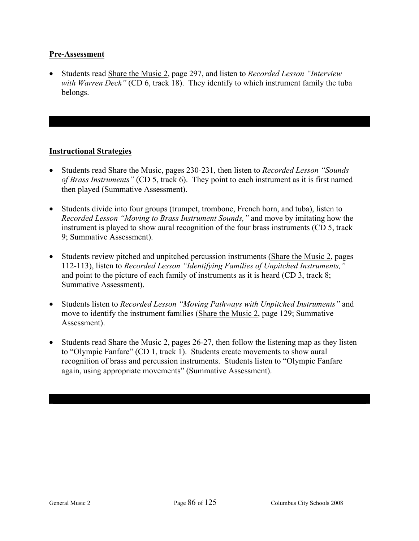### **Pre-Assessment**

• Students read Share the Music 2, page 297, and listen to *Recorded Lesson "Interview with Warren Deck"* (CD 6, track 18). They identify to which instrument family the tuba belongs.

### **Instructional Strategies**

- Students read Share the Music, pages 230-231, then listen to *Recorded Lesson "Sounds of Brass Instruments"* (CD 5, track 6). They point to each instrument as it is first named then played (Summative Assessment).
- Students divide into four groups (trumpet, trombone, French horn, and tuba), listen to *Recorded Lesson "Moving to Brass Instrument Sounds,"* and move by imitating how the instrument is played to show aural recognition of the four brass instruments (CD 5, track 9; Summative Assessment).
- Students review pitched and unpitched percussion instruments (Share the Music 2, pages 112-113), listen to *Recorded Lesson "Identifying Families of Unpitched Instruments,"* and point to the picture of each family of instruments as it is heard (CD 3, track 8; Summative Assessment).
- Students listen to *Recorded Lesson "Moving Pathways with Unpitched Instruments"* and move to identify the instrument families (Share the Music 2, page 129; Summative Assessment).
- Students read Share the Music 2, pages 26-27, then follow the listening map as they listen to "Olympic Fanfare" (CD 1, track 1). Students create movements to show aural recognition of brass and percussion instruments. Students listen to "Olympic Fanfare again, using appropriate movements" (Summative Assessment).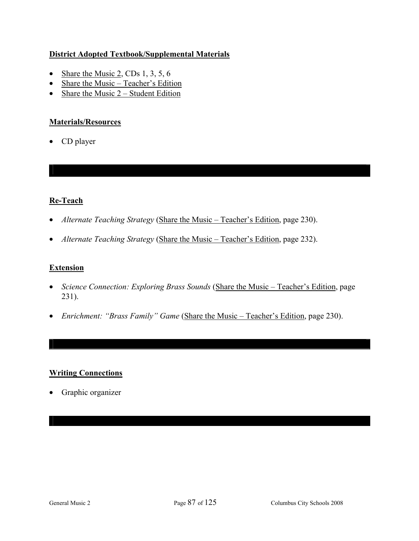## **District Adopted Textbook/Supplemental Materials**

- Share the Music 2, CDs 1, 3, 5, 6
- Share the Music Teacher's Edition
- Share the Music  $2 -$  Student Edition

### **Materials/Resources**

• CD player

## **Re-Teach**

- *Alternate Teaching Strategy* (Share the Music Teacher's Edition, page 230).
- *Alternate Teaching Strategy* (Share the Music Teacher's Edition, page 232).

## **Extension**

- *Science Connection: Exploring Brass Sounds* (Share the Music Teacher's Edition, page 231).
- *Enrichment: "Brass Family" Game* (Share the Music Teacher's Edition, page 230).

## **Writing Connections**

• Graphic organizer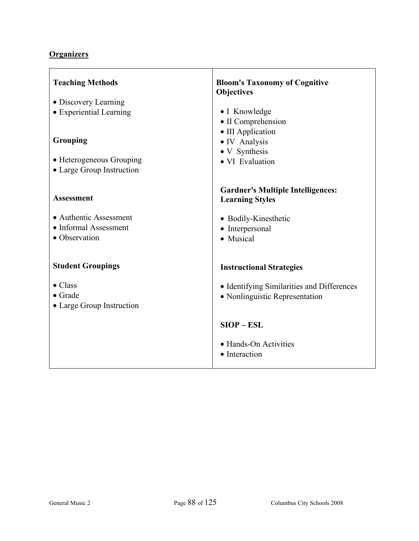## **Organizers**

| <b>Teaching Methods</b>   | <b>Bloom's Taxonomy of Cognitive</b><br><b>Objectives</b> |
|---------------------------|-----------------------------------------------------------|
| • Discovery Learning      |                                                           |
| • Experiential Learning   | • I Knowledge                                             |
|                           | • II Comprehension                                        |
|                           | • III Application                                         |
| <b>Grouping</b>           | · IV Analysis                                             |
| • Heterogeneous Grouping  | • V Synthesis<br>• VI Evaluation                          |
| • Large Group Instruction |                                                           |
|                           |                                                           |
|                           | <b>Gardner's Multiple Intelligences:</b>                  |
| <b>Assessment</b>         | <b>Learning Styles</b>                                    |
| • Authentic Assessment    | • Bodily-Kinesthetic                                      |
| • Informal Assessment     | • Interpersonal                                           |
| • Observation             | • Musical                                                 |
|                           |                                                           |
| <b>Student Groupings</b>  |                                                           |
|                           | <b>Instructional Strategies</b>                           |
| $\bullet$ Class           | • Identifying Similarities and Differences                |
| $\bullet$ Grade           | • Nonlinguistic Representation                            |
| • Large Group Instruction |                                                           |
|                           |                                                           |
|                           | $SIOP - ESL$                                              |
|                           | • Hands-On Activities                                     |
|                           | • Interaction                                             |
|                           |                                                           |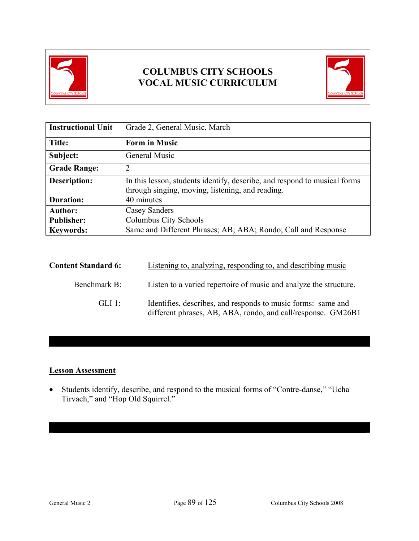



| <b>Instructional Unit</b> | Grade 2, General Music, March                                                                                                 |
|---------------------------|-------------------------------------------------------------------------------------------------------------------------------|
| <b>Title:</b>             | <b>Form in Music</b>                                                                                                          |
| Subject:                  | General Music                                                                                                                 |
| <b>Grade Range:</b>       | 2                                                                                                                             |
| <b>Description:</b>       | In this lesson, students identify, describe, and respond to musical forms<br>through singing, moving, listening, and reading. |
| <b>Duration:</b>          | 40 minutes                                                                                                                    |
| <b>Author:</b>            | Casey Sanders                                                                                                                 |
| <b>Publisher:</b>         | Columbus City Schools                                                                                                         |
| <b>Keywords:</b>          | Same and Different Phrases; AB; ABA; Rondo; Call and Response                                                                 |

| <b>Content Standard 6:</b> | Listening to, analyzing, responding to, and describing music                                                                 |
|----------------------------|------------------------------------------------------------------------------------------------------------------------------|
| Benchmark B:               | Listen to a varied repertoire of music and analyze the structure.                                                            |
| GLI 1:                     | Identifies, describes, and responds to music forms: same and<br>different phrases, AB, ABA, rondo, and call/response. GM26B1 |

## **Lesson Assessment**

• Students identify, describe, and respond to the musical forms of "Contre-danse," "Ucha Tirvach," and "Hop Old Squirrel."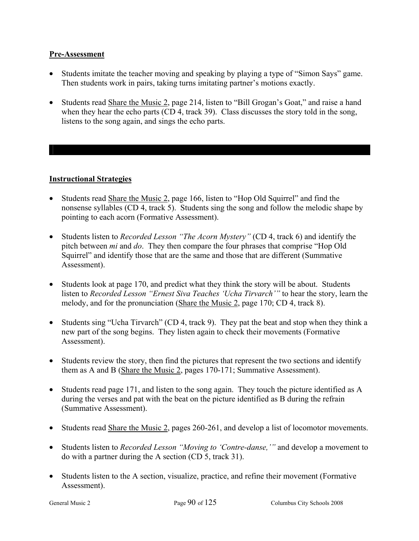### **Pre-Assessment**

- Students imitate the teacher moving and speaking by playing a type of "Simon Says" game. Then students work in pairs, taking turns imitating partner's motions exactly.
- Students read Share the Music 2, page 214, listen to "Bill Grogan's Goat," and raise a hand when they hear the echo parts (CD 4, track 39). Class discusses the story told in the song, listens to the song again, and sings the echo parts.

### **Instructional Strategies**

- Students read Share the Music 2, page 166, listen to "Hop Old Squirrel" and find the nonsense syllables (CD 4, track 5). Students sing the song and follow the melodic shape by pointing to each acorn (Formative Assessment).
- Students listen to *Recorded Lesson "The Acorn Mystery"* (CD 4, track 6) and identify the pitch between *mi* and *do*. They then compare the four phrases that comprise "Hop Old Squirrel" and identify those that are the same and those that are different (Summative Assessment).
- Students look at page 170, and predict what they think the story will be about. Students listen to *Recorded Lesson "Ernest Siva Teaches 'Ucha Tirvarch'"* to hear the story, learn the melody, and for the pronunciation (Share the Music 2, page 170; CD 4, track 8).
- Students sing "Ucha Tirvarch" (CD 4, track 9). They pat the beat and stop when they think a new part of the song begins. They listen again to check their movements (Formative Assessment).
- Students review the story, then find the pictures that represent the two sections and identify them as A and B (Share the Music 2, pages 170-171; Summative Assessment).
- Students read page 171, and listen to the song again. They touch the picture identified as A during the verses and pat with the beat on the picture identified as B during the refrain (Summative Assessment).
- Students read Share the Music 2, pages 260-261, and develop a list of locomotor movements.
- Students listen to *Recorded Lesson "Moving to 'Contre-danse,'"* and develop a movement to do with a partner during the A section (CD 5, track 31).
- Students listen to the A section, visualize, practice, and refine their movement (Formative Assessment).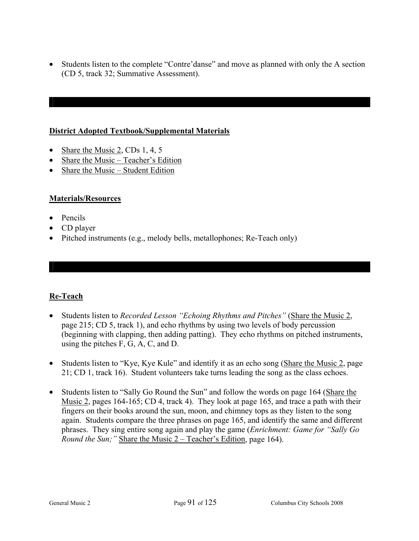• Students listen to the complete "Contre'danse" and move as planned with only the A section (CD 5, track 32; Summative Assessment).

### **District Adopted Textbook/Supplemental Materials**

- Share the Music 2, CDs 1, 4, 5
- Share the Music Teacher's Edition
- Share the Music Student Edition

## **Materials/Resources**

- Pencils
- CD player
- Pitched instruments (e.g., melody bells, metallophones; Re-Teach only)

## **Re-Teach**

- Students listen to *Recorded Lesson "Echoing Rhythms and Pitches"* (Share the Music 2, page 215; CD 5, track 1), and echo rhythms by using two levels of body percussion (beginning with clapping, then adding patting). They echo rhythms on pitched instruments, using the pitches F, G, A, C, and D.
- Students listen to "Kye, Kye Kule" and identify it as an echo song (Share the Music 2, page 21; CD 1, track 16). Student volunteers take turns leading the song as the class echoes.
- Students listen to "Sally Go Round the Sun" and follow the words on page 164 (Share the Music 2, pages 164-165; CD 4, track 4). They look at page 165, and trace a path with their fingers on their books around the sun, moon, and chimney tops as they listen to the song again. Students compare the three phrases on page 165, and identify the same and different phrases. They sing entire song again and play the game (*Enrichment: Game for "Sally Go Round the Sun;* " Share the Music 2 – Teacher's Edition, page 164).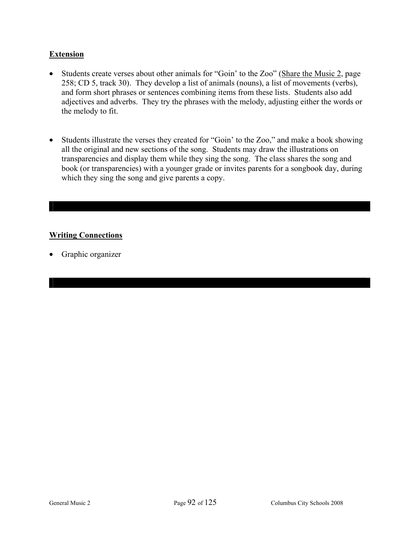## **Extension**

- Students create verses about other animals for "Goin' to the Zoo" (Share the Music 2, page 258; CD 5, track 30). They develop a list of animals (nouns), a list of movements (verbs), and form short phrases or sentences combining items from these lists. Students also add adjectives and adverbs. They try the phrases with the melody, adjusting either the words or the melody to fit.
- Students illustrate the verses they created for "Goin' to the Zoo," and make a book showing all the original and new sections of the song. Students may draw the illustrations on transparencies and display them while they sing the song. The class shares the song and book (or transparencies) with a younger grade or invites parents for a songbook day, during which they sing the song and give parents a copy.

## **Writing Connections**

• Graphic organizer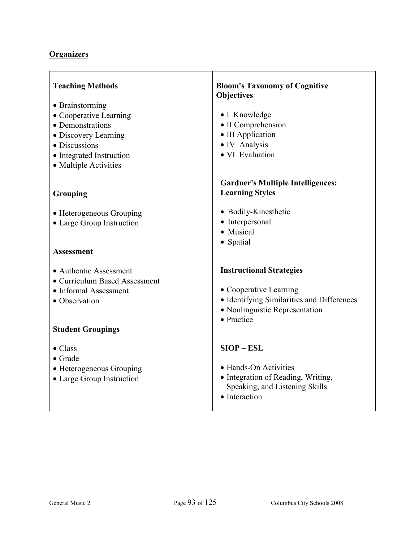## **Organizers**

| <b>Teaching Methods</b><br>• Brainstorming<br>• Cooperative Learning<br>• Demonstrations<br>• Discovery Learning<br>• Discussions<br>• Integrated Instruction<br>• Multiple Activities | <b>Bloom's Taxonomy of Cognitive</b><br><b>Objectives</b><br>• I Knowledge<br>• II Comprehension<br>• III Application<br>• IV Analysis<br>• VI Evaluation |
|----------------------------------------------------------------------------------------------------------------------------------------------------------------------------------------|-----------------------------------------------------------------------------------------------------------------------------------------------------------|
| Grouping                                                                                                                                                                               | <b>Gardner's Multiple Intelligences:</b><br><b>Learning Styles</b>                                                                                        |
| • Heterogeneous Grouping<br>• Large Group Instruction                                                                                                                                  | • Bodily-Kinesthetic<br>• Interpersonal<br>• Musical                                                                                                      |
| <b>Assessment</b>                                                                                                                                                                      | • Spatial                                                                                                                                                 |
| • Authentic Assessment<br>• Curriculum Based Assessment<br>• Informal Assessment<br>• Observation<br><b>Student Groupings</b>                                                          | <b>Instructional Strategies</b><br>• Cooperative Learning<br>• Identifying Similarities and Differences<br>• Nonlinguistic Representation<br>• Practice   |
| $\bullet$ Class<br>$\bullet$ Grade<br>• Heterogeneous Grouping<br>• Large Group Instruction                                                                                            | $SIOP - ESL$<br>• Hands-On Activities<br>• Integration of Reading, Writing,<br>Speaking, and Listening Skills<br>• Interaction                            |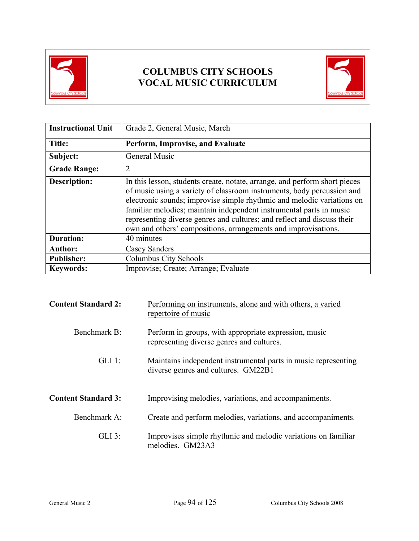



| <b>Instructional Unit</b> | Grade 2, General Music, March                                                                                                                                                                                                                                                                                                                                                                                                                      |  |
|---------------------------|----------------------------------------------------------------------------------------------------------------------------------------------------------------------------------------------------------------------------------------------------------------------------------------------------------------------------------------------------------------------------------------------------------------------------------------------------|--|
| <b>Title:</b>             | Perform, Improvise, and Evaluate                                                                                                                                                                                                                                                                                                                                                                                                                   |  |
| Subject:                  | General Music                                                                                                                                                                                                                                                                                                                                                                                                                                      |  |
| <b>Grade Range:</b>       | $\overline{2}$                                                                                                                                                                                                                                                                                                                                                                                                                                     |  |
| <b>Description:</b>       | In this lesson, students create, notate, arrange, and perform short pieces<br>of music using a variety of classroom instruments, body percussion and<br>electronic sounds; improvise simple rhythmic and melodic variations on<br>familiar melodies; maintain independent instrumental parts in music<br>representing diverse genres and cultures; and reflect and discuss their<br>own and others' compositions, arrangements and improvisations. |  |
| <b>Duration:</b>          | 40 minutes                                                                                                                                                                                                                                                                                                                                                                                                                                         |  |
| <b>Author:</b>            | Casey Sanders                                                                                                                                                                                                                                                                                                                                                                                                                                      |  |
| <b>Publisher:</b>         | Columbus City Schools                                                                                                                                                                                                                                                                                                                                                                                                                              |  |
| <b>Keywords:</b>          | Improvise; Create; Arrange; Evaluate                                                                                                                                                                                                                                                                                                                                                                                                               |  |

| <b>Content Standard 2:</b> | Performing on instruments, alone and with others, a varied<br>repertoire of music                     |
|----------------------------|-------------------------------------------------------------------------------------------------------|
| Benchmark B:               | Perform in groups, with appropriate expression, music<br>representing diverse genres and cultures.    |
| $GLI$ 1:                   | Maintains independent instrumental parts in music representing<br>diverse genres and cultures. GM22B1 |
| <b>Content Standard 3:</b> | Improvising melodies, variations, and accompaniments.                                                 |
| Benchmark A:               | Create and perform melodies, variations, and accompaniments.                                          |
| $GLI$ 3:                   | Improvises simple rhythmic and melodic variations on familiar<br>melodies. GM23A3                     |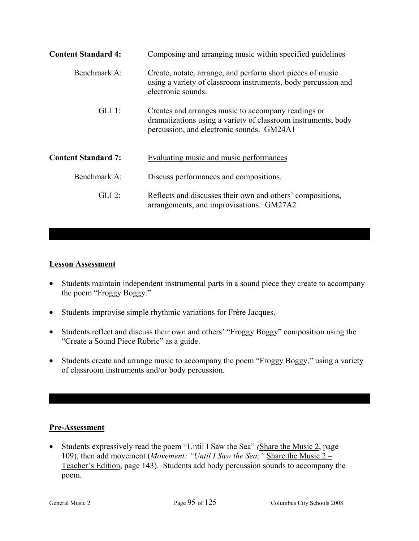| <b>Content Standard 4:</b> | Composing and arranging music within specified guidelines                                                                                                         |
|----------------------------|-------------------------------------------------------------------------------------------------------------------------------------------------------------------|
| Benchmark $A^T$            | Create, notate, arrange, and perform short pieces of music<br>using a variety of classroom instruments, body percussion and<br>electronic sounds.                 |
| $GLI$ 1:                   | Creates and arranges music to accompany readings or<br>dramatizations using a variety of classroom instruments, body<br>percussion, and electronic sounds. GM24A1 |
| <b>Content Standard 7:</b> | Evaluating music and music performances                                                                                                                           |
| Benchmark A:               | Discuss performances and compositions.                                                                                                                            |
| $GLI$ 2:                   | Reflects and discusses their own and others' compositions,<br>arrangements, and improvisations. GM27A2                                                            |

### **Lesson Assessment**

- Students maintain independent instrumental parts in a sound piece they create to accompany the poem "Froggy Boggy."
- Students improvise simple rhythmic variations for Frère Jacques.
- Students reflect and discuss their own and others' "Froggy Boggy" composition using the "Create a Sound Piece Rubric" as a guide.
- Students create and arrange music to accompany the poem "Froggy Boggy," using a variety of classroom instruments and/or body percussion.

### **Pre-Assessment**

• Students expressively read the poem "Until I Saw the Sea" *(*Share the Music 2, page 109), then add movement (*Movement: "Until I Saw the Sea;"* Share the Music 2 – Teacher's Edition, page 143). Students add body percussion sounds to accompany the poem.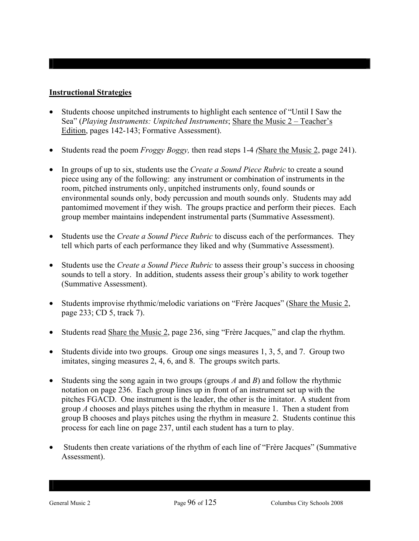### **Instructional Strategies**

- Students choose unpitched instruments to highlight each sentence of "Until I Saw the Sea" (*Playing Instruments: Unpitched Instruments*; Share the Music 2 – Teacher's Edition, pages 142-143; Formative Assessment).
- Students read the poem *Froggy Boggy,* then read steps 1-4 *(*Share the Music 2, page 241).
- In groups of up to six, students use the *Create a Sound Piece Rubric* to create a sound piece using any of the following: any instrument or combination of instruments in the room, pitched instruments only, unpitched instruments only, found sounds or environmental sounds only, body percussion and mouth sounds only. Students may add pantomimed movement if they wish. The groups practice and perform their pieces. Each group member maintains independent instrumental parts (Summative Assessment).
- Students use the *Create a Sound Piece Rubric* to discuss each of the performances. They tell which parts of each performance they liked and why (Summative Assessment).
- Students use the *Create a Sound Piece Rubric* to assess their group's success in choosing sounds to tell a story. In addition, students assess their group's ability to work together (Summative Assessment).
- Students improvise rhythmic/melodic variations on "Frère Jacques" (Share the Music 2, page 233; CD 5, track 7).
- Students read Share the Music 2, page 236, sing "Frère Jacques," and clap the rhythm.
- Students divide into two groups. Group one sings measures 1, 3, 5, and 7. Group two imitates, singing measures 2, 4, 6, and 8. The groups switch parts.
- Students sing the song again in two groups (groups *A* and *B*) and follow the rhythmic notation on page 236. Each group lines up in front of an instrument set up with the pitches FGACD. One instrument is the leader, the other is the imitator. A student from group *A* chooses and plays pitches using the rhythm in measure 1. Then a student from group B chooses and plays pitches using the rhythm in measure 2. Students continue this process for each line on page 237, until each student has a turn to play.
- Students then create variations of the rhythm of each line of "Frère Jacques" (Summative Assessment).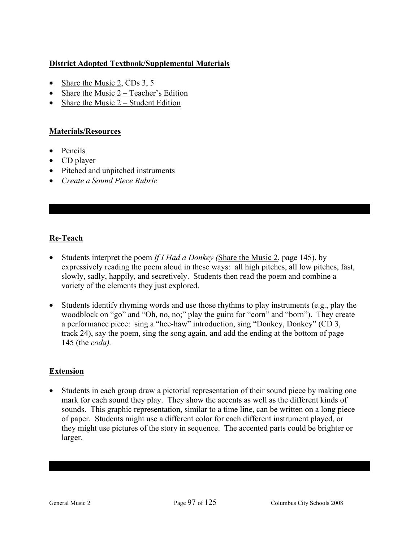## **District Adopted Textbook/Supplemental Materials**

- Share the Music 2, CDs 3, 5
- Share the Music 2 Teacher's Edition
- Share the Music  $2 Student Edition$

### **Materials/Resources**

- Pencils
- CD player
- Pitched and unpitched instruments
- *Create a Sound Piece Rubric*

## **Re-Teach**

- Students interpret the poem *If I Had a Donkey (*Share the Music 2, page 145), by expressively reading the poem aloud in these ways: all high pitches, all low pitches, fast, slowly, sadly, happily, and secretively. Students then read the poem and combine a variety of the elements they just explored.
- Students identify rhyming words and use those rhythms to play instruments (e.g., play the woodblock on "go" and "Oh, no, no;" play the guiro for "corn" and "born"). They create a performance piece: sing a "hee-haw" introduction, sing "Donkey, Donkey" (CD 3, track 24), say the poem, sing the song again, and add the ending at the bottom of page 145 (the *coda).*

### **Extension**

• Students in each group draw a pictorial representation of their sound piece by making one mark for each sound they play. They show the accents as well as the different kinds of sounds. This graphic representation, similar to a time line, can be written on a long piece of paper. Students might use a different color for each different instrument played, or they might use pictures of the story in sequence. The accented parts could be brighter or larger.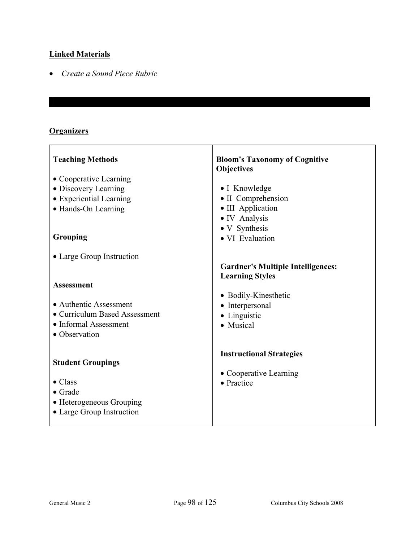## **Linked Materials**

• *Create a Sound Piece Rubric* 

### **Organizers**

 $\overline{1}$ 

| <b>Teaching Methods</b>       | <b>Bloom's Taxonomy of Cognitive</b><br><b>Objectives</b> |
|-------------------------------|-----------------------------------------------------------|
| • Cooperative Learning        |                                                           |
| • Discovery Learning          | • I Knowledge                                             |
| • Experiential Learning       | • II Comprehension                                        |
| • Hands-On Learning           | • III Application                                         |
|                               | · IV Analysis                                             |
|                               | • V Synthesis                                             |
| Grouping                      | • VI Evaluation                                           |
|                               |                                                           |
| • Large Group Instruction     | <b>Gardner's Multiple Intelligences:</b>                  |
|                               | <b>Learning Styles</b>                                    |
| <b>Assessment</b>             |                                                           |
|                               | • Bodily-Kinesthetic                                      |
| • Authentic Assessment        | • Interpersonal                                           |
| • Curriculum Based Assessment | • Linguistic                                              |
| • Informal Assessment         | • Musical                                                 |
| • Observation                 |                                                           |
|                               |                                                           |
| <b>Student Groupings</b>      | <b>Instructional Strategies</b>                           |
|                               |                                                           |
| $\bullet$ Class               | • Cooperative Learning<br>• Practice                      |
| $\bullet$ Grade               |                                                           |
| • Heterogeneous Grouping      |                                                           |
| • Large Group Instruction     |                                                           |
|                               |                                                           |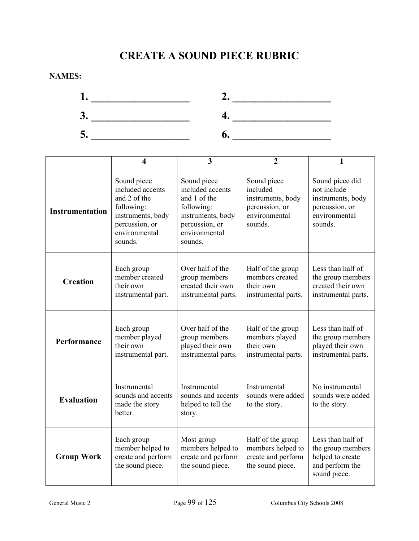# **CREATE A SOUND PIECE RUBRIC**

**NAMES:** 



|                        | $\overline{\mathbf{4}}$                                                                                                          | 3                                                                                                                                | $\overline{2}$                                                                             | $\mathbf{1}$                                                                                      |
|------------------------|----------------------------------------------------------------------------------------------------------------------------------|----------------------------------------------------------------------------------------------------------------------------------|--------------------------------------------------------------------------------------------|---------------------------------------------------------------------------------------------------|
| <b>Instrumentation</b> | Sound piece<br>included accents<br>and 2 of the<br>following:<br>instruments, body<br>percussion, or<br>environmental<br>sounds. | Sound piece<br>included accents<br>and 1 of the<br>following:<br>instruments, body<br>percussion, or<br>environmental<br>sounds. | Sound piece<br>included<br>instruments, body<br>percussion, or<br>environmental<br>sounds. | Sound piece did<br>not include<br>instruments, body<br>percussion, or<br>environmental<br>sounds. |
| <b>Creation</b>        | Each group<br>member created<br>their own<br>instrumental part.                                                                  | Over half of the<br>group members<br>created their own<br>instrumental parts.                                                    | Half of the group<br>members created<br>their own<br>instrumental parts.                   | Less than half of<br>the group members<br>created their own<br>instrumental parts.                |
| Performance            | Each group<br>member played<br>their own<br>instrumental part.                                                                   | Over half of the<br>group members<br>played their own<br>instrumental parts.                                                     | Half of the group<br>members played<br>their own<br>instrumental parts.                    | Less than half of<br>the group members<br>played their own<br>instrumental parts.                 |
| <b>Evaluation</b>      | Instrumental<br>sounds and accents<br>made the story<br>better.                                                                  | Instrumental<br>sounds and accents<br>helped to tell the<br>story.                                                               | Instrumental<br>sounds were added<br>to the story.                                         | No instrumental<br>sounds were added<br>to the story.                                             |
| <b>Group Work</b>      | Each group<br>member helped to<br>create and perform<br>the sound piece.                                                         | Most group<br>members helped to<br>create and perform<br>the sound piece.                                                        | Half of the group<br>members helped to<br>create and perform<br>the sound piece.           | Less than half of<br>the group members<br>helped to create<br>and perform the<br>sound piece.     |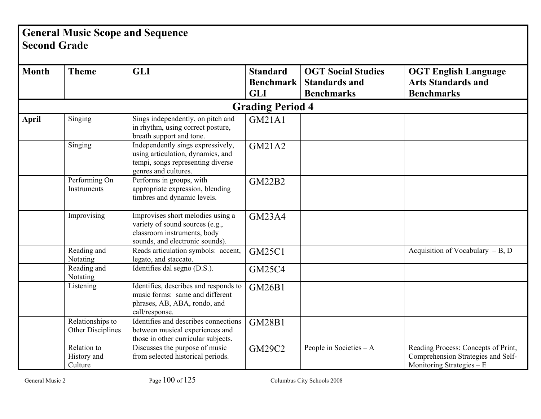# **General Music Scope and Sequence Second Grade**

| <b>Month</b> | <b>Theme</b>                          | <b>GLI</b>                                                                                                                             | <b>Standard</b><br><b>Benchmark</b><br><b>GLI</b> | <b>OGT Social Studies</b><br><b>Standards and</b><br><b>Benchmarks</b> | <b>OGT English Language</b><br><b>Arts Standards and</b><br><b>Benchmarks</b>                           |
|--------------|---------------------------------------|----------------------------------------------------------------------------------------------------------------------------------------|---------------------------------------------------|------------------------------------------------------------------------|---------------------------------------------------------------------------------------------------------|
|              |                                       |                                                                                                                                        | <b>Grading Period 4</b>                           |                                                                        |                                                                                                         |
| <b>April</b> | Singing                               | Sings independently, on pitch and<br>in rhythm, using correct posture,<br>breath support and tone.                                     | <b>GM21A1</b>                                     |                                                                        |                                                                                                         |
|              | Singing                               | Independently sings expressively,<br>using articulation, dynamics, and<br>tempi, songs representing diverse<br>genres and cultures.    | <b>GM21A2</b>                                     |                                                                        |                                                                                                         |
|              | Performing On<br>Instruments          | Performs in groups, with<br>appropriate expression, blending<br>timbres and dynamic levels.                                            | <b>GM22B2</b>                                     |                                                                        |                                                                                                         |
|              | Improvising                           | Improvises short melodies using a<br>variety of sound sources (e.g.,<br>classroom instruments, body<br>sounds, and electronic sounds). | <b>GM23A4</b>                                     |                                                                        |                                                                                                         |
|              | Reading and<br>Notating               | Reads articulation symbols: accent,<br>legato, and staccato.                                                                           | <b>GM25C1</b>                                     |                                                                        | Acquisition of Vocabulary $-B$ , D                                                                      |
|              | Reading and<br>Notating               | Identifies dal segno (D.S.).                                                                                                           | <b>GM25C4</b>                                     |                                                                        |                                                                                                         |
|              | Listening                             | Identifies, describes and responds to<br>music forms: same and different<br>phrases, AB, ABA, rondo, and<br>call/response.             | <b>GM26B1</b>                                     |                                                                        |                                                                                                         |
|              | Relationships to<br>Other Disciplines | Identifies and describes connections<br>between musical experiences and<br>those in other curricular subjects.                         | <b>GM28B1</b>                                     |                                                                        |                                                                                                         |
|              | Relation to<br>History and<br>Culture | Discusses the purpose of music<br>from selected historical periods.                                                                    | <b>GM29C2</b>                                     | People in Societies $-A$                                               | Reading Process: Concepts of Print,<br>Comprehension Strategies and Self-<br>Monitoring Strategies $-E$ |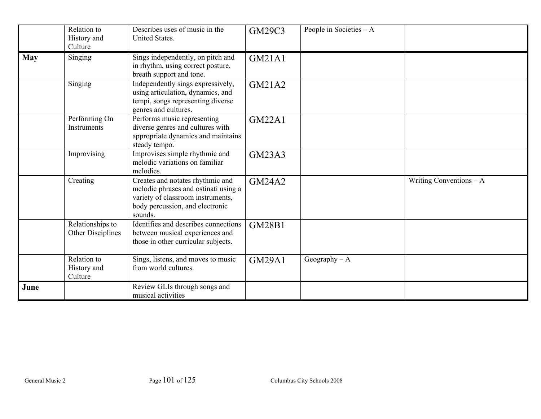|            | Relation to<br>History and<br>Culture | Describes uses of music in the<br><b>United States.</b>                                                                                                     | GM29C3        | People in Societies - A |                          |
|------------|---------------------------------------|-------------------------------------------------------------------------------------------------------------------------------------------------------------|---------------|-------------------------|--------------------------|
| <b>May</b> | Singing                               | Sings independently, on pitch and<br>in rhythm, using correct posture,<br>breath support and tone.                                                          | <b>GM21A1</b> |                         |                          |
|            | Singing                               | Independently sings expressively,<br>using articulation, dynamics, and<br>tempi, songs representing diverse<br>genres and cultures.                         | GM21A2        |                         |                          |
|            | Performing On<br>Instruments          | Performs music representing<br>diverse genres and cultures with<br>appropriate dynamics and maintains<br>steady tempo.                                      | <b>GM22A1</b> |                         |                          |
|            | Improvising                           | Improvises simple rhythmic and<br>melodic variations on familiar<br>melodies.                                                                               | <b>GM23A3</b> |                         |                          |
|            | Creating                              | Creates and notates rhythmic and<br>melodic phrases and ostinati using a<br>variety of classroom instruments,<br>body percussion, and electronic<br>sounds. | <b>GM24A2</b> |                         | Writing Conventions $-A$ |
|            | Relationships to<br>Other Disciplines | Identifies and describes connections<br>between musical experiences and<br>those in other curricular subjects.                                              | <b>GM28B1</b> |                         |                          |
|            | Relation to<br>History and<br>Culture | Sings, listens, and moves to music<br>from world cultures.                                                                                                  | <b>GM29A1</b> | Geography $- A$         |                          |
| June       |                                       | Review GLIs through songs and<br>musical activities                                                                                                         |               |                         |                          |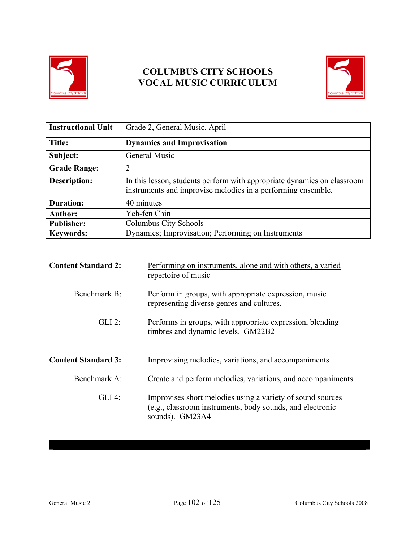



| <b>Instructional Unit</b> | Grade 2, General Music, April                                                                                                           |  |
|---------------------------|-----------------------------------------------------------------------------------------------------------------------------------------|--|
| Title:                    | <b>Dynamics and Improvisation</b>                                                                                                       |  |
| Subject:                  | General Music                                                                                                                           |  |
| <b>Grade Range:</b>       | $\overline{2}$                                                                                                                          |  |
| <b>Description:</b>       | In this lesson, students perform with appropriate dynamics on classroom<br>instruments and improvise melodies in a performing ensemble. |  |
| <b>Duration:</b>          | 40 minutes                                                                                                                              |  |
| <b>Author:</b>            | Yeh-fen Chin                                                                                                                            |  |
| <b>Publisher:</b>         | Columbus City Schools                                                                                                                   |  |
| <b>Keywords:</b>          | Dynamics; Improvisation; Performing on Instruments                                                                                      |  |

| <b>Content Standard 2:</b> | Performing on instruments, alone and with others, a varied<br>repertoire of music                                       |  |  |
|----------------------------|-------------------------------------------------------------------------------------------------------------------------|--|--|
| Benchmark B:               | Perform in groups, with appropriate expression, music<br>representing diverse genres and cultures.                      |  |  |
| $GLI$ 2:                   | Performs in groups, with appropriate expression, blending<br>timbres and dynamic levels. GM22B2                         |  |  |
| <b>Content Standard 3:</b> | Improvising melodies, variations, and accompaniments                                                                    |  |  |
| Benchmark A:               | Create and perform melodies, variations, and accompaniments.                                                            |  |  |
| $GLI$ 4:                   | Improvises short melodies using a variety of sound sources<br>(e.g., classroom instruments, body sounds, and electronic |  |  |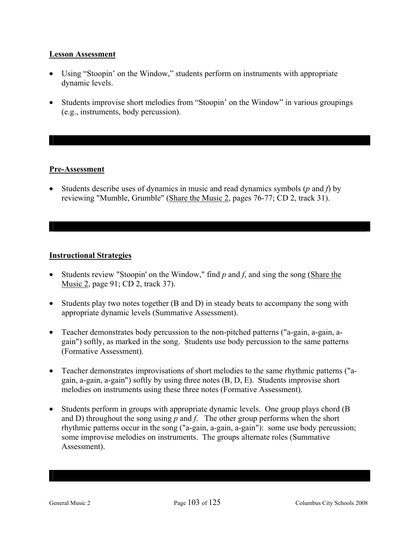### **Lesson Assessment**

- Using "Stoopin' on the Window," students perform on instruments with appropriate dynamic levels.
- Students improvise short melodies from "Stoopin' on the Window" in various groupings (e.g., instruments, body percussion).

### **Pre-Assessment**

• Students describe uses of dynamics in music and read dynamics symbols (*p* and *f*) by reviewing "Mumble, Grumble" (Share the Music 2, pages 76-77; CD 2, track 31).

### **Instructional Strategies**

- Students review "Stoopin' on the Window," find *p* and *f*, and sing the song (Share the Music 2, page 91; CD 2, track 37).
- Students play two notes together (B and D) in steady beats to accompany the song with appropriate dynamic levels (Summative Assessment).
- Teacher demonstrates body percussion to the non-pitched patterns ("a-gain, a-gain, again") softly, as marked in the song. Students use body percussion to the same patterns (Formative Assessment).
- Teacher demonstrates improvisations of short melodies to the same rhythmic patterns ("again, a-gain, a-gain") softly by using three notes (B, D, E). Students improvise short melodies on instruments using these three notes (Formative Assessment).
- Students perform in groups with appropriate dynamic levels. One group plays chord (B) and D) throughout the song using  $p$  and  $f$ . The other group performs when the short rhythmic patterns occur in the song ("a-gain, a-gain, a-gain"): some use body percussion; some improvise melodies on instruments. The groups alternate roles (Summative Assessment).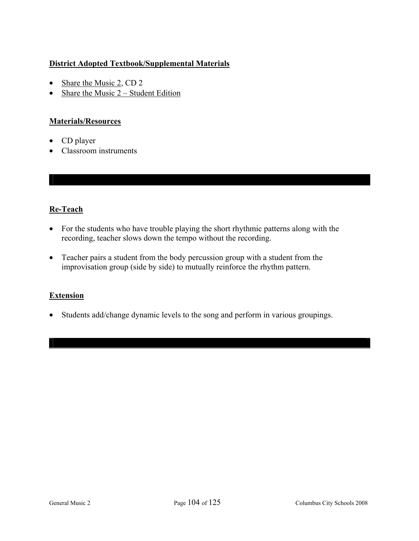## **District Adopted Textbook/Supplemental Materials**

- Share the Music 2, CD 2
- Share the Music  $2 -$  Student Edition

### **Materials/Resources**

- CD player
- Classroom instruments

### **Re-Teach**

- For the students who have trouble playing the short rhythmic patterns along with the recording, teacher slows down the tempo without the recording.
- Teacher pairs a student from the body percussion group with a student from the improvisation group (side by side) to mutually reinforce the rhythm pattern.

### **Extension**

• Students add/change dynamic levels to the song and perform in various groupings.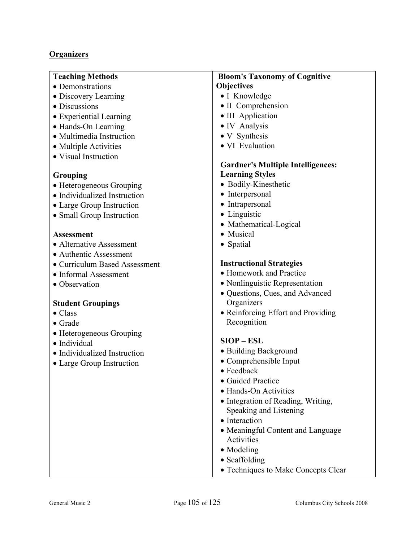### **Organizers**

| <b>Teaching Methods</b>       | <b>Bloom's Taxonomy of Cognitive</b>                         |
|-------------------------------|--------------------------------------------------------------|
| • Demonstrations              | <b>Objectives</b>                                            |
| • Discovery Learning          | • I Knowledge                                                |
| • Discussions                 | • II Comprehension                                           |
| • Experiential Learning       | • III Application                                            |
| • Hands-On Learning           | • IV Analysis                                                |
| • Multimedia Instruction      | • V Synthesis                                                |
| • Multiple Activities         | • VI Evaluation                                              |
| • Visual Instruction          |                                                              |
|                               | <b>Gardner's Multiple Intelligences:</b>                     |
| Grouping                      | <b>Learning Styles</b>                                       |
| • Heterogeneous Grouping      | • Bodily-Kinesthetic                                         |
| • Individualized Instruction  | • Interpersonal                                              |
| • Large Group Instruction     | • Intrapersonal                                              |
| • Small Group Instruction     | • Linguistic                                                 |
|                               | • Mathematical-Logical                                       |
| Assessment                    | Musical                                                      |
| • Alternative Assessment      | • Spatial                                                    |
| • Authentic Assessment        |                                                              |
| • Curriculum Based Assessment | <b>Instructional Strategies</b>                              |
| • Informal Assessment         | • Homework and Practice                                      |
| • Observation                 | • Nonlinguistic Representation                               |
|                               | • Questions, Cues, and Advanced                              |
| <b>Student Groupings</b>      | Organizers                                                   |
| $\bullet$ Class               | • Reinforcing Effort and Providing                           |
| $\bullet$ Grade               | Recognition                                                  |
| • Heterogeneous Grouping      | $SIOP - ESL$                                                 |
| · Individual                  | • Building Background                                        |
| • Individualized Instruction  | • Comprehensible Input                                       |
| • Large Group Instruction     | $\bullet$ Feedback                                           |
|                               | • Guided Practice                                            |
|                               | • Hands-On Activities                                        |
|                               |                                                              |
|                               | • Integration of Reading, Writing,<br>Speaking and Listening |
|                               | • Interaction                                                |
|                               | • Meaningful Content and Language                            |
|                               | Activities                                                   |
|                               | • Modeling                                                   |
|                               | • Scaffolding                                                |
|                               |                                                              |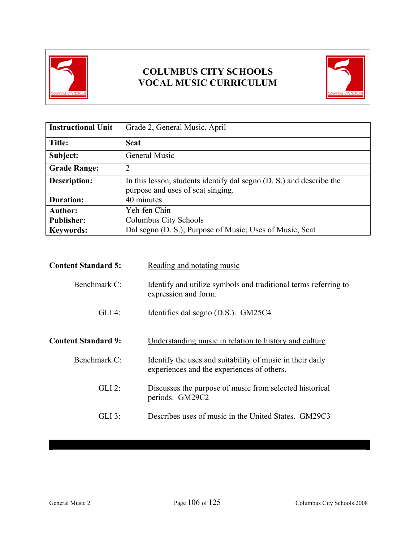

# **COLUMBUS CITY SCHOOLS VOCAL MUSIC CURRICULUM**



| <b>Instructional Unit</b> | Grade 2, General Music, April                                                                             |  |
|---------------------------|-----------------------------------------------------------------------------------------------------------|--|
| Title:                    | <b>Scat</b>                                                                                               |  |
| Subject:                  | General Music                                                                                             |  |
| <b>Grade Range:</b>       | $\overline{2}$                                                                                            |  |
| <b>Description:</b>       | In this lesson, students identify dal segno (D. S.) and describe the<br>purpose and uses of scat singing. |  |
| <b>Duration:</b>          | 40 minutes                                                                                                |  |
| <b>Author:</b>            | Yeh-fen Chin                                                                                              |  |
| <b>Publisher:</b>         | Columbus City Schools                                                                                     |  |
| <b>Keywords:</b>          | Dal segno (D. S.); Purpose of Music; Uses of Music; Scat                                                  |  |

| <b>Content Standard 5:</b> | Reading and notating music                                                                              |
|----------------------------|---------------------------------------------------------------------------------------------------------|
| Benchmark C:               | Identify and utilize symbols and traditional terms referring to<br>expression and form.                 |
| $GLI$ 4:                   | Identifies dal segno (D.S.). GM25C4                                                                     |
| <b>Content Standard 9:</b> | Understanding music in relation to history and culture                                                  |
| Benchmark C:               | Identify the uses and suitability of music in their daily<br>experiences and the experiences of others. |
| $GLI$ 2:                   | Discusses the purpose of music from selected historical<br>periods. GM29C2                              |
| GLI 3:                     | Describes uses of music in the United States. GM29C3                                                    |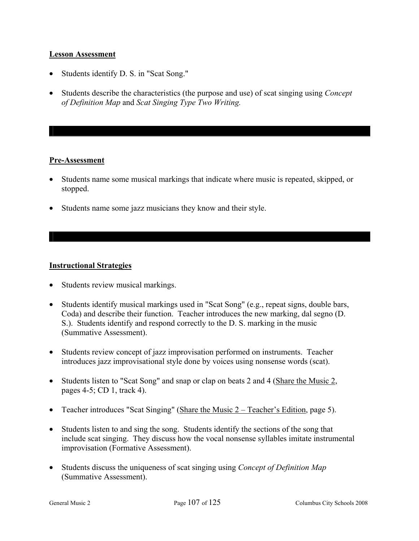#### **Lesson Assessment**

- Students identify D. S. in "Scat Song."
- Students describe the characteristics (the purpose and use) of scat singing using *Concept of Definition Map* and *Scat Singing Type Two Writing.*

#### **Pre-Assessment**

- Students name some musical markings that indicate where music is repeated, skipped, or stopped.
- Students name some jazz musicians they know and their style.

#### **Instructional Strategies**

- Students review musical markings.
- Students identify musical markings used in "Scat Song" (e.g., repeat signs, double bars, Coda) and describe their function. Teacher introduces the new marking, dal segno (D. S.). Students identify and respond correctly to the D. S. marking in the music (Summative Assessment).
- Students review concept of jazz improvisation performed on instruments. Teacher introduces jazz improvisational style done by voices using nonsense words (scat).
- Students listen to "Scat Song" and snap or clap on beats 2 and 4 (Share the Music 2, pages 4-5; CD 1, track 4).
- Teacher introduces "Scat Singing" (Share the Music 2 Teacher's Edition, page 5).
- Students listen to and sing the song. Students identify the sections of the song that include scat singing. They discuss how the vocal nonsense syllables imitate instrumental improvisation (Formative Assessment).
- Students discuss the uniqueness of scat singing using *Concept of Definition Map* (Summative Assessment).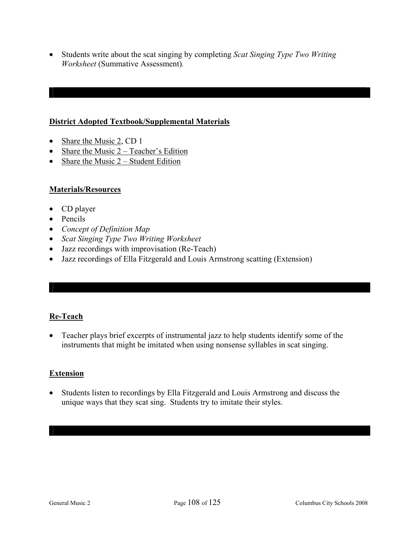• Students write about the scat singing by completing *Scat Singing Type Two Writing Worksheet* (Summative Assessment)*.*

#### **District Adopted Textbook/Supplemental Materials**

- Share the Music 2, CD 1
- Share the Music  $2 Teacher's Edition$
- Share the Music  $2 -$  Student Edition

#### **Materials/Resources**

- CD player
- Pencils
- *Concept of Definition Map*
- *Scat Singing Type Two Writing Worksheet*
- Jazz recordings with improvisation (Re-Teach)
- Jazz recordings of Ella Fitzgerald and Louis Armstrong scatting (Extension)

#### **Re-Teach**

• Teacher plays brief excerpts of instrumental jazz to help students identify some of the instruments that might be imitated when using nonsense syllables in scat singing.

#### **Extension**

• Students listen to recordings by Ella Fitzgerald and Louis Armstrong and discuss the unique ways that they scat sing. Students try to imitate their styles.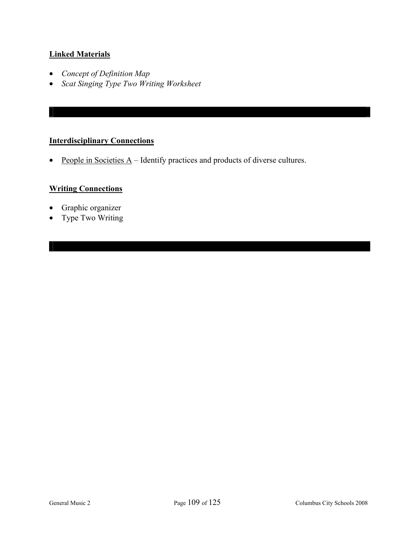#### **Linked Materials**

- *Concept of Definition Map*
- *Scat Singing Type Two Writing Worksheet*

#### **Interdisciplinary Connections**

• People in Societies  $A$  – Identify practices and products of diverse cultures.

#### **Writing Connections**

- Graphic organizer
- Type Two Writing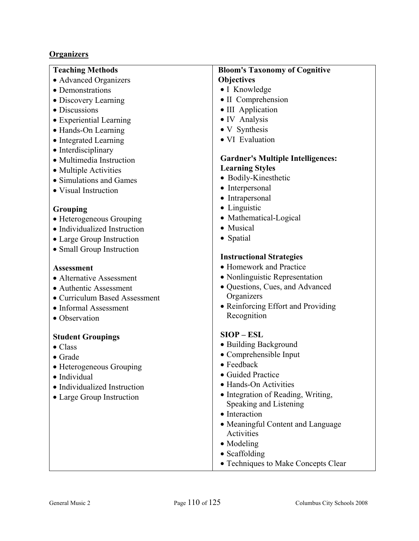# **Organizers**

| <b>Teaching Methods</b>                     | <b>Bloom's Taxonomy of Cognitive</b>              |
|---------------------------------------------|---------------------------------------------------|
| • Advanced Organizers                       | <b>Objectives</b>                                 |
| • Demonstrations                            | • I Knowledge                                     |
| • Discovery Learning                        | • II Comprehension                                |
| • Discussions                               | • III Application                                 |
| • Experiential Learning                     | • IV Analysis                                     |
| • Hands-On Learning                         | • V Synthesis                                     |
| • Integrated Learning                       | • VI Evaluation                                   |
| • Interdisciplinary                         |                                                   |
| • Multimedia Instruction                    | <b>Gardner's Multiple Intelligences:</b>          |
| • Multiple Activities                       | <b>Learning Styles</b>                            |
| • Simulations and Games                     | • Bodily-Kinesthetic                              |
| • Visual Instruction                        | • Interpersonal                                   |
|                                             | • Intrapersonal                                   |
| Grouping                                    | • Linguistic                                      |
| • Heterogeneous Grouping                    | • Mathematical-Logical                            |
| • Individualized Instruction                | • Musical                                         |
| • Large Group Instruction                   | • Spatial                                         |
| • Small Group Instruction                   |                                                   |
|                                             | <b>Instructional Strategies</b>                   |
| <b>Assessment</b>                           | • Homework and Practice                           |
| • Alternative Assessment                    | • Nonlinguistic Representation                    |
| • Authentic Assessment                      | • Questions, Cues, and Advanced                   |
| • Curriculum Based Assessment               | Organizers                                        |
| • Informal Assessment                       | • Reinforcing Effort and Providing<br>Recognition |
| • Observation                               |                                                   |
|                                             | $SIOP - ESL$                                      |
| <b>Student Groupings</b><br>$\bullet$ Class | • Building Background                             |
| $\bullet$ Grade                             | • Comprehensible Input                            |
| • Heterogeneous Grouping                    | • Feedback                                        |
| · Individual                                | • Guided Practice                                 |
| • Individualized Instruction                | • Hands-On Activities                             |
| • Large Group Instruction                   | · Integration of Reading, Writing,                |
|                                             | Speaking and Listening                            |
|                                             | • Interaction                                     |
|                                             | • Meaningful Content and Language                 |
|                                             | Activities                                        |
|                                             | • Modeling                                        |
|                                             | • Scaffolding                                     |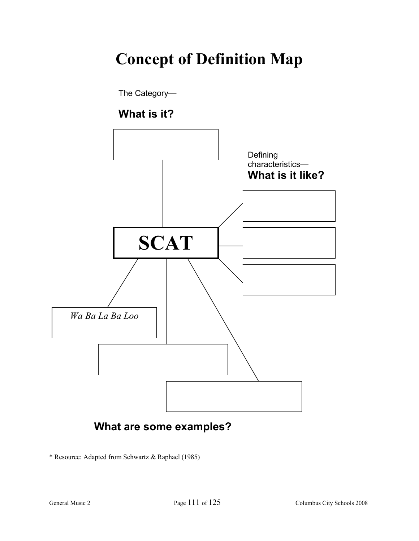# **Concept of Definition Map**



**What are some examples?** 

\* Resource: Adapted from Schwartz & Raphael (1985)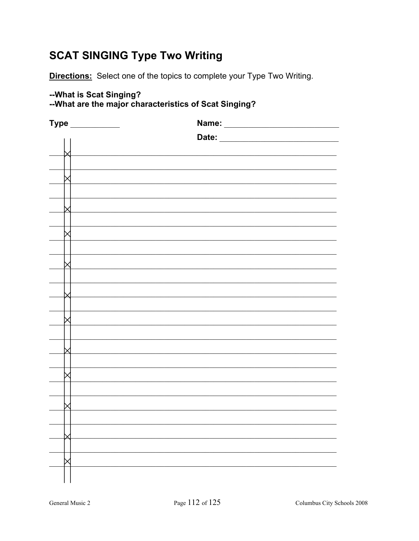# **SCAT SINGING Type Two Writing**

**Directions:** Select one of the topics to complete your Type Two Writing.

### -- What is Scat Singing?

|  |  | --What are the major characteristics of Scat Singing? |  |  |
|--|--|-------------------------------------------------------|--|--|
|--|--|-------------------------------------------------------|--|--|

| <b>Type</b> | Name: |
|-------------|-------|
|             | Date: |
|             |       |
|             |       |
|             |       |
|             |       |
|             |       |
|             |       |
|             |       |
|             |       |
|             |       |
|             |       |
|             |       |
|             |       |
|             |       |
|             |       |
|             |       |
|             |       |
|             |       |
|             |       |
|             |       |
|             |       |
|             |       |
|             |       |
|             |       |
|             |       |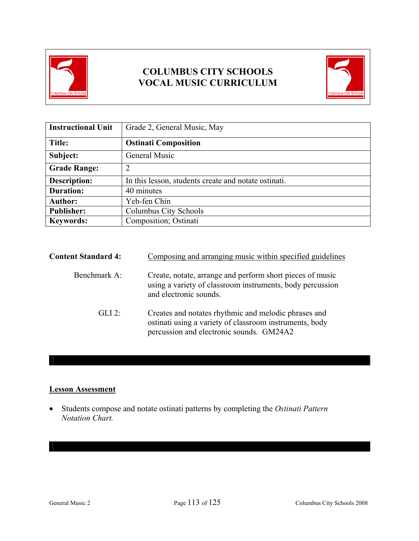

# **COLUMBUS CITY SCHOOLS VOCAL MUSIC CURRICULUM**



| <b>Instructional Unit</b> | Grade 2, General Music, May                          |
|---------------------------|------------------------------------------------------|
| Title:                    | <b>Ostinati Composition</b>                          |
| Subject:                  | General Music                                        |
| <b>Grade Range:</b>       | 2                                                    |
| <b>Description:</b>       | In this lesson, students create and notate ostinati. |
| <b>Duration:</b>          | 40 minutes                                           |
| <b>Author:</b>            | Yeh-fen Chin                                         |
| <b>Publisher:</b>         | Columbus City Schools                                |
| <b>Keywords:</b>          | Composition; Ostinati                                |

| <b>Content Standard 4:</b> | Composing and arranging music within specified guidelines                                                                                                   |
|----------------------------|-------------------------------------------------------------------------------------------------------------------------------------------------------------|
| Benchmark A:               | Create, notate, arrange and perform short pieces of music<br>using a variety of classroom instruments, body percussion<br>and electronic sounds.            |
| GL12                       | Creates and notates rhythmic and melodic phrases and<br>ostinati using a variety of classroom instruments, body<br>percussion and electronic sounds. GM24A2 |

#### **Lesson Assessment**

• Students compose and notate ostinati patterns by completing the *Ostinati Pattern Notation Chart.*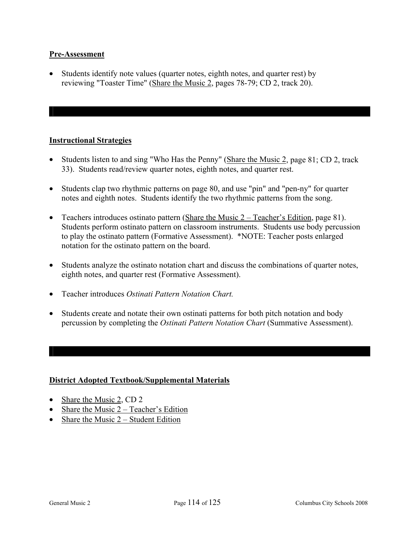#### **Pre-Assessment**

• Students identify note values (quarter notes, eighth notes, and quarter rest) by reviewing "Toaster Time" (Share the Music 2, pages 78-79; CD 2, track 20).

#### **Instructional Strategies**

- Students listen to and sing "Who Has the Penny" (Share the Music 2, page 81; CD 2, track 33). Students read/review quarter notes, eighth notes, and quarter rest.
- Students clap two rhythmic patterns on page 80, and use "pin" and "pen-ny" for quarter notes and eighth notes. Students identify the two rhythmic patterns from the song.
- Teachers introduces ostinato pattern (Share the Music 2 Teacher's Edition, page 81). Students perform ostinato pattern on classroom instruments. Students use body percussion to play the ostinato pattern (Formative Assessment). \*NOTE: Teacher posts enlarged notation for the ostinato pattern on the board.
- Students analyze the ostinato notation chart and discuss the combinations of quarter notes, eighth notes, and quarter rest (Formative Assessment).
- Teacher introduces *Ostinati Pattern Notation Chart.*
- Students create and notate their own ostinati patterns for both pitch notation and body percussion by completing the *Ostinati Pattern Notation Chart* (Summative Assessment).

#### **District Adopted Textbook/Supplemental Materials**

- Share the Music 2, CD 2
- Share the Music  $2 Teacher's Edition$
- Share the Music  $2 -$  Student Edition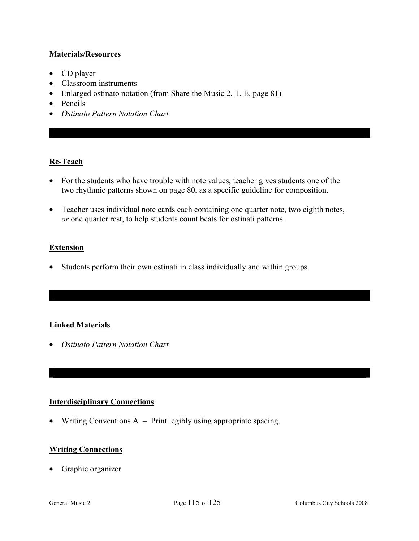#### **Materials/Resources**

- CD player
- Classroom instruments
- Enlarged ostinato notation (from Share the Music 2, T. E. page 81)
- Pencils
- *Ostinato Pattern Notation Chart*

#### **Re-Teach**

- For the students who have trouble with note values, teacher gives students one of the two rhythmic patterns shown on page 80, as a specific guideline for composition.
- Teacher uses individual note cards each containing one quarter note, two eighth notes, *or* one quarter rest, to help students count beats for ostinati patterns.

#### **Extension**

• Students perform their own ostinati in class individually and within groups.

#### **Linked Materials**

• *Ostinato Pattern Notation Chart*

#### **Interdisciplinary Connections**

• Writing Conventions  $\overline{A}$  – Print legibly using appropriate spacing.

#### **Writing Connections**

• Graphic organizer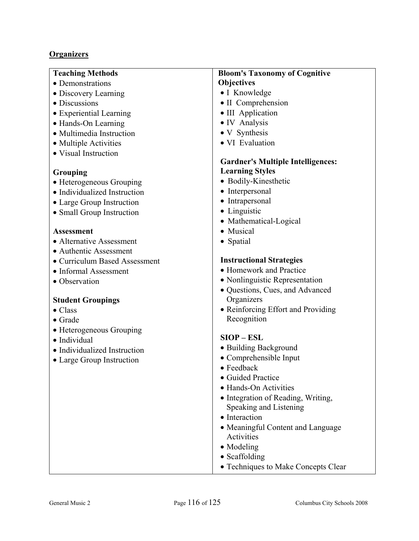#### **Organizers**

#### **Teaching Methods**

- Demonstrations
- Discovery Learning
- Discussions
- Experiential Learning
- Hands-On Learning
- Multimedia Instruction
- Multiple Activities
- Visual Instruction

#### **Grouping**

- Heterogeneous Grouping
- Individualized Instruction
- Large Group Instruction
- Small Group Instruction

#### **Assessment**

- Alternative Assessment
- Authentic Assessment
- Curriculum Based Assessment
- Informal Assessment
- Observation

#### **Student Groupings**

- Class
- Grade
- Heterogeneous Grouping
- Individual
- Individualized Instruction
- Large Group Instruction

#### **Bloom's Taxonomy of Cognitive Objectives**

- I Knowledge
- II Comprehension
- III Application
- IV Analysis
- V Synthesis
- VI Evaluation

#### **Gardner's Multiple Intelligences: Learning Styles**

- Bodily-Kinesthetic
- Interpersonal
- Intrapersonal
- Linguistic
- Mathematical-Logical
- Musical
- Spatial

#### **Instructional Strategies**

- Homework and Practice
- Nonlinguistic Representation
- Questions, Cues, and Advanced **Organizers**
- Reinforcing Effort and Providing Recognition

#### **SIOP – ESL**

- Building Background
- Comprehensible Input
- Feedback
- Guided Practice
- Hands-On Activities
- Integration of Reading, Writing, Speaking and Listening
- Interaction
- Meaningful Content and Language Activities
- Modeling
- Scaffolding
- Techniques to Make Concepts Clear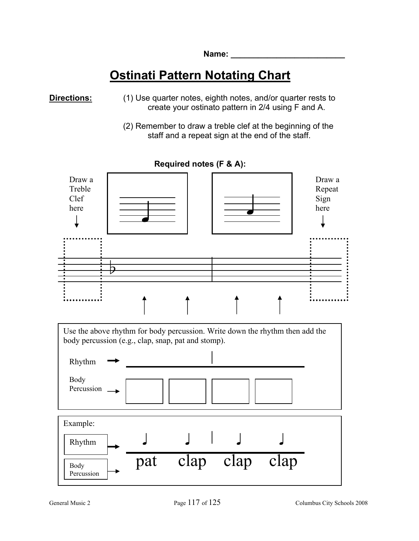# **Ostinati Pattern Notating Chart**

**Directions:** (1) Use quarter notes, eighth notes, and/or quarter rests to create your ostinato pattern in 2/4 using F and A.

(2) Remember to draw a treble clef at the beginning of the staff and a repeat sign at the end of the staff.



**Required notes (F & A):** 

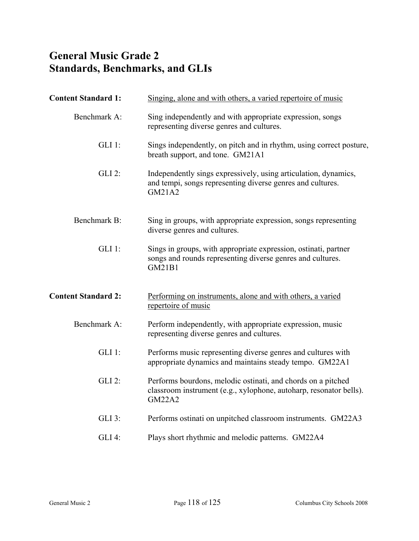# **General Music Grade 2 Standards, Benchmarks, and GLIs**

| <b>Content Standard 1:</b> | Singing, alone and with others, a varied repertoire of music                                                                                        |
|----------------------------|-----------------------------------------------------------------------------------------------------------------------------------------------------|
| Benchmark A:               | Sing independently and with appropriate expression, songs<br>representing diverse genres and cultures.                                              |
| $GLI$ 1:                   | Sings independently, on pitch and in rhythm, using correct posture,<br>breath support, and tone. GM21A1                                             |
| GLI 2:                     | Independently sings expressively, using articulation, dynamics,<br>and tempi, songs representing diverse genres and cultures.<br>GM21A2             |
| Benchmark B:               | Sing in groups, with appropriate expression, songs representing<br>diverse genres and cultures.                                                     |
| $GLI$ 1:                   | Sings in groups, with appropriate expression, ostinati, partner<br>songs and rounds representing diverse genres and cultures.<br>GM21B1             |
| <b>Content Standard 2:</b> | Performing on instruments, alone and with others, a varied<br>repertoire of music                                                                   |
| Benchmark A:               | Perform independently, with appropriate expression, music<br>representing diverse genres and cultures.                                              |
| $GLI$ 1:                   | Performs music representing diverse genres and cultures with<br>appropriate dynamics and maintains steady tempo. GM22A1                             |
| $GLI$ 2:                   | Performs bourdons, melodic ostinati, and chords on a pitched<br>classroom instrument (e.g., xylophone, autoharp, resonator bells).<br><b>GM22A2</b> |
| $GLI$ 3:                   | Performs ostinati on unpitched classroom instruments. GM22A3                                                                                        |
| GLI 4:                     | Plays short rhythmic and melodic patterns. GM22A4                                                                                                   |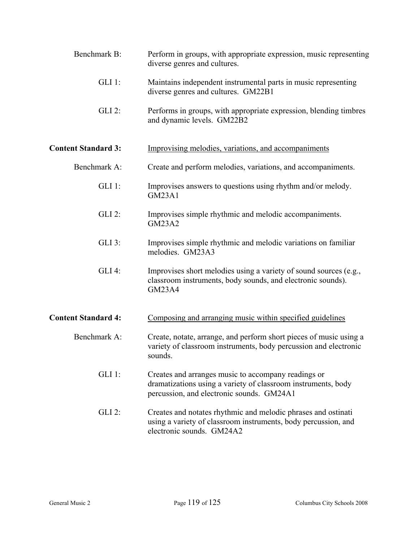| Benchmark B:<br>diverse genres and cultures.<br>$GLI$ 1:<br>diverse genres and cultures. GM22B1<br><b>GLI 2:</b><br>and dynamic levels. GM22B2<br><b>Content Standard 3:</b><br>Improvising melodies, variations, and accompaniments<br>Benchmark A:<br>$GLI$ 1:<br><b>GM23A1</b><br><b>GLI 2:</b><br>Improvises simple rhythmic and melodic accompaniments.<br><b>GM23A2</b><br>$GLI$ 3:<br>melodies. GM23A3<br><b>GLI 4:</b><br>classroom instruments, body sounds, and electronic sounds).<br><b>GM23A4</b><br><b>Content Standard 4:</b><br>Composing and arranging music within specified guidelines<br>Benchmark A:<br>sounds.<br>$GLI$ 1:<br>Creates and arranges music to accompany readings or<br>percussion, and electronic sounds. GM24A1<br>$GLI$ 2: |                                                                                                                                        |
|------------------------------------------------------------------------------------------------------------------------------------------------------------------------------------------------------------------------------------------------------------------------------------------------------------------------------------------------------------------------------------------------------------------------------------------------------------------------------------------------------------------------------------------------------------------------------------------------------------------------------------------------------------------------------------------------------------------------------------------------------------------|----------------------------------------------------------------------------------------------------------------------------------------|
|                                                                                                                                                                                                                                                                                                                                                                                                                                                                                                                                                                                                                                                                                                                                                                  | Perform in groups, with appropriate expression, music representing                                                                     |
|                                                                                                                                                                                                                                                                                                                                                                                                                                                                                                                                                                                                                                                                                                                                                                  | Maintains independent instrumental parts in music representing                                                                         |
|                                                                                                                                                                                                                                                                                                                                                                                                                                                                                                                                                                                                                                                                                                                                                                  | Performs in groups, with appropriate expression, blending timbres                                                                      |
|                                                                                                                                                                                                                                                                                                                                                                                                                                                                                                                                                                                                                                                                                                                                                                  |                                                                                                                                        |
|                                                                                                                                                                                                                                                                                                                                                                                                                                                                                                                                                                                                                                                                                                                                                                  | Create and perform melodies, variations, and accompaniments.                                                                           |
|                                                                                                                                                                                                                                                                                                                                                                                                                                                                                                                                                                                                                                                                                                                                                                  | Improvises answers to questions using rhythm and/or melody.                                                                            |
|                                                                                                                                                                                                                                                                                                                                                                                                                                                                                                                                                                                                                                                                                                                                                                  |                                                                                                                                        |
|                                                                                                                                                                                                                                                                                                                                                                                                                                                                                                                                                                                                                                                                                                                                                                  | Improvises simple rhythmic and melodic variations on familiar                                                                          |
|                                                                                                                                                                                                                                                                                                                                                                                                                                                                                                                                                                                                                                                                                                                                                                  | Improvises short melodies using a variety of sound sources (e.g.,                                                                      |
|                                                                                                                                                                                                                                                                                                                                                                                                                                                                                                                                                                                                                                                                                                                                                                  |                                                                                                                                        |
|                                                                                                                                                                                                                                                                                                                                                                                                                                                                                                                                                                                                                                                                                                                                                                  | Create, notate, arrange, and perform short pieces of music using a<br>variety of classroom instruments, body percussion and electronic |
|                                                                                                                                                                                                                                                                                                                                                                                                                                                                                                                                                                                                                                                                                                                                                                  | dramatizations using a variety of classroom instruments, body                                                                          |
| electronic sounds. GM24A2                                                                                                                                                                                                                                                                                                                                                                                                                                                                                                                                                                                                                                                                                                                                        | Creates and notates rhythmic and melodic phrases and ostinati<br>using a variety of classroom instruments, body percussion, and        |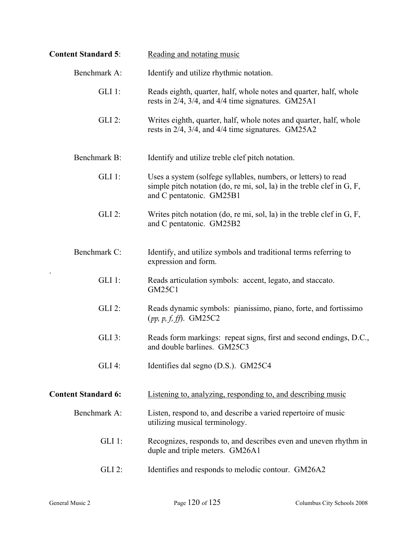| <b>Content Standard 5:</b> | Reading and notating music                                                                                                                                                 |
|----------------------------|----------------------------------------------------------------------------------------------------------------------------------------------------------------------------|
| Benchmark A:               | Identify and utilize rhythmic notation.                                                                                                                                    |
| $GLI$ 1:                   | Reads eighth, quarter, half, whole notes and quarter, half, whole<br>rests in 2/4, 3/4, and 4/4 time signatures. GM25A1                                                    |
| $GLI$ 2:                   | Writes eighth, quarter, half, whole notes and quarter, half, whole<br>rests in 2/4, 3/4, and 4/4 time signatures. GM25A2                                                   |
| Benchmark B:               | Identify and utilize treble clef pitch notation.                                                                                                                           |
| $GLI$ 1:                   | Uses a system (solfege syllables, numbers, or letters) to read<br>simple pitch notation (do, re mi, sol, la) in the treble clef in $G$ , $F$ ,<br>and C pentatonic. GM25B1 |
| <b>GLI 2:</b>              | Writes pitch notation (do, re mi, sol, la) in the treble clef in $G, F$ ,<br>and C pentatonic. GM25B2                                                                      |
| Benchmark C:               | Identify, and utilize symbols and traditional terms referring to<br>expression and form.                                                                                   |
| $GLI$ 1:                   | Reads articulation symbols: accent, legato, and staccato.<br><b>GM25C1</b>                                                                                                 |
| <b>GLI 2:</b>              | Reads dynamic symbols: pianissimo, piano, forte, and fortissimo<br>$(pp, p, f, ff)$ . GM25C2                                                                               |
| $GLI$ 3:                   | Reads form markings: repeat signs, first and second endings, D.C.,<br>and double barlines. GM25C3                                                                          |
| $GLI$ 4:                   | Identifies dal segno (D.S.). GM25C4                                                                                                                                        |
| <b>Content Standard 6:</b> | Listening to, analyzing, responding to, and describing music                                                                                                               |
| Benchmark A:               | Listen, respond to, and describe a varied repertoire of music<br>utilizing musical terminology.                                                                            |
| $GLI$ 1:                   | Recognizes, responds to, and describes even and uneven rhythm in<br>duple and triple meters. GM26A1                                                                        |
| $GLI$ 2:                   | Identifies and responds to melodic contour. GM26A2                                                                                                                         |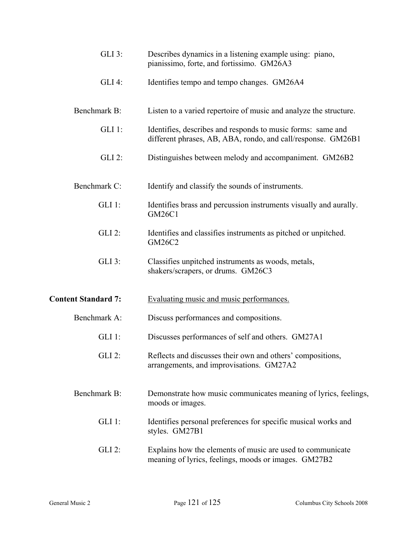| $GLI$ 3:                   | Describes dynamics in a listening example using: piano,<br>pianissimo, forte, and fortissimo. GM26A3                        |
|----------------------------|-----------------------------------------------------------------------------------------------------------------------------|
| <b>GLI 4:</b>              | Identifies tempo and tempo changes. GM26A4                                                                                  |
| Benchmark B:               | Listen to a varied repertoire of music and analyze the structure.                                                           |
| $GLI$ 1:                   | Identifies, describes and responds to music forms: same and<br>different phrases, AB, ABA, rondo, and call/response. GM26B1 |
| <b>GLI 2:</b>              | Distinguishes between melody and accompaniment. GM26B2                                                                      |
| Benchmark C:               | Identify and classify the sounds of instruments.                                                                            |
| $GLI$ 1:                   | Identifies brass and percussion instruments visually and aurally.<br><b>GM26C1</b>                                          |
| <b>GLI 2:</b>              | Identifies and classifies instruments as pitched or unpitched.<br>GM26C2                                                    |
| GLI 3:                     | Classifies unpitched instruments as woods, metals,<br>shakers/scrapers, or drums. GM26C3                                    |
| <b>Content Standard 7:</b> | <b>Evaluating music and music performances.</b>                                                                             |
| Benchmark A:               | Discuss performances and compositions.                                                                                      |
| $GLI$ 1:                   | Discusses performances of self and others. GM27A1                                                                           |
| GLI 2:                     | Reflects and discusses their own and others' compositions,<br>arrangements, and improvisations. GM27A2                      |
| Benchmark B:               | Demonstrate how music communicates meaning of lyrics, feelings,<br>moods or images.                                         |
| $GLI$ 1:                   | Identifies personal preferences for specific musical works and<br>styles. GM27B1                                            |
| $GLI$ 2:                   | Explains how the elements of music are used to communicate<br>meaning of lyrics, feelings, moods or images. GM27B2          |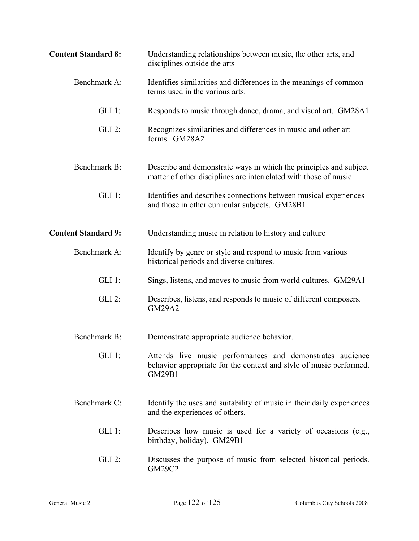| <b>Content Standard 8:</b> | Understanding relationships between music, the other arts, and<br>disciplines outside the arts                                                   |
|----------------------------|--------------------------------------------------------------------------------------------------------------------------------------------------|
| Benchmark A:               | Identifies similarities and differences in the meanings of common<br>terms used in the various arts.                                             |
| $GLI$ 1:                   | Responds to music through dance, drama, and visual art. GM28A1                                                                                   |
| <b>GLI 2:</b>              | Recognizes similarities and differences in music and other art<br>forms. GM28A2                                                                  |
| Benchmark B:               | Describe and demonstrate ways in which the principles and subject<br>matter of other disciplines are interrelated with those of music.           |
| $GLI$ 1:                   | Identifies and describes connections between musical experiences<br>and those in other curricular subjects. GM28B1                               |
| <b>Content Standard 9:</b> | Understanding music in relation to history and culture                                                                                           |
| Benchmark A:               | Identify by genre or style and respond to music from various<br>historical periods and diverse cultures.                                         |
| $GLI$ 1:                   | Sings, listens, and moves to music from world cultures. GM29A1                                                                                   |
| $GLI$ 2:                   | Describes, listens, and responds to music of different composers.<br><b>GM29A2</b>                                                               |
| Benchmark B:               | Demonstrate appropriate audience behavior.                                                                                                       |
| $GLI$ 1:                   | Attends live music performances and demonstrates audience<br>behavior appropriate for the context and style of music performed.<br><b>GM29B1</b> |
| Benchmark C:               | Identify the uses and suitability of music in their daily experiences<br>and the experiences of others.                                          |
| $GLI$ 1:                   | Describes how music is used for a variety of occasions (e.g.,<br>birthday, holiday). GM29B1                                                      |
| $GLI$ 2:                   | Discusses the purpose of music from selected historical periods.<br>GM29C2                                                                       |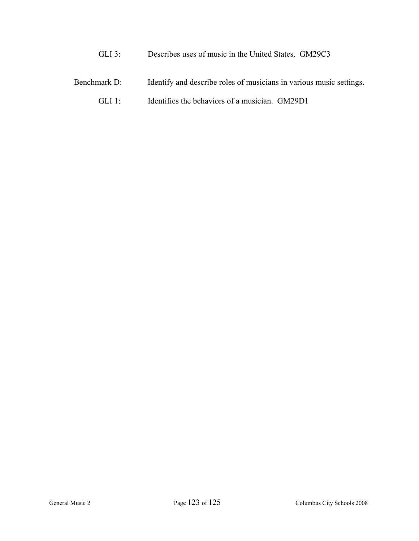- GLI 3: Describes uses of music in the United States. GM29C3
- Benchmark D: Identify and describe roles of musicians in various music settings.
	- GLI 1: Identifies the behaviors of a musician. GM29D1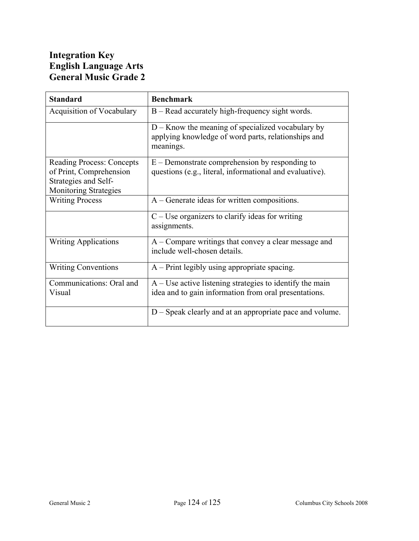# **Integration Key English Language Arts General Music Grade 2**

| <b>Standard</b>                                                                                                     | <b>Benchmark</b>                                                                                                        |
|---------------------------------------------------------------------------------------------------------------------|-------------------------------------------------------------------------------------------------------------------------|
| <b>Acquisition of Vocabulary</b>                                                                                    | B – Read accurately high-frequency sight words.                                                                         |
|                                                                                                                     | $D -$ Know the meaning of specialized vocabulary by<br>applying knowledge of word parts, relationships and<br>meanings. |
| <b>Reading Process: Concepts</b><br>of Print, Comprehension<br>Strategies and Self-<br><b>Monitoring Strategies</b> | $E$ – Demonstrate comprehension by responding to<br>questions (e.g., literal, informational and evaluative).            |
| <b>Writing Process</b>                                                                                              | A – Generate ideas for written compositions.                                                                            |
|                                                                                                                     | $C$ – Use organizers to clarify ideas for writing<br>assignments.                                                       |
| <b>Writing Applications</b>                                                                                         | A – Compare writings that convey a clear message and<br>include well-chosen details.                                    |
| <b>Writing Conventions</b>                                                                                          | $A$ – Print legibly using appropriate spacing.                                                                          |
| Communications: Oral and<br>Visual                                                                                  | $A$ – Use active listening strategies to identify the main<br>idea and to gain information from oral presentations.     |
|                                                                                                                     | D – Speak clearly and at an appropriate pace and volume.                                                                |